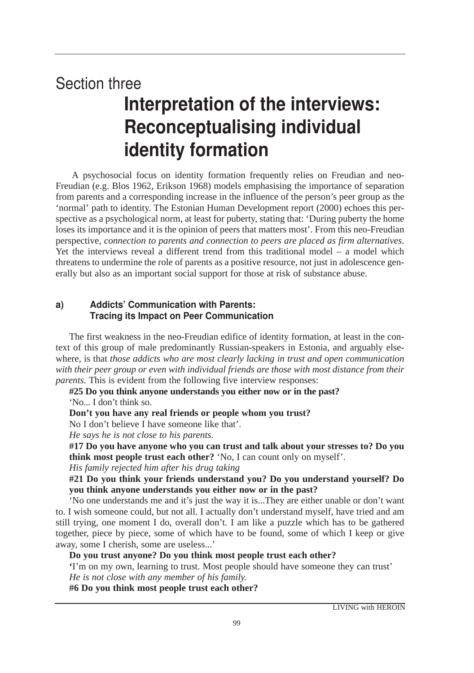# **Section three** Interpretation of the interviews: Reconceptualising individual identity formation

A psychosocial focus on identity formation frequently relies on Freudian and neo-Freudian (e.g. Blos 1962, Erikson 1968) models emphasising the importance of separation from parents and a corresponding increase in the influence of the person's peer group as the 'normal' path to identity. The Estonian Human Development report (2000) echoes this perspective as a psychological norm, at least for puberty, stating that: 'During puberty the home loses its importance and it is the opinion of peers that matters most'. From this neo-Freudian perspective, *connection to parents and connection to peers are placed as firm alternatives.* Yet the interviews reveal a different trend from this traditional model – a model which threatens to undermine the role of parents as a positive resource, not just in adolescence generally but also as an important social support for those at risk of substance abuse.

### a) Addicts' Communication with Parents: Tracing its Impact on Peer Communication

The first weakness in the neo-Freudian edifice of identity formation, at least in the context of this group of male predominantly Russian-speakers in Estonia, and arguably elsewhere, is that *those addicts who are most clearly lacking in trust and open communication with their peer group or even with individual friends are those with most distance from their parents*. This is evident from the following five interview responses:

# **#25 Do you think anyone understands you either now or in the past?**

'No... I don't think so.

#### **Don't you have any real friends or people whom you trust?**

No I don't believe I have someone like that'.

*He says he is not close to his parents.*

**#17 Do you have anyone who you can trust and talk about your stresses to? Do you think most people trust each other?** 'No, I can count only on myself'.

*His family rejected him after his drug taking*

**#21 Do you think your friends understand you? Do you understand yourself? Do you think anyone understands you either now or in the past?**

'No one understands me and it's just the way it is...They are either unable or don't want to. I wish someone could, but not all. I actually don't understand myself, have tried and am still trying, one moment I do, overall don't. I am like a puzzle which has to be gathered together, piece by piece, some of which have to be found, some of which I keep or give away, some I cherish, some are useless...'

#### **Do you trust anyone? Do you think most people trust each other?**

**'**I'm on my own, learning to trust. Most people should have someone they can trust' *He is not close with any member of his family.*

**#6 Do you think most people trust each other?**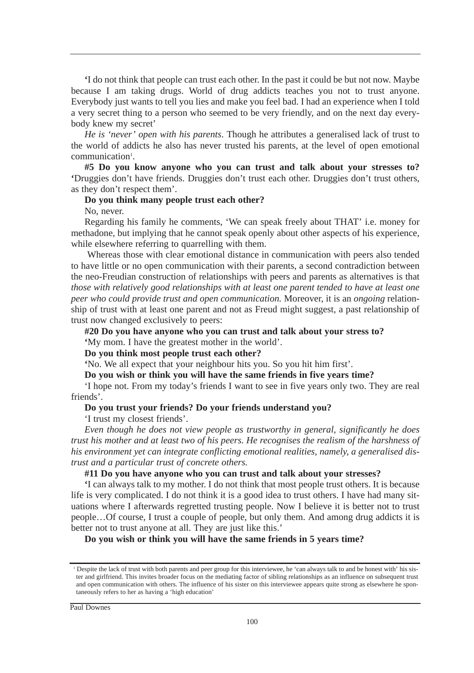**'**I do not think that people can trust each other. In the past it could be but not now. Maybe because I am taking drugs. World of drug addicts teaches you not to trust anyone. Everybody just wants to tell you lies and make you feel bad. I had an experience when I told a very secret thing to a person who seemed to be very friendly, and on the next day everybody knew my secret'

*He is 'never' open with his parents*. Though he attributes a generalised lack of trust to the world of addicts he also has never trusted his parents, at the level of open emotional communication<sup>1</sup>.

**#5 Do you know anyone who you can trust and talk about your stresses to? '**Druggies don't have friends. Druggies don't trust each other. Druggies don't trust others, as they don't respect them'.

#### **Do you think many people trust each other?**

No, never.

Regarding his family he comments, 'We can speak freely about THAT' i.e. money for methadone, but implying that he cannot speak openly about other aspects of his experience, while elsewhere referring to quarrelling with them.

Whereas those with clear emotional distance in communication with peers also tended to have little or no open communication with their parents, a second contradiction between the neo-Freudian construction of relationships with peers and parents as alternatives is that *those with relatively good relationships with at least one parent tended to have at least one peer who could provide trust and open communication.* Moreover, it is an *ongoing* relationship of trust with at least one parent and not as Freud might suggest, a past relationship of trust now changed exclusively to peers:

**#20 Do you have anyone who you can trust and talk about your stress to? '**My mom. I have the greatest mother in the world'.

#### **Do you think most people trust each other?**

**'**No. We all expect that your neighbour hits you. So you hit him first'.

#### **Do you wish or think you will have the same friends in five years time?**

'I hope not. From my today's friends I want to see in five years only two. They are real friends'.

#### **Do you trust your friends? Do your friends understand you?**

'I trust my closest friends'.

*Even though he does not view people as trustworthy in general, significantly he does trust his mother and at least two of his peers. He recognises the realism of the harshness of his environment yet can integrate conflicting emotional realities, namely, a generalised distrust and a particular trust of concrete others.*

#### **#11 Do you have anyone who you can trust and talk about your stresses?**

**'**I can always talk to my mother. I do not think that most people trust others. It is because life is very complicated. I do not think it is a good idea to trust others. I have had many situations where I afterwards regretted trusting people. Now I believe it is better not to trust people…Of course, I trust a couple of people, but only them. And among drug addicts it is better not to trust anyone at all. They are just like this.'

**Do you wish or think you will have the same friends in 5 years time?**

<sup>&</sup>lt;sup>1</sup> Despite the lack of trust with both parents and peer group for this interviewee, he 'can always talk to and be honest with' his sister and girlfriend. This invites broader focus on the mediating factor of sibling relationships as an influence on subsequent trust and open communication with others. The influence of his sister on this interviewee appears quite strong as elsewhere he spontaneously refers to her as having a 'high education'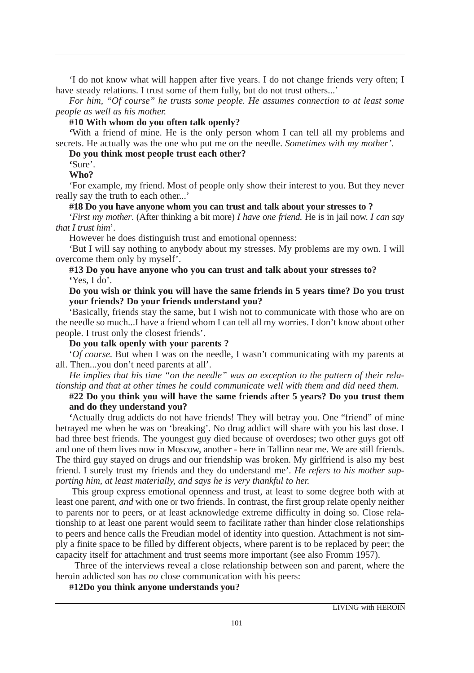'I do not know what will happen after five years. I do not change friends very often; I have steady relations. I trust some of them fully, but do not trust others...'

*For him, "Of course" he trusts some people. He assumes connection to at least some people as well as his mother.*

#### **#10 With whom do you often talk openly?**

**'**With a friend of mine. He is the only person whom I can tell all my problems and secrets. He actually was the one who put me on the needle. *Sometimes with my mother'*.

**Do you think most people trust each other?** 

**'**Sure'.

#### **Who?**

'For example, my friend. Most of people only show their interest to you. But they never really say the truth to each other...'

#### **#18 Do you have anyone whom you can trust and talk about your stresses to ?**

'*First my mother*. (After thinking a bit more) *I have one friend.* He is in jail now. *I can say that I trust him*'.

However he does distinguish trust and emotional openness:

'But I will say nothing to anybody about my stresses. My problems are my own. I will overcome them only by myself'.

#### **#13 Do you have anyone who you can trust and talk about your stresses to? '**Yes, I do'.

#### **Do you wish or think you will have the same friends in 5 years time? Do you trust your friends? Do your friends understand you?**

'Basically, friends stay the same, but I wish not to communicate with those who are on the needle so much...I have a friend whom I can tell all my worries. I don't know about other people. I trust only the closest friends'.

**Do you talk openly with your parents ?** 

'*Of course.* But when I was on the needle, I wasn't communicating with my parents at all. Then...you don't need parents at all'.

*He implies that his time "on the needle" was an exception to the pattern of their relationship and that at other times he could communicate well with them and did need them.*

#### **#22 Do you think you will have the same friends after 5 years? Do you trust them and do they understand you?**

**'**Actually drug addicts do not have friends! They will betray you. One "friend" of mine betrayed me when he was on 'breaking'. No drug addict will share with you his last dose. I had three best friends. The youngest guy died because of overdoses; two other guys got off and one of them lives now in Moscow, another - here in Tallinn near me. We are still friends. The third guy stayed on drugs and our friendship was broken. My girlfriend is also my best friend. I surely trust my friends and they do understand me'. *He refers to his mother supporting him, at least materially, and says he is very thankful to her.*

This group express emotional openness and trust, at least to some degree both with at least one parent, *and* with one or two friends. In contrast, the first group relate openly neither to parents nor to peers, or at least acknowledge extreme difficulty in doing so. Close relationship to at least one parent would seem to facilitate rather than hinder close relationships to peers and hence calls the Freudian model of identity into question. Attachment is not simply a finite space to be filled by different objects, where parent is to be replaced by peer; the capacity itself for attachment and trust seems more important (see also Fromm 1957).

Three of the interviews reveal a close relationship between son and parent, where the heroin addicted son has *no* close communication with his peers:

#### **#12Do you think anyone understands you?**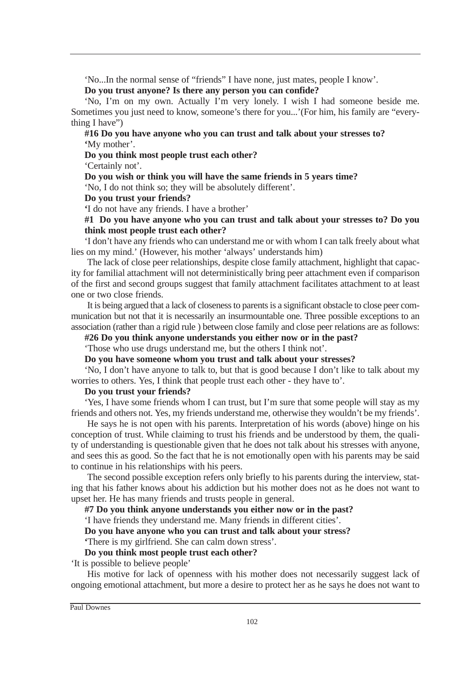'No...In the normal sense of "friends" I have none, just mates, people I know'.

#### **Do you trust anyone? Is there any person you can confide?**

'No, I'm on my own. Actually I'm very lonely. I wish I had someone beside me. Sometimes you just need to know, someone's there for you...'(For him, his family are "everything I have")

#### **#16 Do you have anyone who you can trust and talk about your stresses to? '**My mother'.

**Do you think most people trust each other?**

'Certainly not'.

#### **Do you wish or think you will have the same friends in 5 years time?**

'No, I do not think so; they will be absolutely different'.

#### **Do you trust your friends?**

**'**I do not have any friends. I have a brother'

#### **#1 Do you have anyone who you can trust and talk about your stresses to? Do you think most people trust each other?**

'I don't have any friends who can understand me or with whom I can talk freely about what lies on my mind.' (However, his mother 'always' understands him)

The lack of close peer relationships, despite close family attachment, highlight that capacity for familial attachment will not deterministically bring peer attachment even if comparison of the first and second groups suggest that family attachment facilitates attachment to at least one or two close friends.

It is being argued that a lack of closeness to parents is a significant obstacle to close peer communication but not that it is necessarily an insurmountable one. Three possible exceptions to an association (rather than a rigid rule ) between close family and close peer relations are as follows:

#### **#26 Do you think anyone understands you either now or in the past?**

'Those who use drugs understand me, but the others I think not'.

#### **Do you have someone whom you trust and talk about your stresses?**

'No, I don't have anyone to talk to, but that is good because I don't like to talk about my worries to others. Yes, I think that people trust each other - they have to'.

#### **Do you trust your friends?**

'Yes, I have some friends whom I can trust, but I'm sure that some people will stay as my friends and others not. Yes, my friends understand me, otherwise they wouldn't be my friends'.

He says he is not open with his parents. Interpretation of his words (above) hinge on his conception of trust. While claiming to trust his friends and be understood by them, the quality of understanding is questionable given that he does not talk about his stresses with anyone, and sees this as good. So the fact that he is not emotionally open with his parents may be said to continue in his relationships with his peers.

The second possible exception refers only briefly to his parents during the interview, stating that his father knows about his addiction but his mother does not as he does not want to upset her. He has many friends and trusts people in general.

#### **#7 Do you think anyone understands you either now or in the past?**

'I have friends they understand me. Many friends in different cities'.

**Do you have anyone who you can trust and talk about your stress?** 

## **'**There is my girlfriend. She can calm down stress'.

## **Do you think most people trust each other?**

'It is possible to believe people'

His motive for lack of openness with his mother does not necessarily suggest lack of ongoing emotional attachment, but more a desire to protect her as he says he does not want to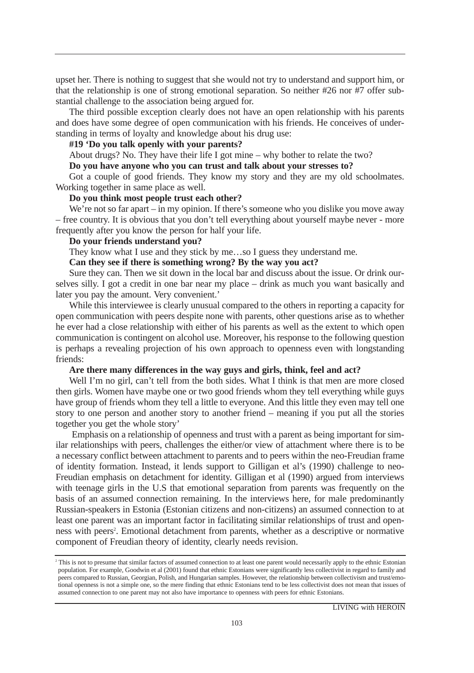upset her. There is nothing to suggest that she would not try to understand and support him, or that the relationship is one of strong emotional separation. So neither #26 nor #7 offer substantial challenge to the association being argued for.

The third possible exception clearly does not have an open relationship with his parents and does have some degree of open communication with his friends. He conceives of understanding in terms of loyalty and knowledge about his drug use:

#### **#19 'Do you talk openly with your parents?**

About drugs? No. They have their life I got mine – why bother to relate the two?

#### **Do you have anyone who you can trust and talk about your stresses to?**

Got a couple of good friends. They know my story and they are my old schoolmates. Working together in same place as well.

#### **Do you think most people trust each other?**

We're not so far apart – in my opinion. If there's someone who you dislike you move away – free country. It is obvious that you don't tell everything about yourself maybe never - more frequently after you know the person for half your life.

#### **Do your friends understand you?**

They know what I use and they stick by me…so I guess they understand me.

#### **Can they see if there is something wrong? By the way you act?**

Sure they can. Then we sit down in the local bar and discuss about the issue. Or drink ourselves silly. I got a credit in one bar near my place – drink as much you want basically and later you pay the amount. Very convenient.'

While this interviewee is clearly unusual compared to the others in reporting a capacity for open communication with peers despite none with parents, other questions arise as to whether he ever had a close relationship with either of his parents as well as the extent to which open communication is contingent on alcohol use. Moreover, his response to the following question is perhaps a revealing projection of his own approach to openness even with longstanding friends:

#### **Are there many differences in the way guys and girls, think, feel and act?**

Well I'm no girl, can't tell from the both sides. What I think is that men are more closed then girls. Women have maybe one or two good friends whom they tell everything while guys have group of friends whom they tell a little to everyone. And this little they even may tell one story to one person and another story to another friend – meaning if you put all the stories together you get the whole story'

Emphasis on a relationship of openness and trust with a parent as being important for similar relationships with peers, challenges the either/or view of attachment where there is to be a necessary conflict between attachment to parents and to peers within the neo-Freudian frame of identity formation. Instead, it lends support to Gilligan et al's (1990) challenge to neo-Freudian emphasis on detachment for identity. Gilligan et al (1990) argued from interviews with teenage girls in the U.S that emotional separation from parents was frequently on the basis of an assumed connection remaining. In the interviews here, for male predominantly Russian-speakers in Estonia (Estonian citizens and non-citizens) an assumed connection to at least one parent was an important factor in facilitating similar relationships of trust and openness with peers<sup>2</sup>. Emotional detachment from parents, whether as a descriptive or normative component of Freudian theory of identity, clearly needs revision.

<sup>&</sup>lt;sup>2</sup> This is not to presume that similar factors of assumed connection to at least one parent would necessarily apply to the ethnic Estonian population. For example, Goodwin et al (2001) found that ethnic Estonians were significantly less collectivist in regard to family and peers compared to Russian, Georgian, Polish, and Hungarian samples. However, the relationship between collectivism and trust/emotional openness is not a simple one, so the mere finding that ethnic Estonians tend to be less collectivist does not mean that issues of assumed connection to one parent may not also have importance to openness with peers for ethnic Estonians.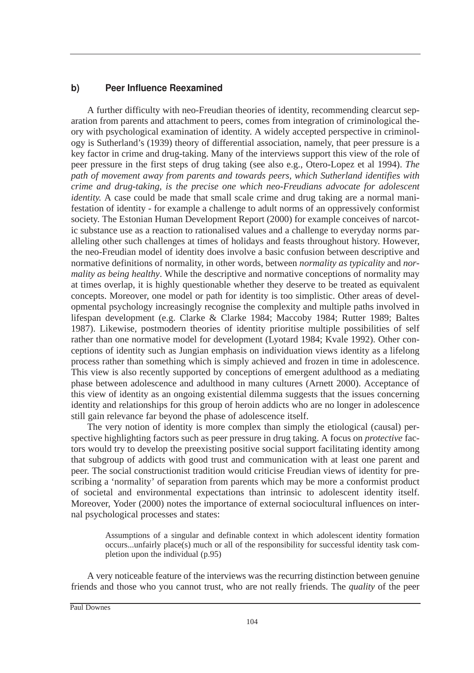### b) Peer Influence Reexamined

A further difficulty with neo-Freudian theories of identity, recommending clearcut separation from parents and attachment to peers, comes from integration of criminological theory with psychological examination of identity. A widely accepted perspective in criminology is Sutherland's (1939) theory of differential association, namely, that peer pressure is a key factor in crime and drug-taking. Many of the interviews support this view of the role of peer pressure in the first steps of drug taking (see also e.g., Otero-Lopez et al 1994). *The path of movement away from parents and towards peers, which Sutherland identifies with crime and drug-taking, is the precise one which neo-Freudians advocate for adolescent identity.* A case could be made that small scale crime and drug taking are a normal manifestation of identity - for example a challenge to adult norms of an oppressively conformist society. The Estonian Human Development Report (2000) for example conceives of narcotic substance use as a reaction to rationalised values and a challenge to everyday norms paralleling other such challenges at times of holidays and feasts throughout history. However, the neo-Freudian model of identity does involve a basic confusion between descriptive and normative definitions of normality, in other words, between *normality as typicality* and *normality as being healthy*. While the descriptive and normative conceptions of normality may at times overlap, it is highly questionable whether they deserve to be treated as equivalent concepts. Moreover, one model or path for identity is too simplistic. Other areas of developmental psychology increasingly recognise the complexity and multiple paths involved in lifespan development (e.g. Clarke & Clarke 1984; Maccoby 1984; Rutter 1989; Baltes 1987). Likewise, postmodern theories of identity prioritise multiple possibilities of self rather than one normative model for development (Lyotard 1984; Kvale 1992). Other conceptions of identity such as Jungian emphasis on individuation views identity as a lifelong process rather than something which is simply achieved and frozen in time in adolescence. This view is also recently supported by conceptions of emergent adulthood as a mediating phase between adolescence and adulthood in many cultures (Arnett 2000). Acceptance of this view of identity as an ongoing existential dilemma suggests that the issues concerning identity and relationships for this group of heroin addicts who are no longer in adolescence still gain relevance far beyond the phase of adolescence itself.

The very notion of identity is more complex than simply the etiological (causal) perspective highlighting factors such as peer pressure in drug taking. A focus on *protective* factors would try to develop the preexisting positive social support facilitating identity among that subgroup of addicts with good trust and communication with at least one parent and peer. The social constructionist tradition would criticise Freudian views of identity for prescribing a 'normality' of separation from parents which may be more a conformist product of societal and environmental expectations than intrinsic to adolescent identity itself. Moreover, Yoder (2000) notes the importance of external sociocultural influences on internal psychological processes and states:

Assumptions of a singular and definable context in which adolescent identity formation occurs...unfairly place(s) much or all of the responsibility for successful identity task completion upon the individual (p.95)

A very noticeable feature of the interviews was the recurring distinction between genuine friends and those who you cannot trust, who are not really friends. The *quality* of the peer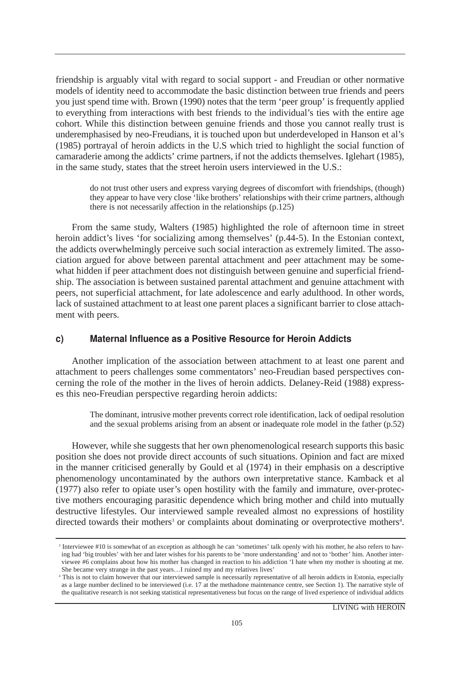friendship is arguably vital with regard to social support - and Freudian or other normative models of identity need to accommodate the basic distinction between true friends and peers you just spend time with. Brown (1990) notes that the term 'peer group' is frequently applied to everything from interactions with best friends to the individual's ties with the entire age cohort. While this distinction between genuine friends and those you cannot really trust is underemphasised by neo-Freudians, it is touched upon but underdeveloped in Hanson et al's (1985) portrayal of heroin addicts in the U.S which tried to highlight the social function of camaraderie among the addicts' crime partners, if not the addicts themselves. Iglehart (1985), in the same study, states that the street heroin users interviewed in the U.S.:

do not trust other users and express varying degrees of discomfort with friendships, (though) they appear to have very close 'like brothers' relationships with their crime partners, although there is not necessarily affection in the relationships (p.125)

From the same study, Walters (1985) highlighted the role of afternoon time in street heroin addict's lives 'for socializing among themselves' (p.44-5). In the Estonian context, the addicts overwhelmingly perceive such social interaction as extremely limited. The association argued for above between parental attachment and peer attachment may be somewhat hidden if peer attachment does not distinguish between genuine and superficial friendship. The association is between sustained parental attachment and genuine attachment with peers, not superficial attachment, for late adolescence and early adulthood. In other words, lack of sustained attachment to at least one parent places a significant barrier to close attachment with peers.

#### c) Maternal Influence as a Positive Resource for Heroin Addicts

Another implication of the association between attachment to at least one parent and attachment to peers challenges some commentators' neo-Freudian based perspectives concerning the role of the mother in the lives of heroin addicts. Delaney-Reid (1988) expresses this neo-Freudian perspective regarding heroin addicts:

The dominant, intrusive mother prevents correct role identification, lack of oedipal resolution and the sexual problems arising from an absent or inadequate role model in the father (p.52)

However, while she suggests that her own phenomenological research supports this basic position she does not provide direct accounts of such situations. Opinion and fact are mixed in the manner criticised generally by Gould et al (1974) in their emphasis on a descriptive phenomenology uncontaminated by the authors own interpretative stance. Kamback et al (1977) also refer to opiate user's open hostility with the family and immature, over-protective mothers encouraging parasitic dependence which bring mother and child into mutually destructive lifestyles. Our interviewed sample revealed almost no expressions of hostility directed towards their mothers<sup>3</sup> or complaints about dominating or overprotective mothers<sup>4</sup>.

<sup>3</sup> Interviewee #10 is somewhat of an exception as although he can 'sometimes' talk openly with his mother, he also refers to having had 'big troubles' with her and later wishes for his parents to be 'more understanding' and not to 'bother' him. Another interviewee #6 complains about how his mother has changed in reaction to his addiction 'I hate when my mother is shouting at me. She became very strange in the past years…I ruined my and my relatives lives'

<sup>4</sup> This is not to claim however that our interviewed sample is necessarily representative of all heroin addicts in Estonia, especially as a large number declined to be interviewed (i.e. 17 at the methadone maintenance centre, see Section 1). The narrative style of the qualitative research is not seeking statistical representativeness but focus on the range of lived experience of individual addicts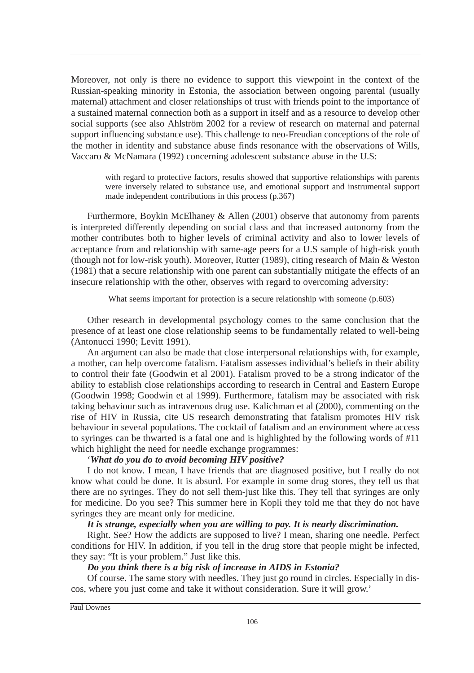Moreover, not only is there no evidence to support this viewpoint in the context of the Russian-speaking minority in Estonia, the association between ongoing parental (usually maternal) attachment and closer relationships of trust with friends point to the importance of a sustained maternal connection both as a support in itself and as a resource to develop other social supports (see also Ahlström 2002 for a review of research on maternal and paternal support influencing substance use). This challenge to neo-Freudian conceptions of the role of the mother in identity and substance abuse finds resonance with the observations of Wills, Vaccaro & McNamara (1992) concerning adolescent substance abuse in the U.S:

with regard to protective factors, results showed that supportive relationships with parents were inversely related to substance use, and emotional support and instrumental support made independent contributions in this process (p.367)

Furthermore, Boykin McElhaney & Allen (2001) observe that autonomy from parents is interpreted differently depending on social class and that increased autonomy from the mother contributes both to higher levels of criminal activity and also to lower levels of acceptance from and relationship with same-age peers for a U.S sample of high-risk youth (though not for low-risk youth). Moreover, Rutter (1989), citing research of Main & Weston (1981) that a secure relationship with one parent can substantially mitigate the effects of an insecure relationship with the other, observes with regard to overcoming adversity:

What seems important for protection is a secure relationship with someone  $(p.603)$ 

Other research in developmental psychology comes to the same conclusion that the presence of at least one close relationship seems to be fundamentally related to well-being (Antonucci 1990; Levitt 1991).

An argument can also be made that close interpersonal relationships with, for example, a mother, can help overcome fatalism. Fatalism assesses individual's beliefs in their ability to control their fate (Goodwin et al 2001). Fatalism proved to be a strong indicator of the ability to establish close relationships according to research in Central and Eastern Europe (Goodwin 1998; Goodwin et al 1999). Furthermore, fatalism may be associated with risk taking behaviour such as intravenous drug use. Kalichman et al (2000), commenting on the rise of HIV in Russia, cite US research demonstrating that fatalism promotes HIV risk behaviour in several populations. The cocktail of fatalism and an environment where access to syringes can be thwarted is a fatal one and is highlighted by the following words of #11 which highlight the need for needle exchange programmes:

#### '*What do you do to avoid becoming HIV positive?*

I do not know. I mean, I have friends that are diagnosed positive, but I really do not know what could be done. It is absurd. For example in some drug stores, they tell us that there are no syringes. They do not sell them-just like this. They tell that syringes are only for medicine. Do you see? This summer here in Kopli they told me that they do not have syringes they are meant only for medicine.

#### *It is strange, especially when you are willing to pay. It is nearly discrimination.*

Right. See? How the addicts are supposed to live? I mean, sharing one needle. Perfect conditions for HIV. In addition, if you tell in the drug store that people might be infected, they say: "It is your problem." Just like this.

#### *Do you think there is a big risk of increase in AIDS in Estonia?*

Of course. The same story with needles. They just go round in circles. Especially in discos, where you just come and take it without consideration. Sure it will grow.'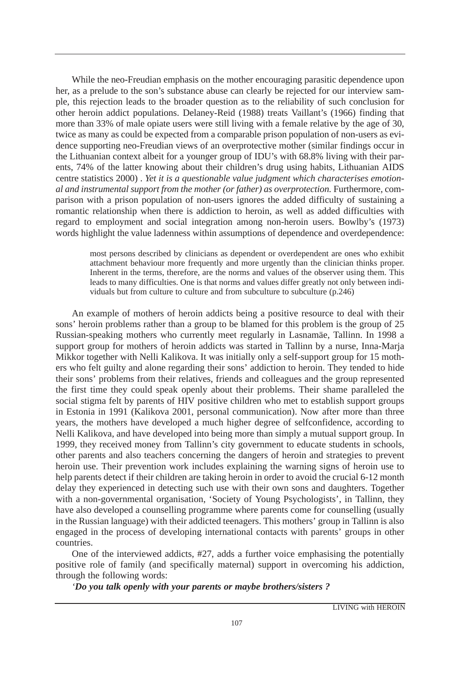While the neo-Freudian emphasis on the mother encouraging parasitic dependence upon her, as a prelude to the son's substance abuse can clearly be rejected for our interview sample, this rejection leads to the broader question as to the reliability of such conclusion for other heroin addict populations. Delaney-Reid (1988) treats Vaillant's (1966) finding that more than 33% of male opiate users were still living with a female relative by the age of 30, twice as many as could be expected from a comparable prison population of non-users as evidence supporting neo-Freudian views of an overprotective mother (similar findings occur in the Lithuanian context albeit for a younger group of IDU's with 68.8% living with their parents, 74% of the latter knowing about their children's drug using habits, Lithuanian AIDS centre statistics 2000) . *Yet it is a questionable value judgment which characterises emotional and instrumental support from the mother (or father) as overprotection.* Furthermore, comparison with a prison population of non-users ignores the added difficulty of sustaining a romantic relationship when there is addiction to heroin, as well as added difficulties with regard to employment and social integration among non-heroin users. Bowlby's (1973) words highlight the value ladenness within assumptions of dependence and overdependence:

most persons described by clinicians as dependent or overdependent are ones who exhibit attachment behaviour more frequently and more urgently than the clinician thinks proper. Inherent in the terms, therefore, are the norms and values of the observer using them. This leads to many difficulties. One is that norms and values differ greatly not only between individuals but from culture to culture and from subculture to subculture (p.246)

An example of mothers of heroin addicts being a positive resource to deal with their sons' heroin problems rather than a group to be blamed for this problem is the group of 25 Russian-speaking mothers who currently meet regularly in Lasnamäe, Tallinn. In 1998 a support group for mothers of heroin addicts was started in Tallinn by a nurse, Inna-Marja Mikkor together with Nelli Kalikova. It was initially only a self-support group for 15 mothers who felt guilty and alone regarding their sons' addiction to heroin. They tended to hide their sons' problems from their relatives, friends and colleagues and the group represented the first time they could speak openly about their problems. Their shame paralleled the social stigma felt by parents of HIV positive children who met to establish support groups in Estonia in 1991 (Kalikova 2001, personal communication). Now after more than three years, the mothers have developed a much higher degree of selfconfidence, according to Nelli Kalikova, and have developed into being more than simply a mutual support group. In 1999, they received money from Tallinn's city government to educate students in schools, other parents and also teachers concerning the dangers of heroin and strategies to prevent heroin use. Their prevention work includes explaining the warning signs of heroin use to help parents detect if their children are taking heroin in order to avoid the crucial 6-12 month delay they experienced in detecting such use with their own sons and daughters. Together with a non-governmental organisation, 'Society of Young Psychologists', in Tallinn, they have also developed a counselling programme where parents come for counselling (usually in the Russian language) with their addicted teenagers. This mothers' group in Tallinn is also engaged in the process of developing international contacts with parents' groups in other countries.

One of the interviewed addicts, #27, adds a further voice emphasising the potentially positive role of family (and specifically maternal) support in overcoming his addiction, through the following words:

*'Do you talk openly with your parents or maybe brothers/sisters ?*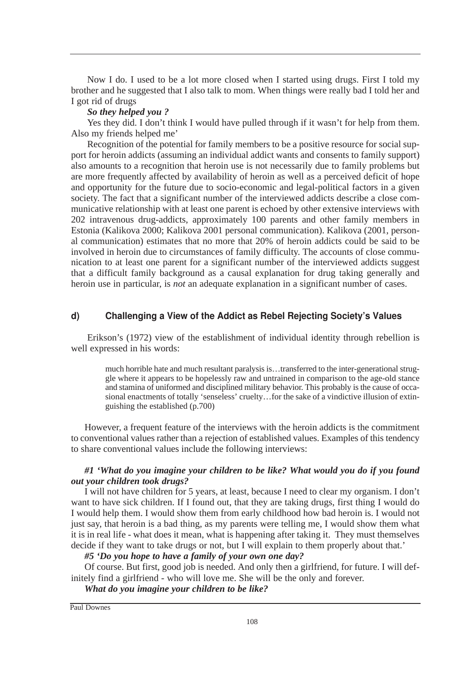Now I do. I used to be a lot more closed when I started using drugs. First I told my brother and he suggested that I also talk to mom. When things were really bad I told her and I got rid of drugs

#### *So they helped you ?*

Yes they did. I don't think I would have pulled through if it wasn't for help from them. Also my friends helped me'

Recognition of the potential for family members to be a positive resource for social support for heroin addicts (assuming an individual addict wants and consents to family support) also amounts to a recognition that heroin use is not necessarily due to family problems but are more frequently affected by availability of heroin as well as a perceived deficit of hope and opportunity for the future due to socio-economic and legal-political factors in a given society. The fact that a significant number of the interviewed addicts describe a close communicative relationship with at least one parent is echoed by other extensive interviews with 202 intravenous drug-addicts, approximately 100 parents and other family members in Estonia (Kalikova 2000; Kalikova 2001 personal communication). Kalikova (2001, personal communication) estimates that no more that 20% of heroin addicts could be said to be involved in heroin due to circumstances of family difficulty. The accounts of close communication to at least one parent for a significant number of the interviewed addicts suggest that a difficult family background as a causal explanation for drug taking generally and heroin use in particular, is *not* an adequate explanation in a significant number of cases.

#### d) Challenging a View of the Addict as Rebel Rejecting Society's Values

Erikson's (1972) view of the establishment of individual identity through rebellion is well expressed in his words:

much horrible hate and much resultant paralysis is…transferred to the inter-generational struggle where it appears to be hopelessly raw and untrained in comparison to the age-old stance and stamina of uniformed and disciplined military behavior. This probably is the cause of occasional enactments of totally 'senseless' cruelty…for the sake of a vindictive illusion of extinguishing the established (p.700)

However, a frequent feature of the interviews with the heroin addicts is the commitment to conventional values rather than a rejection of established values. Examples of this tendency to share conventional values include the following interviews:

#### *#1 'What do you imagine your children to be like? What would you do if you found out your children took drugs?*

I will not have children for 5 years, at least, because I need to clear my organism. I don't want to have sick children. If I found out, that they are taking drugs, first thing I would do I would help them. I would show them from early childhood how bad heroin is. I would not just say, that heroin is a bad thing, as my parents were telling me, I would show them what it is in real life - what does it mean, what is happening after taking it. They must themselves decide if they want to take drugs or not, but I will explain to them properly about that.'

*#5 'Do you hope to have a family of your own one day?*

Of course. But first, good job is needed. And only then a girlfriend, for future. I will definitely find a girlfriend - who will love me. She will be the only and forever.

*What do you imagine your children to be like?*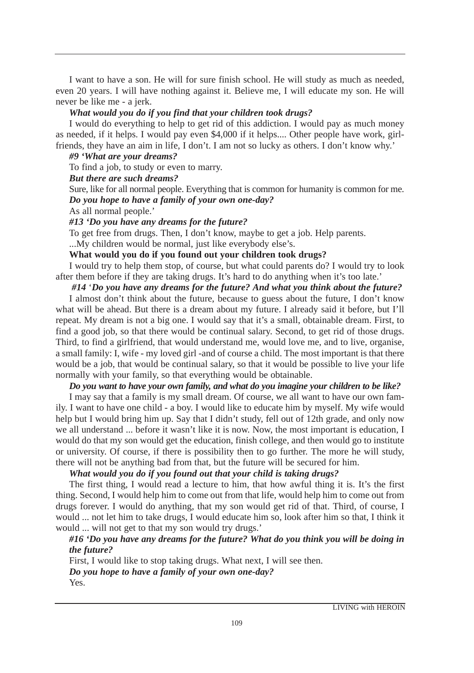I want to have a son. He will for sure finish school. He will study as much as needed, even 20 years. I will have nothing against it. Believe me, I will educate my son. He will never be like me - a jerk.

#### *What would you do if you find that your children took drugs?*

I would do everything to help to get rid of this addiction. I would pay as much money as needed, if it helps. I would pay even \$4,000 if it helps.... Other people have work, girlfriends, they have an aim in life, I don't. I am not so lucky as others. I don't know why.'

### *#9 'What are your dreams?*

To find a job, to study or even to marry.

### *But there are such dreams?*

Sure, like for all normal people. Everything that is common for humanity is common for me. *Do you hope to have a family of your own one-day?*

As all normal people.'

#### *#13 'Do you have any dreams for the future?*

To get free from drugs. Then, I don't know, maybe to get a job. Help parents.

...My children would be normal, just like everybody else's.

#### **What would you do if you found out your children took drugs?**

I would try to help them stop, of course, but what could parents do? I would try to look after them before if they are taking drugs. It's hard to do anything when it's too late.'

#### *#14* '*Do you have any dreams for the future? And what you think about the future?*

I almost don't think about the future, because to guess about the future, I don't know what will be ahead. But there is a dream about my future. I already said it before, but I'll repeat. My dream is not a big one. I would say that it's a small, obtainable dream. First, to find a good job, so that there would be continual salary. Second, to get rid of those drugs. Third, to find a girlfriend, that would understand me, would love me, and to live, organise, a small family: I, wife - my loved girl -and of course a child. The most important is that there would be a job, that would be continual salary, so that it would be possible to live your life normally with your family, so that everything would be obtainable.

#### *Do you want to have your own family, and what do you imagine your children to be like?*

I may say that a family is my small dream. Of course, we all want to have our own family. I want to have one child - a boy. I would like to educate him by myself. My wife would help but I would bring him up. Say that I didn't study, fell out of 12th grade, and only now we all understand ... before it wasn't like it is now. Now, the most important is education, I would do that my son would get the education, finish college, and then would go to institute or university. Of course, if there is possibility then to go further. The more he will study, there will not be anything bad from that, but the future will be secured for him.

#### *What would you do if you found out that your child is taking drugs?*

The first thing, I would read a lecture to him, that how awful thing it is. It's the first thing. Second, I would help him to come out from that life, would help him to come out from drugs forever. I would do anything, that my son would get rid of that. Third, of course, I would ... not let him to take drugs, I would educate him so, look after him so that, I think it would ... will not get to that my son would try drugs.'

#### *#16 'Do you have any dreams for the future? What do you think you will be doing in the future?*

First, I would like to stop taking drugs. What next, I will see then. *Do you hope to have a family of your own one-day?*  Yes.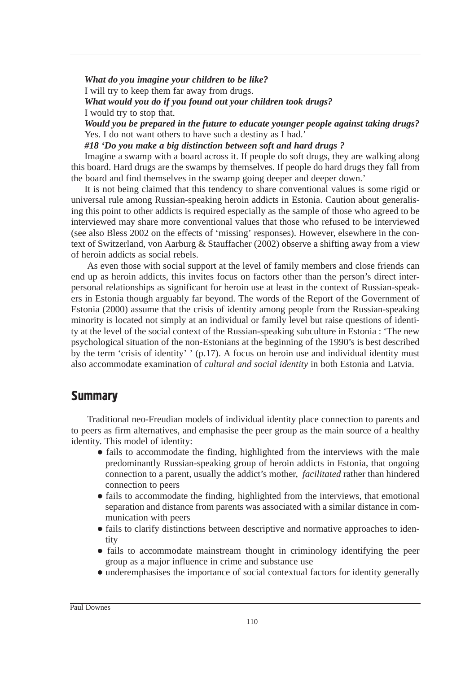*What do you imagine your children to be like?*  I will try to keep them far away from drugs. *What would you do if you found out your children took drugs?* I would try to stop that. *Would you be prepared in the future to educate younger people against taking drugs?* Yes. I do not want others to have such a destiny as I had.'

*#18 'Do you make a big distinction between soft and hard drugs ?*

Imagine a swamp with a board across it. If people do soft drugs, they are walking along this board. Hard drugs are the swamps by themselves. If people do hard drugs they fall from the board and find themselves in the swamp going deeper and deeper down.'

It is not being claimed that this tendency to share conventional values is some rigid or universal rule among Russian-speaking heroin addicts in Estonia. Caution about generalising this point to other addicts is required especially as the sample of those who agreed to be interviewed may share more conventional values that those who refused to be interviewed (see also Bless 2002 on the effects of 'missing' responses). However, elsewhere in the context of Switzerland, von Aarburg & Stauffacher (2002) observe a shifting away from a view of heroin addicts as social rebels.

As even those with social support at the level of family members and close friends can end up as heroin addicts, this invites focus on factors other than the person's direct interpersonal relationships as significant for heroin use at least in the context of Russian-speakers in Estonia though arguably far beyond. The words of the Report of the Government of Estonia (2000) assume that the crisis of identity among people from the Russian-speaking minority is located not simply at an individual or family level but raise questions of identity at the level of the social context of the Russian-speaking subculture in Estonia : 'The new psychological situation of the non-Estonians at the beginning of the 1990's is best described by the term 'crisis of identity' ' (p.17). A focus on heroin use and individual identity must also accommodate examination of *cultural and social identity* in both Estonia and Latvia.

## **Summary**

Traditional neo-Freudian models of individual identity place connection to parents and to peers as firm alternatives, and emphasise the peer group as the main source of a healthy identity. This model of identity:

- fails to accommodate the finding, highlighted from the interviews with the male predominantly Russian-speaking group of heroin addicts in Estonia, that ongoing connection to a parent, usually the addict's mother, *facilitated* rather than hindered connection to peers
- fails to accommodate the finding, highlighted from the interviews, that emotional separation and distance from parents was associated with a similar distance in communication with peers
- fails to clarify distinctions between descriptive and normative approaches to identity
- fails to accommodate mainstream thought in criminology identifying the peer group as a major influence in crime and substance use
- underemphasises the importance of social contextual factors for identity generally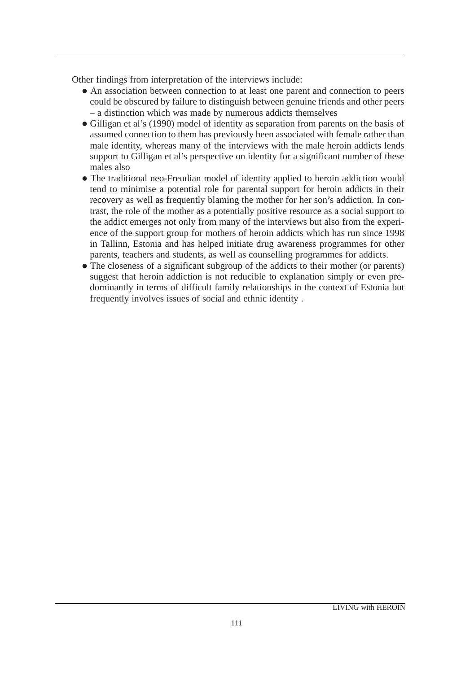Other findings from interpretation of the interviews include:

- An association between connection to at least one parent and connection to peers could be obscured by failure to distinguish between genuine friends and other peers – a distinction which was made by numerous addicts themselves
- Gilligan et al's (1990) model of identity as separation from parents on the basis of assumed connection to them has previously been associated with female rather than male identity, whereas many of the interviews with the male heroin addicts lends support to Gilligan et al's perspective on identity for a significant number of these males also
- The traditional neo-Freudian model of identity applied to heroin addiction would tend to minimise a potential role for parental support for heroin addicts in their recovery as well as frequently blaming the mother for her son's addiction. In contrast, the role of the mother as a potentially positive resource as a social support to the addict emerges not only from many of the interviews but also from the experience of the support group for mothers of heroin addicts which has run since 1998 in Tallinn, Estonia and has helped initiate drug awareness programmes for other parents, teachers and students, as well as counselling programmes for addicts.
- The closeness of a significant subgroup of the addicts to their mother (or parents) suggest that heroin addiction is not reducible to explanation simply or even predominantly in terms of difficult family relationships in the context of Estonia but frequently involves issues of social and ethnic identity .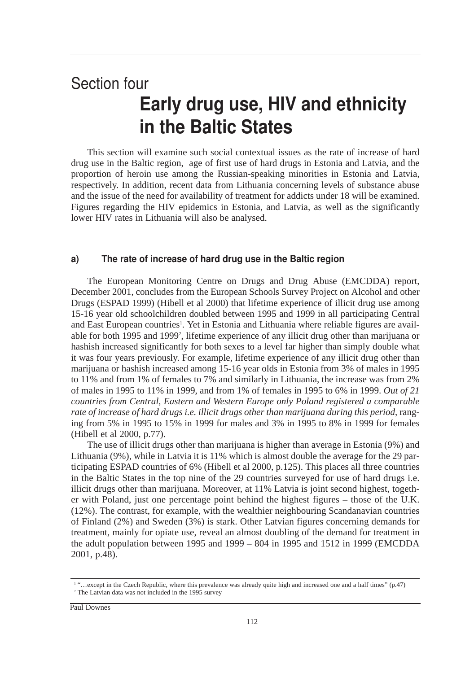# Section four Early drug use, HIV and ethnicity in the Baltic States

This section will examine such social contextual issues as the rate of increase of hard drug use in the Baltic region, age of first use of hard drugs in Estonia and Latvia, and the proportion of heroin use among the Russian-speaking minorities in Estonia and Latvia, respectively. In addition, recent data from Lithuania concerning levels of substance abuse and the issue of the need for availability of treatment for addicts under 18 will be examined. Figures regarding the HIV epidemics in Estonia, and Latvia, as well as the significantly lower HIV rates in Lithuania will also be analysed.

#### $a)$ The rate of increase of hard drug use in the Baltic region

The European Monitoring Centre on Drugs and Drug Abuse (EMCDDA) report, December 2001, concludes from the European Schools Survey Project on Alcohol and other Drugs (ESPAD 1999) (Hibell et al 2000) that lifetime experience of illicit drug use among 15-16 year old schoolchildren doubled between 1995 and 1999 in all participating Central and East European countries<sup>1</sup>. Yet in Estonia and Lithuania where reliable figures are available for both 1995 and 1999<sup>2</sup>, lifetime experience of any illicit drug other than marijuana or hashish increased significantly for both sexes to a level far higher than simply double what it was four years previously. For example, lifetime experience of any illicit drug other than marijuana or hashish increased among 15-16 year olds in Estonia from 3% of males in 1995 to 11% and from 1% of females to 7% and similarly in Lithuania, the increase was from 2% of males in 1995 to 11% in 1999, and from 1% of females in 1995 to 6% in 1999. *Out of 21 countries from Central, Eastern and Western Europe only Poland registered a comparable rate of increase of hard drugs i.e. illicit drugs other than marijuana during this period*, ranging from 5% in 1995 to 15% in 1999 for males and 3% in 1995 to 8% in 1999 for females (Hibell et al 2000, p.77).

The use of illicit drugs other than marijuana is higher than average in Estonia (9%) and Lithuania (9%), while in Latvia it is 11% which is almost double the average for the 29 participating ESPAD countries of 6% (Hibell et al 2000, p.125). This places all three countries in the Baltic States in the top nine of the 29 countries surveyed for use of hard drugs i.e. illicit drugs other than marijuana. Moreover, at 11% Latvia is joint second highest, together with Poland, just one percentage point behind the highest figures – those of the U.K. (12%). The contrast, for example, with the wealthier neighbouring Scandanavian countries of Finland (2%) and Sweden (3%) is stark. Other Latvian figures concerning demands for treatment, mainly for opiate use, reveal an almost doubling of the demand for treatment in the adult population between 1995 and 1999 – 804 in 1995 and 1512 in 1999 (EMCDDA 2001, p.48).

<sup>1</sup> "…except in the Czech Republic, where this prevalence was already quite high and increased one and a half times" (p.47) <sup>2</sup> The Latvian data was not included in the 1995 survey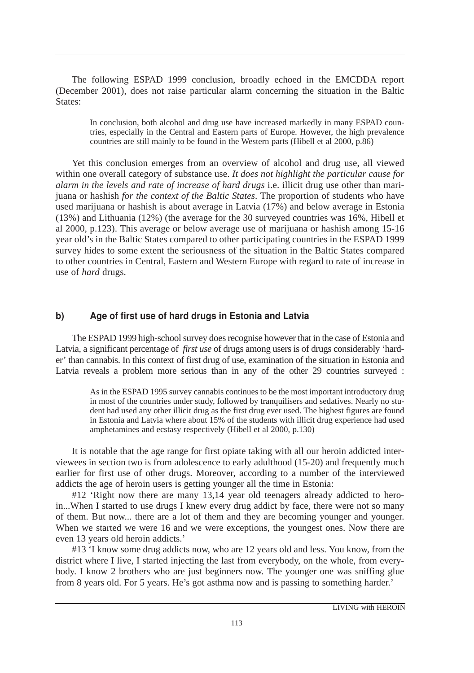The following ESPAD 1999 conclusion, broadly echoed in the EMCDDA report (December 2001), does not raise particular alarm concerning the situation in the Baltic States:

In conclusion, both alcohol and drug use have increased markedly in many ESPAD countries, especially in the Central and Eastern parts of Europe. However, the high prevalence countries are still mainly to be found in the Western parts (Hibell et al 2000, p.86)

Yet this conclusion emerges from an overview of alcohol and drug use, all viewed within one overall category of substance use. *It does not highlight the particular cause for alarm in the levels and rate of increase of hard drugs* i.e. illicit drug use other than marijuana or hashish *for the context of the Baltic States*. The proportion of students who have used marijuana or hashish is about average in Latvia (17%) and below average in Estonia (13%) and Lithuania (12%) (the average for the 30 surveyed countries was 16%, Hibell et al 2000, p.123). This average or below average use of marijuana or hashish among 15-16 year old's in the Baltic States compared to other participating countries in the ESPAD 1999 survey hides to some extent the seriousness of the situation in the Baltic States compared to other countries in Central, Eastern and Western Europe with regard to rate of increase in use of *hard* drugs.

#### b) Age of first use of hard drugs in Estonia and Latvia

The ESPAD 1999 high-school survey does recognise however that in the case of Estonia and Latvia, a significant percentage of *first use* of drugs among users is of drugs considerably 'harder' than cannabis. In this context of first drug of use, examination of the situation in Estonia and Latvia reveals a problem more serious than in any of the other 29 countries surveyed :

As in the ESPAD 1995 survey cannabis continues to be the most important introductory drug in most of the countries under study, followed by tranquilisers and sedatives. Nearly no student had used any other illicit drug as the first drug ever used. The highest figures are found in Estonia and Latvia where about 15% of the students with illicit drug experience had used amphetamines and ecstasy respectively (Hibell et al 2000, p.130)

It is notable that the age range for first opiate taking with all our heroin addicted interviewees in section two is from adolescence to early adulthood (15-20) and frequently much earlier for first use of other drugs. Moreover, according to a number of the interviewed addicts the age of heroin users is getting younger all the time in Estonia:

#12 'Right now there are many 13,14 year old teenagers already addicted to heroin...When I started to use drugs I knew every drug addict by face, there were not so many of them. But now... there are a lot of them and they are becoming younger and younger. When we started we were 16 and we were exceptions, the youngest ones. Now there are even 13 years old heroin addicts.'

#13 'I know some drug addicts now, who are 12 years old and less. You know, from the district where I live, I started injecting the last from everybody, on the whole, from everybody. I know 2 brothers who are just beginners now. The younger one was sniffing glue from 8 years old. For 5 years. He's got asthma now and is passing to something harder.'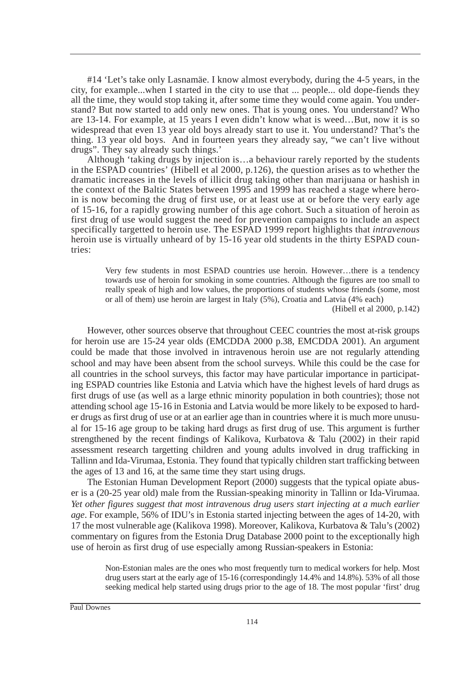#14 'Let's take only Lasnamäe. I know almost everybody, during the 4-5 years, in the city, for example...when I started in the city to use that ... people... old dope-fiends they all the time, they would stop taking it, after some time they would come again. You understand? But now started to add only new ones. That is young ones. You understand? Who are 13-14. For example, at 15 years I even didn't know what is weed…But, now it is so widespread that even 13 year old boys already start to use it. You understand? That's the thing. 13 year old boys. And in fourteen years they already say, "we can't live without drugs". They say already such things.'

Although 'taking drugs by injection is…a behaviour rarely reported by the students in the ESPAD countries' (Hibell et al 2000, p.126), the question arises as to whether the dramatic increases in the levels of illicit drug taking other than marijuana or hashish in the context of the Baltic States between 1995 and 1999 has reached a stage where heroin is now becoming the drug of first use, or at least use at or before the very early age of 15-16, for a rapidly growing number of this age cohort. Such a situation of heroin as first drug of use would suggest the need for prevention campaigns to include an aspect specifically targetted to heroin use. The ESPAD 1999 report highlights that *intravenous* heroin use is virtually unheard of by 15-16 year old students in the thirty ESPAD countries:

Very few students in most ESPAD countries use heroin. However…there is a tendency towards use of heroin for smoking in some countries. Although the figures are too small to really speak of high and low values, the proportions of students whose friends (some, most or all of them) use heroin are largest in Italy (5%), Croatia and Latvia (4% each)

(Hibell et al 2000, p.142)

However, other sources observe that throughout CEEC countries the most at-risk groups for heroin use are 15-24 year olds (EMCDDA 2000 p.38, EMCDDA 2001). An argument could be made that those involved in intravenous heroin use are not regularly attending school and may have been absent from the school surveys. While this could be the case for all countries in the school surveys, this factor may have particular importance in participating ESPAD countries like Estonia and Latvia which have the highest levels of hard drugs as first drugs of use (as well as a large ethnic minority population in both countries); those not attending school age 15-16 in Estonia and Latvia would be more likely to be exposed to harder drugs as first drug of use or at an earlier age than in countries where it is much more unusual for 15-16 age group to be taking hard drugs as first drug of use. This argument is further strengthened by the recent findings of Kalikova, Kurbatova & Talu (2002) in their rapid assessment research targetting children and young adults involved in drug trafficking in Tallinn and Ida-Virumaa, Estonia. They found that typically children start trafficking between the ages of 13 and 16, at the same time they start using drugs.

The Estonian Human Development Report (2000) suggests that the typical opiate abuser is a (20-25 year old) male from the Russian-speaking minority in Tallinn or Ida-Virumaa. *Yet other figures suggest that most intravenous drug users start injecting at a much earlier age*. For example, 56% of IDU's in Estonia started injecting between the ages of 14-20, with 17 the most vulnerable age (Kalikova 1998). Moreover, Kalikova, Kurbatova & Talu's (2002) commentary on figures from the Estonia Drug Database 2000 point to the exceptionally high use of heroin as first drug of use especially among Russian-speakers in Estonia:

Non-Estonian males are the ones who most frequently turn to medical workers for help. Most drug users start at the early age of 15-16 (correspondingly 14.4% and 14.8%). 53% of all those seeking medical help started using drugs prior to the age of 18. The most popular 'first' drug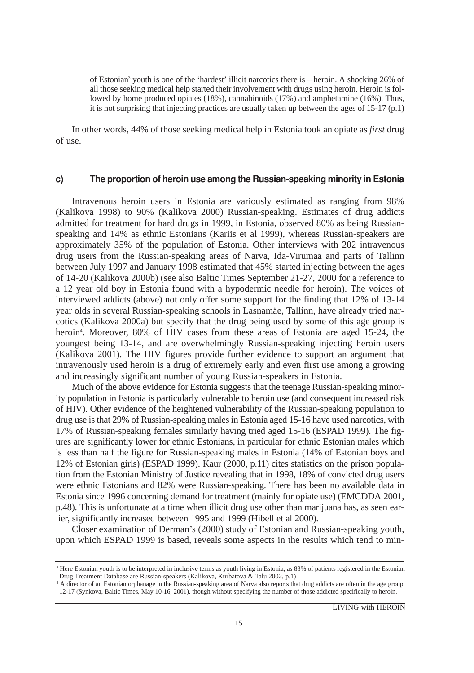of Estonian<sup>3</sup> youth is one of the 'hardest' illicit narcotics there is – heroin. A shocking 26% of all those seeking medical help started their involvement with drugs using heroin. Heroin is followed by home produced opiates (18%), cannabinoids (17%) and amphetamine (16%). Thus, it is not surprising that injecting practices are usually taken up between the ages of  $15-17$  (p.1)

In other words, 44% of those seeking medical help in Estonia took an opiate as *first* drug of use.

#### C) The proportion of heroin use among the Russian-speaking minority in Estonia

Intravenous heroin users in Estonia are variously estimated as ranging from 98% (Kalikova 1998) to 90% (Kalikova 2000) Russian-speaking. Estimates of drug addicts admitted for treatment for hard drugs in 1999, in Estonia, observed 80% as being Russianspeaking and 14% as ethnic Estonians (Kariis et al 1999), whereas Russian-speakers are approximately 35% of the population of Estonia. Other interviews with 202 intravenous drug users from the Russian-speaking areas of Narva, Ida-Virumaa and parts of Tallinn between July 1997 and January 1998 estimated that 45% started injecting between the ages of 14-20 (Kalikova 2000b) (see also Baltic Times September 21-27, 2000 for a reference to a 12 year old boy in Estonia found with a hypodermic needle for heroin). The voices of interviewed addicts (above) not only offer some support for the finding that 12% of 13-14 year olds in several Russian-speaking schools in Lasnamäe, Tallinn, have already tried narcotics (Kalikova 2000a) but specify that the drug being used by some of this age group is heroin4 . Moreover, 80% of HIV cases from these areas of Estonia are aged 15-24, the youngest being 13-14, and are overwhelmingly Russian-speaking injecting heroin users (Kalikova 2001). The HIV figures provide further evidence to support an argument that intravenously used heroin is a drug of extremely early and even first use among a growing and increasingly significant number of young Russian-speakers in Estonia.

Much of the above evidence for Estonia suggests that the teenage Russian-speaking minority population in Estonia is particularly vulnerable to heroin use (and consequent increased risk of HIV). Other evidence of the heightened vulnerability of the Russian-speaking population to drug use is that 29% of Russian-speaking males in Estonia aged 15-16 have used narcotics, with 17% of Russian-speaking females similarly having tried aged 15-16 (ESPAD 1999). The figures are significantly lower for ethnic Estonians, in particular for ethnic Estonian males which is less than half the figure for Russian-speaking males in Estonia (14% of Estonian boys and 12% of Estonian girls) (ESPAD 1999). Kaur (2000, p.11) cites statistics on the prison population from the Estonian Ministry of Justice revealing that in 1998, 18% of convicted drug users were ethnic Estonians and 82% were Russian-speaking. There has been no available data in Estonia since 1996 concerning demand for treatment (mainly for opiate use) (EMCDDA 2001, p.48). This is unfortunate at a time when illicit drug use other than marijuana has, as seen earlier, significantly increased between 1995 and 1999 (Hibell et al 2000).

Closer examination of Derman's (2000) study of Estonian and Russian-speaking youth, upon which ESPAD 1999 is based, reveals some aspects in the results which tend to min-

<sup>&</sup>lt;sup>3</sup> Here Estonian youth is to be interpreted in inclusive terms as youth living in Estonia, as 83% of patients registered in the Estonian Drug Treatment Database are Russian-speakers (Kalikova, Kurbatova & Talu 2002, p.1)

<sup>4</sup> A director of an Estonian orphanage in the Russian-speaking area of Narva also reports that drug addicts are often in the age group 12-17 (Synkova, Baltic Times, May 10-16, 2001), though without specifying the number of those addicted specifically to heroin.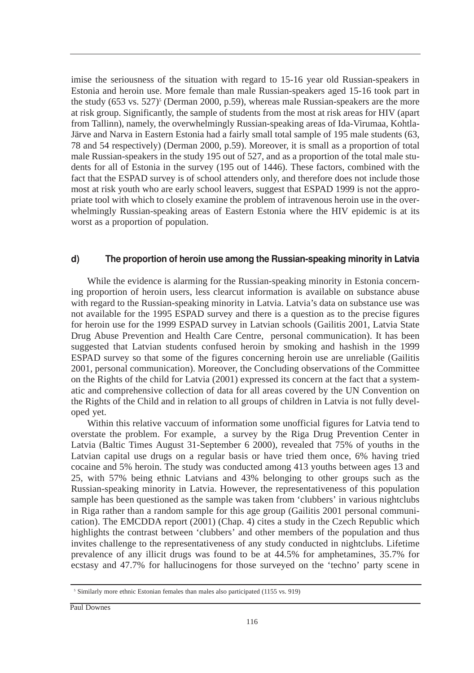imise the seriousness of the situation with regard to 15-16 year old Russian-speakers in Estonia and heroin use. More female than male Russian-speakers aged 15-16 took part in the study  $(653 \text{ vs. } 527)^5$  (Derman 2000, p.59), whereas male Russian-speakers are the more at risk group. Significantly, the sample of students from the most at risk areas for HIV (apart from Tallinn), namely, the overwhelmingly Russian-speaking areas of Ida-Virumaa, Kohtla-Järve and Narva in Eastern Estonia had a fairly small total sample of 195 male students (63, 78 and 54 respectively) (Derman 2000, p.59). Moreover, it is small as a proportion of total male Russian-speakers in the study 195 out of 527, and as a proportion of the total male students for all of Estonia in the survey (195 out of 1446). These factors, combined with the fact that the ESPAD survey is of school attenders only, and therefore does not include those most at risk youth who are early school leavers, suggest that ESPAD 1999 is not the appropriate tool with which to closely examine the problem of intravenous heroin use in the overwhelmingly Russian-speaking areas of Eastern Estonia where the HIV epidemic is at its worst as a proportion of population.

#### d) The proportion of heroin use among the Russian-speaking minority in Latvia

While the evidence is alarming for the Russian-speaking minority in Estonia concerning proportion of heroin users, less clearcut information is available on substance abuse with regard to the Russian-speaking minority in Latvia. Latvia's data on substance use was not available for the 1995 ESPAD survey and there is a question as to the precise figures for heroin use for the 1999 ESPAD survey in Latvian schools (Gailitis 2001, Latvia State Drug Abuse Prevention and Health Care Centre, personal communication). It has been suggested that Latvian students confused heroin by smoking and hashish in the 1999 ESPAD survey so that some of the figures concerning heroin use are unreliable (Gailitis 2001, personal communication). Moreover, the Concluding observations of the Committee on the Rights of the child for Latvia (2001) expressed its concern at the fact that a systematic and comprehensive collection of data for all areas covered by the UN Convention on the Rights of the Child and in relation to all groups of children in Latvia is not fully developed yet.

Within this relative vaccuum of information some unofficial figures for Latvia tend to overstate the problem. For example, a survey by the Riga Drug Prevention Center in Latvia (Baltic Times August 31-September 6 2000), revealed that 75% of youths in the Latvian capital use drugs on a regular basis or have tried them once, 6% having tried cocaine and 5% heroin. The study was conducted among 413 youths between ages 13 and 25, with 57% being ethnic Latvians and 43% belonging to other groups such as the Russian-speaking minority in Latvia. However, the representativeness of this population sample has been questioned as the sample was taken from 'clubbers' in various nightclubs in Riga rather than a random sample for this age group (Gailitis 2001 personal communication). The EMCDDA report (2001) (Chap. 4) cites a study in the Czech Republic which highlights the contrast between 'clubbers' and other members of the population and thus invites challenge to the representativeness of any study conducted in nightclubs. Lifetime prevalence of any illicit drugs was found to be at 44.5% for amphetamines, 35.7% for ecstasy and 47.7% for hallucinogens for those surveyed on the 'techno' party scene in

<sup>5</sup> Similarly more ethnic Estonian females than males also participated (1155 vs. 919)

Paul Downes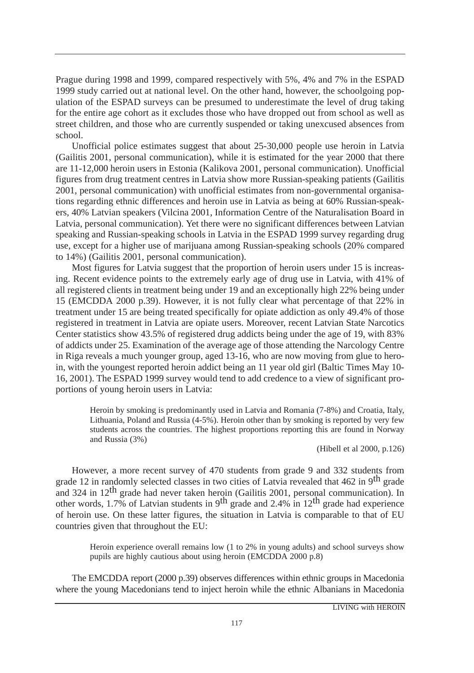Prague during 1998 and 1999, compared respectively with 5%, 4% and 7% in the ESPAD 1999 study carried out at national level. On the other hand, however, the schoolgoing population of the ESPAD surveys can be presumed to underestimate the level of drug taking for the entire age cohort as it excludes those who have dropped out from school as well as street children, and those who are currently suspended or taking unexcused absences from school.

Unofficial police estimates suggest that about 25-30,000 people use heroin in Latvia (Gailitis 2001, personal communication), while it is estimated for the year 2000 that there are 11-12,000 heroin users in Estonia (Kalikova 2001, personal communication). Unofficial figures from drug treatment centres in Latvia show more Russian-speaking patients (Gailitis 2001, personal communication) with unofficial estimates from non-governmental organisations regarding ethnic differences and heroin use in Latvia as being at 60% Russian-speakers, 40% Latvian speakers (Vilcina 2001, Information Centre of the Naturalisation Board in Latvia, personal communication). Yet there were no significant differences between Latvian speaking and Russian-speaking schools in Latvia in the ESPAD 1999 survey regarding drug use, except for a higher use of marijuana among Russian-speaking schools (20% compared to 14%) (Gailitis 2001, personal communication).

Most figures for Latvia suggest that the proportion of heroin users under 15 is increasing. Recent evidence points to the extremely early age of drug use in Latvia, with 41% of all registered clients in treatment being under 19 and an exceptionally high 22% being under 15 (EMCDDA 2000 p.39). However, it is not fully clear what percentage of that 22% in treatment under 15 are being treated specifically for opiate addiction as only 49.4% of those registered in treatment in Latvia are opiate users. Moreover, recent Latvian State Narcotics Center statistics show 43.5% of registered drug addicts being under the age of 19, with 83% of addicts under 25. Examination of the average age of those attending the Narcology Centre in Riga reveals a much younger group, aged 13-16, who are now moving from glue to heroin, with the youngest reported heroin addict being an 11 year old girl (Baltic Times May 10- 16, 2001). The ESPAD 1999 survey would tend to add credence to a view of significant proportions of young heroin users in Latvia:

Heroin by smoking is predominantly used in Latvia and Romania (7-8%) and Croatia, Italy, Lithuania, Poland and Russia (4-5%). Heroin other than by smoking is reported by very few students across the countries. The highest proportions reporting this are found in Norway and Russia (3%)

(Hibell et al 2000, p.126)

However, a more recent survey of 470 students from grade 9 and 332 students from grade 12 in randomly selected classes in two cities of Latvia revealed that 462 in 9<sup>th</sup> grade and 324 in  $12<sup>th</sup>$  grade had never taken heroin (Gailitis 2001, personal communication). In other words, 1.7% of Latvian students in 9<sup>th</sup> grade and 2.4% in 12<sup>th</sup> grade had experience of heroin use. On these latter figures, the situation in Latvia is comparable to that of EU countries given that throughout the EU:

Heroin experience overall remains low (1 to 2% in young adults) and school surveys show pupils are highly cautious about using heroin (EMCDDA 2000 p.8)

The EMCDDA report (2000 p.39) observes differences within ethnic groups in Macedonia where the young Macedonians tend to inject heroin while the ethnic Albanians in Macedonia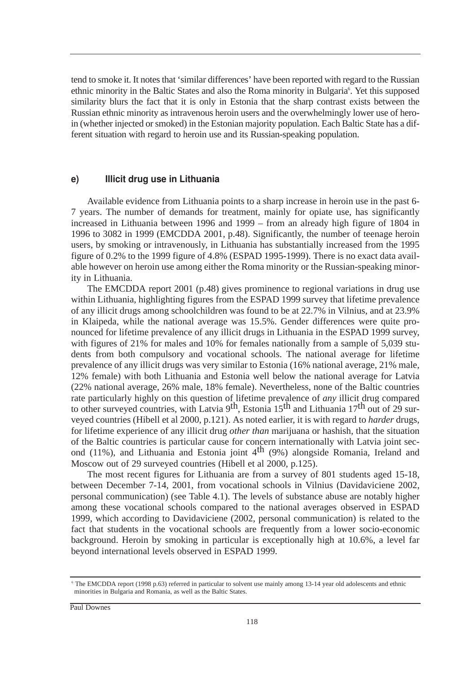tend to smoke it. It notes that 'similar differences' have been reported with regard to the Russian ethnic minority in the Baltic States and also the Roma minority in Bulgaria<sup>6</sup>. Yet this supposed similarity blurs the fact that it is only in Estonia that the sharp contrast exists between the Russian ethnic minority as intravenous heroin users and the overwhelmingly lower use of heroin (whether injected or smoked) in the Estonian majority population. Each Baltic State has a different situation with regard to heroin use and its Russian-speaking population.

#### e) Illicit drug use in Lithuania

Available evidence from Lithuania points to a sharp increase in heroin use in the past 6- 7 years. The number of demands for treatment, mainly for opiate use, has significantly increased in Lithuania between 1996 and 1999 – from an already high figure of 1804 in 1996 to 3082 in 1999 (EMCDDA 2001, p.48). Significantly, the number of teenage heroin users, by smoking or intravenously, in Lithuania has substantially increased from the 1995 figure of 0.2% to the 1999 figure of 4.8% (ESPAD 1995-1999). There is no exact data available however on heroin use among either the Roma minority or the Russian-speaking minority in Lithuania.

The EMCDDA report 2001 (p.48) gives prominence to regional variations in drug use within Lithuania, highlighting figures from the ESPAD 1999 survey that lifetime prevalence of any illicit drugs among schoolchildren was found to be at 22.7% in Vilnius, and at 23.9% in Klaipeda, while the national average was 15.5%. Gender differences were quite pronounced for lifetime prevalence of any illicit drugs in Lithuania in the ESPAD 1999 survey, with figures of 21% for males and 10% for females nationally from a sample of 5,039 students from both compulsory and vocational schools. The national average for lifetime prevalence of any illicit drugs was very similar to Estonia (16% national average, 21% male, 12% female) with both Lithuania and Estonia well below the national average for Latvia (22% national average, 26% male, 18% female). Nevertheless, none of the Baltic countries rate particularly highly on this question of lifetime prevalence of *any* illicit drug compared to other surveyed countries, with Latvia  $9<sup>th</sup>$ , Estonia 15<sup>th</sup> and Lithuania 17<sup>th</sup> out of 29 surveyed countries (Hibell et al 2000, p.121). As noted earlier, it is with regard to *harder* drugs, for lifetime experience of any illicit drug *other than* marijuana or hashish, that the situation of the Baltic countries is particular cause for concern internationally with Latvia joint second (11%), and Lithuania and Estonia joint  $4<sup>th</sup>$  (9%) alongside Romania, Ireland and Moscow out of 29 surveyed countries (Hibell et al 2000, p.125).

The most recent figures for Lithuania are from a survey of 801 students aged 15-18, between December 7-14, 2001, from vocational schools in Vilnius (Davidaviciene 2002, personal communication) (see Table 4.1). The levels of substance abuse are notably higher among these vocational schools compared to the national averages observed in ESPAD 1999, which according to Davidaviciene (2002, personal communication) is related to the fact that students in the vocational schools are frequently from a lower socio-economic background. Heroin by smoking in particular is exceptionally high at 10.6%, a level far beyond international levels observed in ESPAD 1999.

<sup>6</sup> The EMCDDA report (1998 p.63) referred in particular to solvent use mainly among 13-14 year old adolescents and ethnic minorities in Bulgaria and Romania, as well as the Baltic States.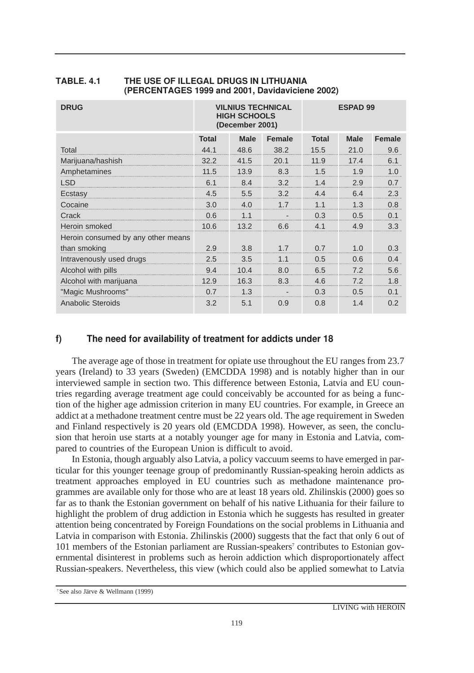| <b>DRUG</b>                        | <b>VILNIUS TECHNICAL</b><br><b>HIGH SCHOOLS</b><br>(December 2001) |             |                | <b>ESPAD 99</b> |             |               |
|------------------------------------|--------------------------------------------------------------------|-------------|----------------|-----------------|-------------|---------------|
|                                    | <b>Total</b>                                                       | <b>Male</b> | <b>Female</b>  | <b>Total</b>    | <b>Male</b> | <b>Female</b> |
| Total                              | 44.1                                                               | 48.6        | 38.2           | 15.5            | 21.0        | 9.6           |
| Marijuana/hashish                  | 32.2                                                               | 41.5        | 20.1           | 11.9            | 17.4        | 6.1           |
| Amphetamines                       | 11.5                                                               | 13.9        | 8.3            | 1.5             | 1.9         | 1.0           |
| <b>LSD</b>                         | 6.1                                                                | 8.4         | 3.2            | 1.4             | 2.9         | 0.7           |
| Ecstasy                            | 4.5                                                                | 5.5         | 3.2            | 4.4             | 6.4         | 2.3           |
| Cocaine                            | 3.0                                                                | 4.0         | 1.7            | 1.1             | 1.3         | 0.8           |
| Crack                              | 0.6                                                                | 1.1         |                | 0.3             | 0.5         | 0.1           |
| Heroin smoked                      | 10.6                                                               | 13.2        | 6.6            | 4.1             | 4.9         | 3.3           |
| Heroin consumed by any other means |                                                                    |             |                |                 |             |               |
| than smoking                       | 2.9                                                                | 3.8         | 1.7            | 0.7             | 1.0         | 0.3           |
| Intravenously used drugs           | 2.5                                                                | 3.5         | 1 <sub>1</sub> | 0.5             | 0.6         | 0.4           |
| Alcohol with pills                 | 9.4                                                                | 10.4        | 8.0            | 6.5             | 7.2         | 5.6           |
| Alcohol with marijuana             | 12.9                                                               | 16.3        | 8.3            | 4.6             | 7.2         | 1.8           |
| "Magic Mushrooms"                  | 0.7                                                                | 1.3         |                | 0.3             | 0.5         | 0.1           |
| <b>Anabolic Steroids</b>           | 3.2                                                                | 5.1         | 0.9            | 0.8             | 1.4         | 0.2           |

#### **TABLE, 4.1** 4.1 THE USE OF ILLEGAL DRUGS IN LITHUANIA (PERCENTAGES 1999 and 2001, Davidaviciene 2002)

#### $f$ The need for availability of treatment for addicts under 18

The average age of those in treatment for opiate use throughout the EU ranges from 23.7 years (Ireland) to 33 years (Sweden) (EMCDDA 1998) and is notably higher than in our interviewed sample in section two. This difference between Estonia, Latvia and EU countries regarding average treatment age could conceivably be accounted for as being a function of the higher age admission criterion in many EU countries. For example, in Greece an addict at a methadone treatment centre must be 22 years old. The age requirement in Sweden and Finland respectively is 20 years old (EMCDDA 1998). However, as seen, the conclusion that heroin use starts at a notably younger age for many in Estonia and Latvia, compared to countries of the European Union is difficult to avoid.

In Estonia, though arguably also Latvia, a policy vaccuum seems to have emerged in particular for this younger teenage group of predominantly Russian-speaking heroin addicts as treatment approaches employed in EU countries such as methadone maintenance programmes are available only for those who are at least 18 years old. Zhilinskis (2000) goes so far as to thank the Estonian government on behalf of his native Lithuania for their failure to highlight the problem of drug addiction in Estonia which he suggests has resulted in greater attention being concentrated by Foreign Foundations on the social problems in Lithuania and Latvia in comparison with Estonia. Zhilinskis (2000) suggests that the fact that only 6 out of 101 members of the Estonian parliament are Russian-speakers<sup>7</sup> contributes to Estonian governmental disinterest in problems such as heroin addiction which disproportionately affect Russian-speakers. Nevertheless, this view (which could also be applied somewhat to Latvia

<sup>7</sup>See also Järve & Wellmann (1999)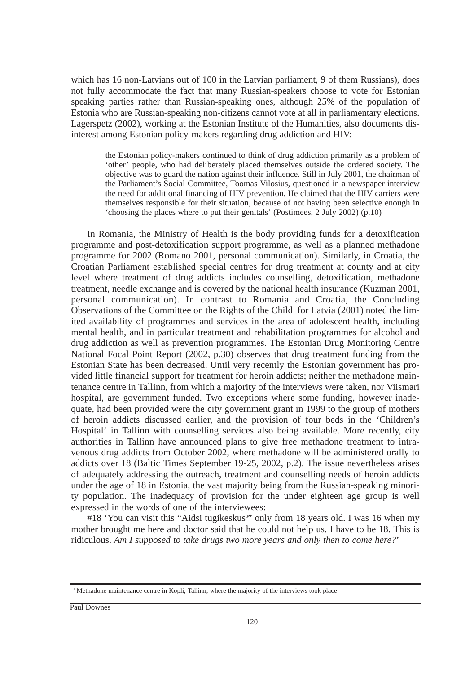which has 16 non-Latvians out of 100 in the Latvian parliament, 9 of them Russians), does not fully accommodate the fact that many Russian-speakers choose to vote for Estonian speaking parties rather than Russian-speaking ones, although 25% of the population of Estonia who are Russian-speaking non-citizens cannot vote at all in parliamentary elections. Lagerspetz (2002), working at the Estonian Institute of the Humanities, also documents disinterest among Estonian policy-makers regarding drug addiction and HIV:

the Estonian policy-makers continued to think of drug addiction primarily as a problem of 'other' people, who had deliberately placed themselves outside the ordered society. The objective was to guard the nation against their influence. Still in July 2001, the chairman of the Parliament's Social Committee, Toomas Vilosius, questioned in a newspaper interview the need for additional financing of HIV prevention. He claimed that the HIV carriers were themselves responsible for their situation, because of not having been selective enough in 'choosing the places where to put their genitals' (Postimees, 2 July 2002) (p.10)

In Romania, the Ministry of Health is the body providing funds for a detoxification programme and post-detoxification support programme, as well as a planned methadone programme for 2002 (Romano 2001, personal communication). Similarly, in Croatia, the Croatian Parliament established special centres for drug treatment at county and at city level where treatment of drug addicts includes counselling, detoxification, methadone treatment, needle exchange and is covered by the national health insurance (Kuzman 2001, personal communication). In contrast to Romania and Croatia, the Concluding Observations of the Committee on the Rights of the Child for Latvia (2001) noted the limited availability of programmes and services in the area of adolescent health, including mental health, and in particular treatment and rehabilitation programmes for alcohol and drug addiction as well as prevention programmes. The Estonian Drug Monitoring Centre National Focal Point Report (2002, p.30) observes that drug treatment funding from the Estonian State has been decreased. Until very recently the Estonian government has provided little financial support for treatment for heroin addicts; neither the methadone maintenance centre in Tallinn, from which a majority of the interviews were taken, nor Viismari hospital, are government funded. Two exceptions where some funding, however inadequate, had been provided were the city government grant in 1999 to the group of mothers of heroin addicts discussed earlier, and the provision of four beds in the 'Children's Hospital' in Tallinn with counselling services also being available. More recently, city authorities in Tallinn have announced plans to give free methadone treatment to intravenous drug addicts from October 2002, where methadone will be administered orally to addicts over 18 (Baltic Times September 19-25, 2002, p.2). The issue nevertheless arises of adequately addressing the outreach, treatment and counselling needs of heroin addicts under the age of 18 in Estonia, the vast majority being from the Russian-speaking minority population. The inadequacy of provision for the under eighteen age group is well expressed in the words of one of the interviewees:

#18 'You can visit this "Aidsi tugikeskus" only from 18 years old. I was 16 when my mother brought me here and doctor said that he could not help us. I have to be 18. This is ridiculous. *Am I supposed to take drugs two more years and only then to come here?*'

<sup>8</sup>Methadone maintenance centre in Kopli, Tallinn, where the majority of the interviews took place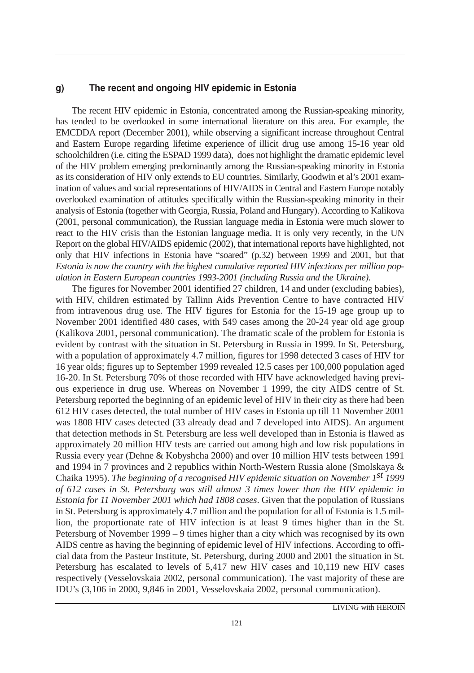#### $q)$ The recent and ongoing HIV epidemic in Estonia

The recent HIV epidemic in Estonia, concentrated among the Russian-speaking minority, has tended to be overlooked in some international literature on this area. For example, the EMCDDA report (December 2001), while observing a significant increase throughout Central and Eastern Europe regarding lifetime experience of illicit drug use among 15-16 year old schoolchildren (i.e. citing the ESPAD 1999 data), does not highlight the dramatic epidemic level of the HIV problem emerging predominantly among the Russian-speaking minority in Estonia as its consideration of HIV only extends to EU countries. Similarly, Goodwin et al's 2001 examination of values and social representations of HIV/AIDS in Central and Eastern Europe notably overlooked examination of attitudes specifically within the Russian-speaking minority in their analysis of Estonia (together with Georgia, Russia, Poland and Hungary). According to Kalikova (2001, personal communication), the Russian language media in Estonia were much slower to react to the HIV crisis than the Estonian language media. It is only very recently, in the UN Report on the global HIV/AIDS epidemic (2002), that international reports have highlighted, not only that HIV infections in Estonia have "soared" (p.32) between 1999 and 2001, but that *Estonia is now the country with the highest cumulative reported HIV infections per million population in Eastern European countries 1993-2001 (including Russia and the Ukraine).*

The figures for November 2001 identified 27 children, 14 and under (excluding babies), with HIV, children estimated by Tallinn Aids Prevention Centre to have contracted HIV from intravenous drug use. The HIV figures for Estonia for the 15-19 age group up to November 2001 identified 480 cases, with 549 cases among the 20-24 year old age group (Kalikova 2001, personal communication). The dramatic scale of the problem for Estonia is evident by contrast with the situation in St. Petersburg in Russia in 1999. In St. Petersburg, with a population of approximately 4.7 million, figures for 1998 detected 3 cases of HIV for 16 year olds; figures up to September 1999 revealed 12.5 cases per 100,000 population aged 16-20. In St. Petersburg 70% of those recorded with HIV have acknowledged having previous experience in drug use. Whereas on November 1 1999, the city AIDS centre of St. Petersburg reported the beginning of an epidemic level of HIV in their city as there had been 612 HIV cases detected, the total number of HIV cases in Estonia up till 11 November 2001 was 1808 HIV cases detected (33 already dead and 7 developed into AIDS). An argument that detection methods in St. Petersburg are less well developed than in Estonia is flawed as approximately 20 million HIV tests are carried out among high and low risk populations in Russia every year (Dehne & Kobyshcha 2000) and over 10 million HIV tests between 1991 and 1994 in 7 provinces and 2 republics within North-Western Russia alone (Smolskaya & Chaika 1995). *The beginning of a recognised HIV epidemic situation on November 1st 1999 of 612 cases in St. Petersburg was still almost 3 times lower than the HIV epidemic in Estonia for 11 November 2001 which had 1808 cases*. Given that the population of Russians in St. Petersburg is approximately 4.7 million and the population for all of Estonia is 1.5 million, the proportionate rate of HIV infection is at least 9 times higher than in the St. Petersburg of November 1999 – 9 times higher than a city which was recognised by its own AIDS centre as having the beginning of epidemic level of HIV infections. According to official data from the Pasteur Institute, St. Petersburg, during 2000 and 2001 the situation in St. Petersburg has escalated to levels of 5,417 new HIV cases and 10,119 new HIV cases respectively (Vesselovskaia 2002, personal communication). The vast majority of these are IDU's (3,106 in 2000, 9,846 in 2001, Vesselovskaia 2002, personal communication).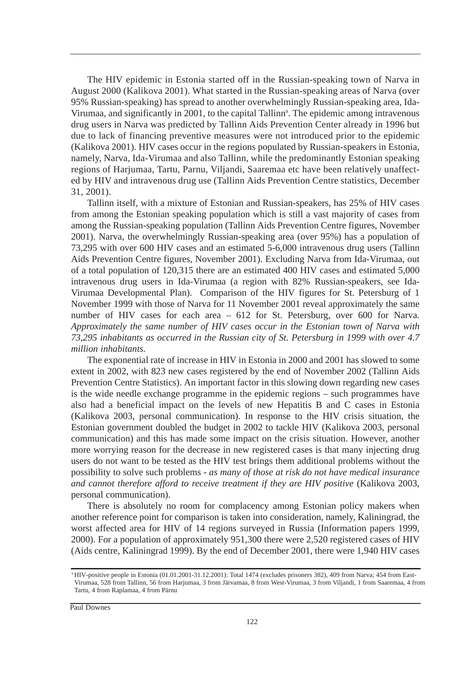The HIV epidemic in Estonia started off in the Russian-speaking town of Narva in August 2000 (Kalikova 2001). What started in the Russian-speaking areas of Narva (over 95% Russian-speaking) has spread to another overwhelmingly Russian-speaking area, Ida-Virumaa, and significantly in 2001, to the capital Tallinn<sup>9</sup>. The epidemic among intravenous drug users in Narva was predicted by Tallinn Aids Prevention Center already in 1996 but due to lack of financing preventive measures were not introduced prior to the epidemic (Kalikova 2001). HIV cases occur in the regions populated by Russian-speakers in Estonia, namely, Narva, Ida-Virumaa and also Tallinn, while the predominantly Estonian speaking regions of Harjumaa, Tartu, Parnu, Viljandi, Saaremaa etc have been relatively unaffected by HIV and intravenous drug use (Tallinn Aids Prevention Centre statistics, December 31, 2001).

Tallinn itself, with a mixture of Estonian and Russian-speakers, has 25% of HIV cases from among the Estonian speaking population which is still a vast majority of cases from among the Russian-speaking population (Tallinn Aids Prevention Centre figures, November 2001). Narva, the overwhelmingly Russian-speaking area (over 95%) has a population of 73,295 with over 600 HIV cases and an estimated 5-6,000 intravenous drug users (Tallinn Aids Prevention Centre figures, November 2001). Excluding Narva from Ida-Virumaa, out of a total population of 120,315 there are an estimated 400 HIV cases and estimated 5,000 intravenous drug users in Ida-Virumaa (a region with 82% Russian-speakers, see Ida-Virumaa Developmental Plan). Comparison of the HIV figures for St. Petersburg of 1 November 1999 with those of Narva for 11 November 2001 reveal approximately the same number of HIV cases for each area – 612 for St. Petersburg, over 600 for Narva. *Approximately the same number of HIV cases occur in the Estonian town of Narva with 73,295 inhabitants as occurred in the Russian city of St. Petersburg in 1999 with over 4.7 million inhabitants.*

The exponential rate of increase in HIV in Estonia in 2000 and 2001 has slowed to some extent in 2002, with 823 new cases registered by the end of November 2002 (Tallinn Aids Prevention Centre Statistics). An important factor in this slowing down regarding new cases is the wide needle exchange programme in the epidemic regions – such programmes have also had a beneficial impact on the levels of new Hepatitis B and C cases in Estonia (Kalikova 2003, personal communication). In response to the HIV crisis situation, the Estonian government doubled the budget in 2002 to tackle HIV (Kalikova 2003, personal communication) and this has made some impact on the crisis situation. However, another more worrying reason for the decrease in new registered cases is that many injecting drug users do not want to be tested as the HIV test brings them additional problems without the possibility to solve such problems - *as many of those at risk do not have medical insurance and cannot therefore afford to receive treatment if they are HIV positive* (Kalikova 2003, personal communication).

There is absolutely no room for complacency among Estonian policy makers when another reference point for comparison is taken into consideration, namely, Kaliningrad, the worst affected area for HIV of 14 regions surveyed in Russia (Information papers 1999, 2000). For a population of approximately 951,300 there were 2,520 registered cases of HIV (Aids centre, Kaliningrad 1999). By the end of December 2001, there were 1,940 HIV cases

<sup>9</sup>HIV-positive people in Estonia (01.01.2001-31.12.2001): Total 1474 (excludes prisoners 382), 409 from Narva; 454 from East-Virumaa, 528 from Tallinn, 56 from Harjumaa, 3 from Järvamaa, 8 from West-Virumaa, 3 from Viljandi, 1 from Saaremaa, 4 from Tartu, 4 from Raplamaa, 4 from Pärnu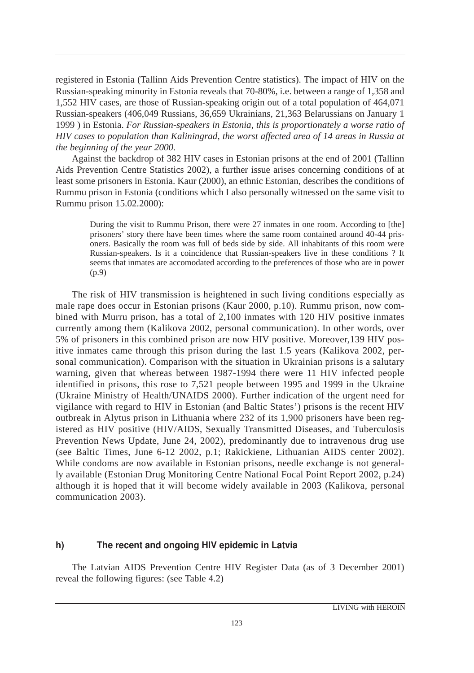registered in Estonia (Tallinn Aids Prevention Centre statistics). The impact of HIV on the Russian-speaking minority in Estonia reveals that 70-80%, i.e. between a range of 1,358 and 1,552 HIV cases, are those of Russian-speaking origin out of a total population of 464,071 Russian-speakers (406,049 Russians, 36,659 Ukrainians, 21,363 Belarussians on January 1 1999 ) in Estonia. *For Russian-speakers in Estonia, this is proportionately a worse ratio of HIV cases to population than Kaliningrad, the worst affected area of 14 areas in Russia at the beginning of the year 2000.* 

Against the backdrop of 382 HIV cases in Estonian prisons at the end of 2001 (Tallinn Aids Prevention Centre Statistics 2002), a further issue arises concerning conditions of at least some prisoners in Estonia. Kaur (2000), an ethnic Estonian, describes the conditions of Rummu prison in Estonia (conditions which I also personally witnessed on the same visit to Rummu prison 15.02.2000):

During the visit to Rummu Prison, there were 27 inmates in one room. According to [the] prisoners' story there have been times where the same room contained around 40-44 prisoners. Basically the room was full of beds side by side. All inhabitants of this room were Russian-speakers. Is it a coincidence that Russian-speakers live in these conditions ? It seems that inmates are accomodated according to the preferences of those who are in power (p.9)

The risk of HIV transmission is heightened in such living conditions especially as male rape does occur in Estonian prisons (Kaur 2000, p.10). Rummu prison, now combined with Murru prison, has a total of 2,100 inmates with 120 HIV positive inmates currently among them (Kalikova 2002, personal communication). In other words, over 5% of prisoners in this combined prison are now HIV positive. Moreover,139 HIV positive inmates came through this prison during the last 1.5 years (Kalikova 2002, personal communication). Comparison with the situation in Ukrainian prisons is a salutary warning, given that whereas between 1987-1994 there were 11 HIV infected people identified in prisons, this rose to 7,521 people between 1995 and 1999 in the Ukraine (Ukraine Ministry of Health/UNAIDS 2000). Further indication of the urgent need for vigilance with regard to HIV in Estonian (and Baltic States') prisons is the recent HIV outbreak in Alytus prison in Lithuania where 232 of its 1,900 prisoners have been registered as HIV positive (HIV/AIDS, Sexually Transmitted Diseases, and Tuberculosis Prevention News Update, June 24, 2002), predominantly due to intravenous drug use (see Baltic Times, June 6-12 2002, p.1; Rakickiene, Lithuanian AIDS center 2002). While condoms are now available in Estonian prisons, needle exchange is not generally available (Estonian Drug Monitoring Centre National Focal Point Report 2002, p.24) although it is hoped that it will become widely available in 2003 (Kalikova, personal communication 2003).

#### h) The recent and ongoing HIV epidemic in Latvia

The Latvian AIDS Prevention Centre HIV Register Data (as of 3 December 2001) reveal the following figures: (see Table 4.2)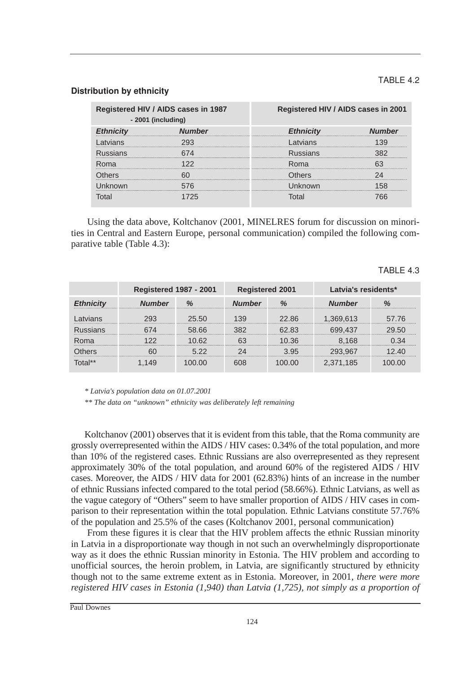#### TABLE 4.2

#### Distribution by ethnicity

| Registered HIV / AIDS cases in 1987<br>- 2001 (including) |  | Registered HIV / AIDS cases in 2001 |  |  |
|-----------------------------------------------------------|--|-------------------------------------|--|--|
|                                                           |  | Ethnicity<br>                       |  |  |
| --------------------------------------                    |  |                                     |  |  |
|                                                           |  |                                     |  |  |
|                                                           |  |                                     |  |  |
|                                                           |  |                                     |  |  |
|                                                           |  |                                     |  |  |
|                                                           |  |                                     |  |  |

Using the data above, Koltchanov (2001, MINELRES forum for discussion on minorities in Central and Eastern Europe, personal communication) compiled the following comparative table (Table 4.3):

|               | <b>Registered 1987 - 2001</b> |       | <b>Registered 2001</b> |       | Latvia's residents* |       |
|---------------|-------------------------------|-------|------------------------|-------|---------------------|-------|
| nnicitu<br>FН | umher                         |       | <b>umber</b>           |       | Numher              |       |
|               |                               | 25.50 |                        | 22.86 | 1,369,613           | 57.76 |
|               |                               | 58.66 |                        | 62 83 | 699.437             | 29.50 |
|               |                               | ገ 62  |                        | 10 36 | .168                |       |
|               |                               | 5.22  |                        | 3.95  | 293.96              |       |
| $nta!**$      |                               |       |                        | חח חר | 2.371.185           | ገ በበ  |

#### TABLE  $4.3$

*\* Latvia's population data on 01.07.2001* 

*\*\* The data on "unknown" ethnicity was deliberately left remaining*

Koltchanov (2001) observes that it is evident from this table, that the Roma community are grossly overrepresented within the AIDS / HIV cases: 0.34% of the total population, and more than 10% of the registered cases. Ethnic Russians are also overrepresented as they represent approximately 30% of the total population, and around 60% of the registered AIDS / HIV cases. Moreover, the AIDS / HIV data for 2001 (62.83%) hints of an increase in the number of ethnic Russians infected compared to the total period (58.66%). Ethnic Latvians, as well as the vague category of "Others" seem to have smaller proportion of AIDS / HIV cases in comparison to their representation within the total population. Ethnic Latvians constitute 57.76% of the population and 25.5% of the cases (Koltchanov 2001, personal communication)

From these figures it is clear that the HIV problem affects the ethnic Russian minority in Latvia in a disproportionate way though in not such an overwhelmingly disproportionate way as it does the ethnic Russian minority in Estonia. The HIV problem and according to unofficial sources, the heroin problem, in Latvia, are significantly structured by ethnicity though not to the same extreme extent as in Estonia. Moreover, in 2001, *there were more registered HIV cases in Estonia (1,940) than Latvia (1,725), not simply as a proportion of*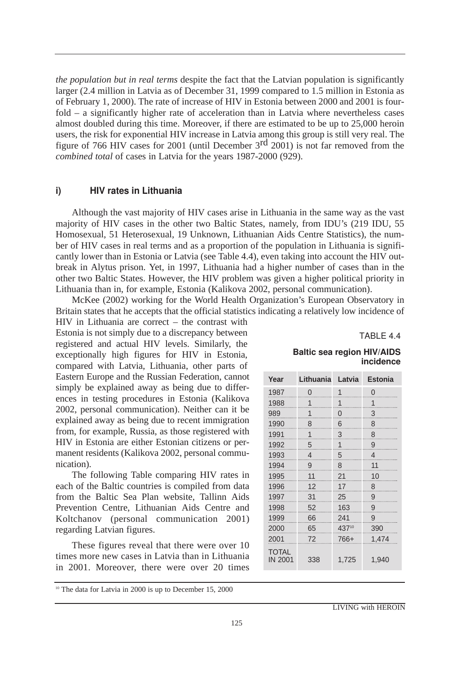*the population but in real terms* despite the fact that the Latvian population is significantly larger (2.4 million in Latvia as of December 31, 1999 compared to 1.5 million in Estonia as of February 1, 2000). The rate of increase of HIV in Estonia between 2000 and 2001 is fourfold – a significantly higher rate of acceleration than in Latvia where nevertheless cases almost doubled during this time. Moreover, if there are estimated to be up to 25,000 heroin users, the risk for exponential HIV increase in Latvia among this group is still very real. The figure of 766 HIV cases for 2001 (until December 3rd 2001) is not far removed from the *combined total* of cases in Latvia for the years 1987-2000 (929).

#### i) HIV rates in Lithuania

Although the vast majority of HIV cases arise in Lithuania in the same way as the vast majority of HIV cases in the other two Baltic States, namely, from IDU's (219 IDU, 55 Homosexual, 51 Heterosexual, 19 Unknown, Lithuanian Aids Centre Statistics), the number of HIV cases in real terms and as a proportion of the population in Lithuania is significantly lower than in Estonia or Latvia (see Table 4.4), even taking into account the HIV outbreak in Alytus prison. Yet, in 1997, Lithuania had a higher number of cases than in the other two Baltic States. However, the HIV problem was given a higher political priority in Lithuania than in, for example, Estonia (Kalikova 2002, personal communication).

McKee (2002) working for the World Health Organization's European Observatory in Britain states that he accepts that the official statistics indicating a relatively low incidence of

HIV in Lithuania are correct – the contrast with Estonia is not simply due to a discrepancy between registered and actual HIV levels. Similarly, the exceptionally high figures for HIV in Estonia, compared with Latvia, Lithuania, other parts of Eastern Europe and the Russian Federation, cannot simply be explained away as being due to differences in testing procedures in Estonia (Kalikova 2002, personal communication). Neither can it be explained away as being due to recent immigration from, for example, Russia, as those registered with HIV in Estonia are either Estonian citizens or permanent residents (Kalikova 2002, personal communication).

The following Table comparing HIV rates in each of the Baltic countries is compiled from data from the Baltic Sea Plan website, Tallinn Aids Prevention Centre, Lithuanian Aids Centre and Koltchanov (personal communication 2001) regarding Latvian figures.

These figures reveal that there were over 10 times more new cases in Latvia than in Lithuania in 2001. Moreover, there were over 20 times

<sup>10</sup> The data for Latvia in 2000 is up to December 15, 2000

TABLE 4.4

#### Baltic sea region HIV/AIDS incidence

| Year                           | Lithuania Latvia |          | <b>Estonia</b> |
|--------------------------------|------------------|----------|----------------|
| 1987                           | $\Omega$         | 1        | 0              |
| 1988                           | 1                | 1        | 1              |
| 989                            | 1                | $\Omega$ | 3              |
| 1990                           | 8                | 6        | 8              |
| 1991                           | 1                | 3        | 8              |
| 1992                           | 5                | 1        | 9              |
| 1993                           | 4                | 5        | 4              |
| 1994                           | 9                | 8        | 11             |
| 1995                           | 11               | 21       | 10             |
| 1996                           | 12               | 17       | 8              |
| 1997                           | 31               | 25       | 9              |
| 1998                           | 52               | 163      | 9              |
| 1999                           | 66               | 241      | 9              |
| 2000                           | 65               | 43710    | 390            |
| 2001                           | 72               | 766+     | 1,474          |
| <b>TOTAL</b><br><b>IN 2001</b> | 338              | 1,725    | 1,940          |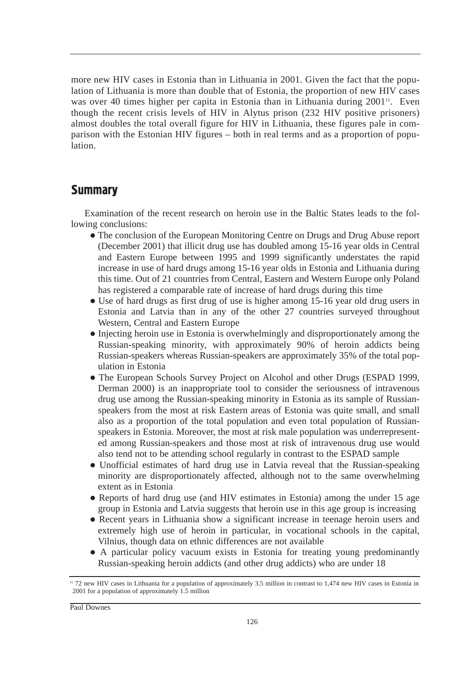more new HIV cases in Estonia than in Lithuania in 2001. Given the fact that the population of Lithuania is more than double that of Estonia, the proportion of new HIV cases was over 40 times higher per capita in Estonia than in Lithuania during  $2001$ <sup>11</sup>. Even though the recent crisis levels of HIV in Alytus prison (232 HIV positive prisoners) almost doubles the total overall figure for HIV in Lithuania, these figures pale in comparison with the Estonian HIV figures – both in real terms and as a proportion of population.

## **Summary**

Examination of the recent research on heroin use in the Baltic States leads to the following conclusions:

- The conclusion of the European Monitoring Centre on Drugs and Drug Abuse report (December 2001) that illicit drug use has doubled among 15-16 year olds in Central and Eastern Europe between 1995 and 1999 significantly understates the rapid increase in use of hard drugs among 15-16 year olds in Estonia and Lithuania during this time. Out of 21 countries from Central, Eastern and Western Europe only Poland has registered a comparable rate of increase of hard drugs during this time
- Use of hard drugs as first drug of use is higher among 15-16 year old drug users in Estonia and Latvia than in any of the other 27 countries surveyed throughout Western, Central and Eastern Europe
- Injecting heroin use in Estonia is overwhelmingly and disproportionately among the Russian-speaking minority, with approximately 90% of heroin addicts being Russian-speakers whereas Russian-speakers are approximately 35% of the total population in Estonia
- The European Schools Survey Project on Alcohol and other Drugs (ESPAD 1999, Derman 2000) is an inappropriate tool to consider the seriousness of intravenous drug use among the Russian-speaking minority in Estonia as its sample of Russianspeakers from the most at risk Eastern areas of Estonia was quite small, and small also as a proportion of the total population and even total population of Russianspeakers in Estonia. Moreover, the most at risk male population was underrepresented among Russian-speakers and those most at risk of intravenous drug use would also tend not to be attending school regularly in contrast to the ESPAD sample
- Unofficial estimates of hard drug use in Latvia reveal that the Russian-speaking minority are disproportionately affected, although not to the same overwhelming extent as in Estonia
- Reports of hard drug use (and HIV estimates in Estonia) among the under 15 age group in Estonia and Latvia suggests that heroin use in this age group is increasing
- Recent years in Lithuania show a significant increase in teenage heroin users and extremely high use of heroin in particular, in vocational schools in the capital, Vilnius, though data on ethnic differences are not available
- A particular policy vacuum exists in Estonia for treating young predominantly Russian-speaking heroin addicts (and other drug addicts) who are under 18

<sup>&</sup>lt;sup>11</sup> 72 new HIV cases in Lithuania for a population of approximately 3.5 million in contrast to 1,474 new HIV cases in Estonia in 2001 for a population of approximately 1.5 million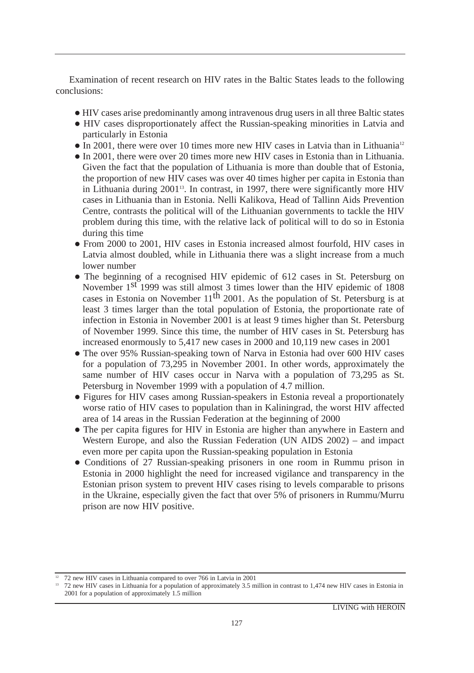Examination of recent research on HIV rates in the Baltic States leads to the following conclusions:

- HIV cases arise predominantly among intravenous drug users in all three Baltic states
- HIV cases disproportionately affect the Russian-speaking minorities in Latvia and particularly in Estonia
- $\bullet$  In 2001, there were over 10 times more new HIV cases in Latvia than in Lithuania<sup>12</sup>
- In 2001, there were over 20 times more new HIV cases in Estonia than in Lithuania. Given the fact that the population of Lithuania is more than double that of Estonia, the proportion of new HIV cases was over 40 times higher per capita in Estonia than in Lithuania during 2001<sup>13</sup>. In contrast, in 1997, there were significantly more HIV cases in Lithuania than in Estonia. Nelli Kalikova, Head of Tallinn Aids Prevention Centre, contrasts the political will of the Lithuanian governments to tackle the HIV problem during this time, with the relative lack of political will to do so in Estonia during this time
- From 2000 to 2001, HIV cases in Estonia increased almost fourfold, HIV cases in Latvia almost doubled, while in Lithuania there was a slight increase from a much lower number
- The beginning of a recognised HIV epidemic of 612 cases in St. Petersburg on November 1<sup>st</sup> 1999 was still almost 3 times lower than the HIV epidemic of 1808 cases in Estonia on November  $11<sup>th</sup>$  2001. As the population of St. Petersburg is at least 3 times larger than the total population of Estonia, the proportionate rate of infection in Estonia in November 2001 is at least 9 times higher than St. Petersburg of November 1999. Since this time, the number of HIV cases in St. Petersburg has increased enormously to 5,417 new cases in 2000 and 10,119 new cases in 2001
- The over 95% Russian-speaking town of Narva in Estonia had over 600 HIV cases for a population of 73,295 in November 2001. In other words, approximately the same number of HIV cases occur in Narva with a population of 73,295 as St. Petersburg in November 1999 with a population of 4.7 million.
- Figures for HIV cases among Russian-speakers in Estonia reveal a proportionately worse ratio of HIV cases to population than in Kaliningrad, the worst HIV affected area of 14 areas in the Russian Federation at the beginning of 2000
- The per capita figures for HIV in Estonia are higher than anywhere in Eastern and Western Europe, and also the Russian Federation (UN AIDS 2002) – and impact even more per capita upon the Russian-speaking population in Estonia
- Conditions of 27 Russian-speaking prisoners in one room in Rummu prison in Estonia in 2000 highlight the need for increased vigilance and transparency in the Estonian prison system to prevent HIV cases rising to levels comparable to prisons in the Ukraine, especially given the fact that over 5% of prisoners in Rummu/Murru prison are now HIV positive.

<sup>&</sup>lt;sup>12</sup> 72 new HIV cases in Lithuania compared to over 766 in Latvia in 2001 13 72 new HIV cases in Extonia in <sup>13</sup> 72 new HIV cases in Estonia in 2001 for a population of approximately 1.5 million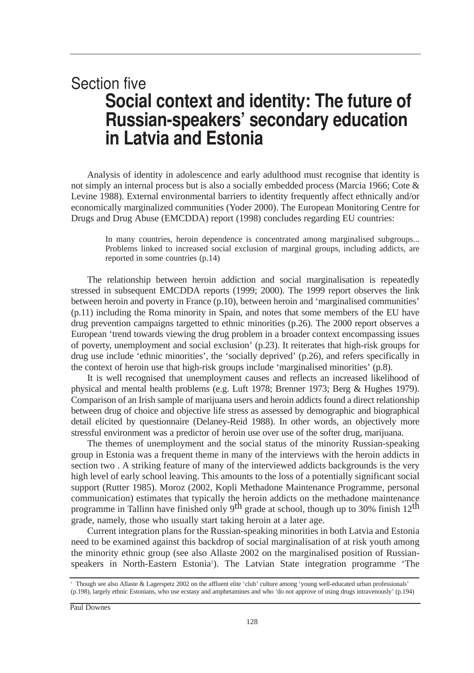# **Section five** Social context and identity: The future of Russian-speakers' secondary education in Latvia and Estonia

Analysis of identity in adolescence and early adulthood must recognise that identity is not simply an internal process but is also a socially embedded process (Marcia 1966; Cote & Levine 1988). External environmental barriers to identity frequently affect ethnically and/or economically marginalized communities (Yoder 2000). The European Monitoring Centre for Drugs and Drug Abuse (EMCDDA) report (1998) concludes regarding EU countries:

In many countries, heroin dependence is concentrated among marginalised subgroups... Problems linked to increased social exclusion of marginal groups, including addicts, are reported in some countries (p.14)

The relationship between heroin addiction and social marginalisation is repeatedly stressed in subsequent EMCDDA reports (1999; 2000). The 1999 report observes the link between heroin and poverty in France (p.10), between heroin and 'marginalised communities' (p.11) including the Roma minority in Spain, and notes that some members of the EU have drug prevention campaigns targetted to ethnic minorities (p.26). The 2000 report observes a European 'trend towards viewing the drug problem in a broader context encompassing issues of poverty, unemployment and social exclusion' (p.23). It reiterates that high-risk groups for drug use include 'ethnic minorities', the 'socially deprived' (p.26), and refers specifically in the context of heroin use that high-risk groups include 'marginalised minorities' (p.8).

It is well recognised that unemployment causes and reflects an increased likelihood of physical and mental health problems (e.g. Luft 1978; Brenner 1973; Berg & Hughes 1979). Comparison of an Irish sample of marijuana users and heroin addicts found a direct relationship between drug of choice and objective life stress as assessed by demographic and biographical detail elicited by questionnaire (Delaney-Reid 1988). In other words, an objectively more stressful environment was a predictor of heroin use over use of the softer drug, marijuana.

The themes of unemployment and the social status of the minority Russian-speaking group in Estonia was a frequent theme in many of the interviews with the heroin addicts in section two . A striking feature of many of the interviewed addicts backgrounds is the very high level of early school leaving. This amounts to the loss of a potentially significant social support (Rutter 1985). Moroz (2002, Kopli Methadone Maintenance Programme, personal communication) estimates that typically the heroin addicts on the methadone maintenance programme in Tallinn have finished only 9<sup>th</sup> grade at school, though up to 30% finish 12<sup>th</sup> grade, namely, those who usually start taking heroin at a later age.

Current integration plans for the Russian-speaking minorities in both Latvia and Estonia need to be examined against this backdrop of social marginalisation of at risk youth among the minority ethnic group (see also Allaste 2002 on the marginalised position of Russianspeakers in North-Eastern Estonia<sup>1</sup>). The Latvian State integration programme 'The

<sup>1</sup> Though see also Allaste & Lagerspetz 2002 on the affluent elite 'club' culture among 'young well-educated urban professionals' (p.198), largely ethnic Estonians, who use ecstasy and amphetamines and who 'do not approve of using drugs intravenously' (p.194)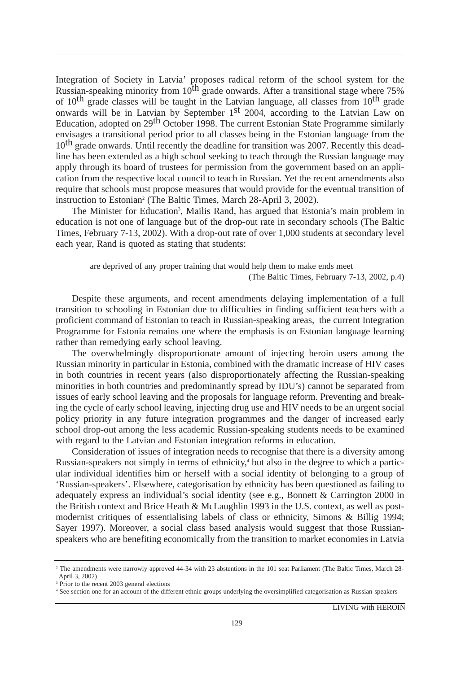Integration of Society in Latvia' proposes radical reform of the school system for the Russian-speaking minority from  $10^{th}$  grade onwards. After a transitional stage where 75% of  $10^{th}$  grade classes will be taught in the Latvian language, all classes from  $10^{th}$  grade onwards will be in Latvian by September 1st 2004, according to the Latvian Law on Education, adopted on 29<sup>th</sup> October 1998. The current Estonian State Programme similarly envisages a transitional period prior to all classes being in the Estonian language from the 10<sup>th</sup> grade onwards. Until recently the deadline for transition was 2007. Recently this deadline has been extended as a high school seeking to teach through the Russian language may apply through its board of trustees for permission from the government based on an application from the respective local council to teach in Russian. Yet the recent amendments also require that schools must propose measures that would provide for the eventual transition of instruction to Estonian<sup>2</sup> (The Baltic Times, March 28-April 3, 2002).

The Minister for Education<sup>3</sup>, Mailis Rand, has argued that Estonia's main problem in education is not one of language but of the drop-out rate in secondary schools (The Baltic Times, February 7-13, 2002). With a drop-out rate of over 1,000 students at secondary level each year, Rand is quoted as stating that students:

are deprived of any proper training that would help them to make ends meet (The Baltic Times, February 7-13, 2002, p.4)

Despite these arguments, and recent amendments delaying implementation of a full transition to schooling in Estonian due to difficulties in finding sufficient teachers with a proficient command of Estonian to teach in Russian-speaking areas, the current Integration Programme for Estonia remains one where the emphasis is on Estonian language learning rather than remedying early school leaving.

The overwhelmingly disproportionate amount of injecting heroin users among the Russian minority in particular in Estonia, combined with the dramatic increase of HIV cases in both countries in recent years (also disproportionately affecting the Russian-speaking minorities in both countries and predominantly spread by IDU's) cannot be separated from issues of early school leaving and the proposals for language reform. Preventing and breaking the cycle of early school leaving, injecting drug use and HIV needs to be an urgent social policy priority in any future integration programmes and the danger of increased early school drop-out among the less academic Russian-speaking students needs to be examined with regard to the Latvian and Estonian integration reforms in education.

Consideration of issues of integration needs to recognise that there is a diversity among Russian-speakers not simply in terms of ethnicity,<sup>4</sup> but also in the degree to which a particular individual identifies him or herself with a social identity of belonging to a group of 'Russian-speakers'. Elsewhere, categorisation by ethnicity has been questioned as failing to adequately express an individual's social identity (see e.g., Bonnett & Carrington 2000 in the British context and Brice Heath & McLaughlin 1993 in the U.S. context, as well as postmodernist critiques of essentialising labels of class or ethnicity, Simons & Billig 1994; Sayer 1997). Moreover, a social class based analysis would suggest that those Russianspeakers who are benefiting economically from the transition to market economies in Latvia

<sup>&</sup>lt;sup>2</sup> The amendments were narrowly approved 44-34 with 23 abstentions in the 101 seat Parliament (The Baltic Times, March 28-April 3, 2002)

<sup>&</sup>lt;sup>3</sup> Prior to the recent 2003 general elections

<sup>4</sup> See section one for an account of the different ethnic groups underlying the oversimplified categorisation as Russian-speakers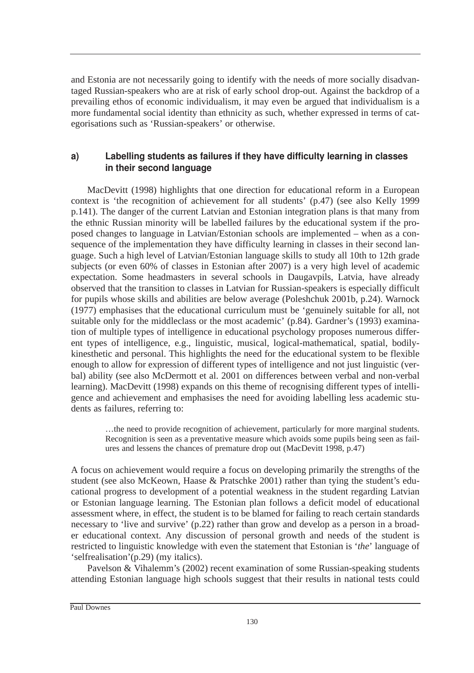and Estonia are not necessarily going to identify with the needs of more socially disadvantaged Russian-speakers who are at risk of early school drop-out. Against the backdrop of a prevailing ethos of economic individualism, it may even be argued that individualism is a more fundamental social identity than ethnicity as such, whether expressed in terms of categorisations such as 'Russian-speakers' or otherwise.

## a) Labelling students as failures if they have difficulty learning in classes in their second language

MacDevitt (1998) highlights that one direction for educational reform in a European context is 'the recognition of achievement for all students' (p.47) (see also Kelly 1999 p.141). The danger of the current Latvian and Estonian integration plans is that many from the ethnic Russian minority will be labelled failures by the educational system if the proposed changes to language in Latvian/Estonian schools are implemented – when as a consequence of the implementation they have difficulty learning in classes in their second language. Such a high level of Latvian/Estonian language skills to study all 10th to 12th grade subjects (or even 60% of classes in Estonian after 2007) is a very high level of academic expectation. Some headmasters in several schools in Daugavpils, Latvia, have already observed that the transition to classes in Latvian for Russian-speakers is especially difficult for pupils whose skills and abilities are below average (Poleshchuk 2001b, p.24). Warnock (1977) emphasises that the educational curriculum must be 'genuinely suitable for all, not suitable only for the middleclass or the most academic' (p.84). Gardner's (1993) examination of multiple types of intelligence in educational psychology proposes numerous different types of intelligence, e.g., linguistic, musical, logical-mathematical, spatial, bodilykinesthetic and personal. This highlights the need for the educational system to be flexible enough to allow for expression of different types of intelligence and not just linguistic (verbal) ability (see also McDermott et al. 2001 on differences between verbal and non-verbal learning). MacDevitt (1998) expands on this theme of recognising different types of intelligence and achievement and emphasises the need for avoiding labelling less academic students as failures, referring to:

…the need to provide recognition of achievement, particularly for more marginal students. Recognition is seen as a preventative measure which avoids some pupils being seen as failures and lessens the chances of premature drop out (MacDevitt 1998, p.47)

A focus on achievement would require a focus on developing primarily the strengths of the student (see also McKeown, Haase & Pratschke 2001) rather than tying the student's educational progress to development of a potential weakness in the student regarding Latvian or Estonian language learning. The Estonian plan follows a deficit model of educational assessment where, in effect, the student is to be blamed for failing to reach certain standards necessary to 'live and survive' (p.22) rather than grow and develop as a person in a broader educational context. Any discussion of personal growth and needs of the student is restricted to linguistic knowledge with even the statement that Estonian is '*the*' language of 'selfrealisation'(p.29) (my italics).

Pavelson & Vihalemm's (2002) recent examination of some Russian-speaking students attending Estonian language high schools suggest that their results in national tests could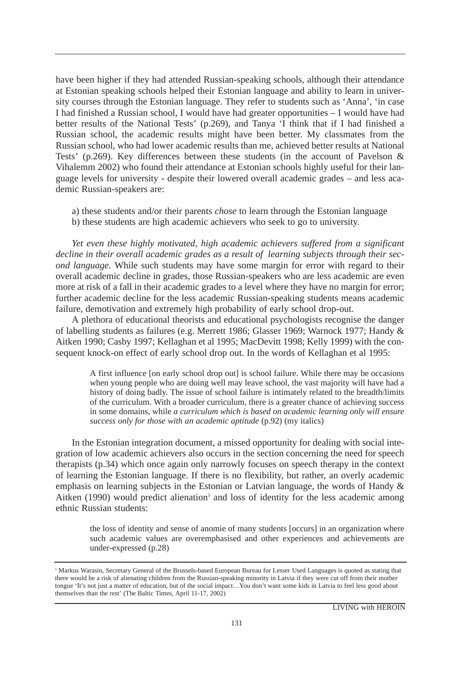have been higher if they had attended Russian-speaking schools, although their attendance at Estonian speaking schools helped their Estonian language and ability to learn in university courses through the Estonian language. They refer to students such as 'Anna', 'in case I had finished a Russian school, I would have had greater opportunities – I would have had better results of the National Tests' (p.269), and Tanya 'I think that if I had finished a Russian school, the academic results might have been better. My classmates from the Russian school, who had lower academic results than me, achieved better results at National Tests' (p.269). Key differences between these students (in the account of Pavelson & Vihalemm 2002) who found their attendance at Estonian schools highly useful for their language levels for university - despite their lowered overall academic grades – and less academic Russian-speakers are:

- a) these students and/or their parents *chose* to learn through the Estonian language
- b) these students are high academic achievers who seek to go to university.

*Yet even these highly motivated, high academic achievers suffered from a significant decline in their overall academic grades as a result of learning subjects through their second language.* While such students may have some margin for error with regard to their overall academic decline in grades, those Russian-speakers who are less academic are even more at risk of a fall in their academic grades to a level where they have no margin for error; further academic decline for the less academic Russian-speaking students means academic failure, demotivation and extremely high probability of early school drop-out.

A plethora of educational theorists and educational psychologists recognise the danger of labelling students as failures (e.g. Merrett 1986; Glasser 1969; Warnock 1977; Handy & Aitken 1990; Casby 1997; Kellaghan et al 1995; MacDevitt 1998; Kelly 1999) with the consequent knock-on effect of early school drop out. In the words of Kellaghan et al 1995:

A first influence [on early school drop out] is school failure. While there may be occasions when young people who are doing well may leave school, the vast majority will have had a history of doing badly. The issue of school failure is intimately related to the breadth/limits of the curriculum. With a broader curriculum, there is a greater chance of achieving success in some domains, while *a curriculum which is based on academic learning only will ensure success only for those with an academic aptitude* (p.92) (my italics)

In the Estonian integration document, a missed opportunity for dealing with social integration of low academic achievers also occurs in the section concerning the need for speech therapists (p.34) which once again only narrowly focuses on speech therapy in the context of learning the Estonian language. If there is no flexibility, but rather, an overly academic emphasis on learning subjects in the Estonian or Latvian language, the words of Handy & Aitken (1990) would predict alienation<sup>5</sup> and loss of identity for the less academic among ethnic Russian students:

the loss of identity and sense of anomie of many students [occurs] in an organization where such academic values are overemphasised and other experiences and achievements are under-expressed (p.28)

<sup>&</sup>lt;sup>5</sup> Markus Warasin, Secretary General of the Brussels-based European Bureau for Lesser Used Languages is quoted as stating that there would be a risk of alienating children from the Russian-speaking minority in Latvia if they were cut off from their mother tongue 'It's not just a matter of education, but of the social impact…You don't want some kids in Latvia to feel less good about themselves than the rest' (The Baltic Times, April 11-17, 2002)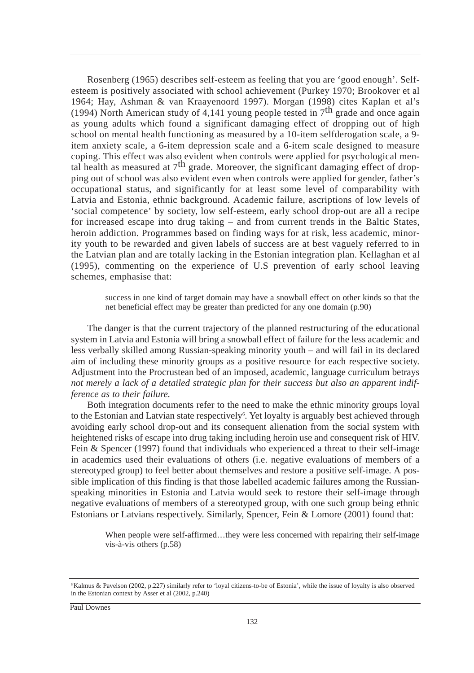Rosenberg (1965) describes self-esteem as feeling that you are 'good enough'. Selfesteem is positively associated with school achievement (Purkey 1970; Brookover et al 1964; Hay, Ashman & van Kraayenoord 1997). Morgan (1998) cites Kaplan et al's (1994) North American study of 4,141 young people tested in  $7<sup>th</sup>$  grade and once again as young adults which found a significant damaging effect of dropping out of high school on mental health functioning as measured by a 10-item selfderogation scale, a 9 item anxiety scale, a 6-item depression scale and a 6-item scale designed to measure coping. This effect was also evident when controls were applied for psychological mental health as measured at  $7<sup>th</sup>$  grade. Moreover, the significant damaging effect of dropping out of school was also evident even when controls were applied for gender, father's occupational status, and significantly for at least some level of comparability with Latvia and Estonia, ethnic background. Academic failure, ascriptions of low levels of 'social competence' by society, low self-esteem, early school drop-out are all a recipe for increased escape into drug taking – and from current trends in the Baltic States, heroin addiction. Programmes based on finding ways for at risk, less academic, minority youth to be rewarded and given labels of success are at best vaguely referred to in the Latvian plan and are totally lacking in the Estonian integration plan. Kellaghan et al (1995), commenting on the experience of U.S prevention of early school leaving schemes, emphasise that:

success in one kind of target domain may have a snowball effect on other kinds so that the net beneficial effect may be greater than predicted for any one domain (p.90)

The danger is that the current trajectory of the planned restructuring of the educational system in Latvia and Estonia will bring a snowball effect of failure for the less academic and less verbally skilled among Russian-speaking minority youth – and will fail in its declared aim of including these minority groups as a positive resource for each respective society. Adjustment into the Procrustean bed of an imposed, academic, language curriculum betrays *not merely a lack of a detailed strategic plan for their success but also an apparent indifference as to their failure.*

Both integration documents refer to the need to make the ethnic minority groups loyal to the Estonian and Latvian state respectively<sup>6</sup>. Yet loyalty is arguably best achieved through avoiding early school drop-out and its consequent alienation from the social system with heightened risks of escape into drug taking including heroin use and consequent risk of HIV. Fein & Spencer (1997) found that individuals who experienced a threat to their self-image in academics used their evaluations of others (i.e. negative evaluations of members of a stereotyped group) to feel better about themselves and restore a positive self-image. A possible implication of this finding is that those labelled academic failures among the Russianspeaking minorities in Estonia and Latvia would seek to restore their self-image through negative evaluations of members of a stereotyped group, with one such group being ethnic Estonians or Latvians respectively. Similarly, Spencer, Fein & Lomore (2001) found that:

When people were self-affirmed...they were less concerned with repairing their self-image vis-à-vis others (p.58)

<sup>&</sup>lt;sup>6</sup>Kalmus & Pavelson (2002, p.227) similarly refer to 'loyal citizens-to-be of Estonia', while the issue of loyalty is also observed in the Estonian context by Asser et al (2002, p.240)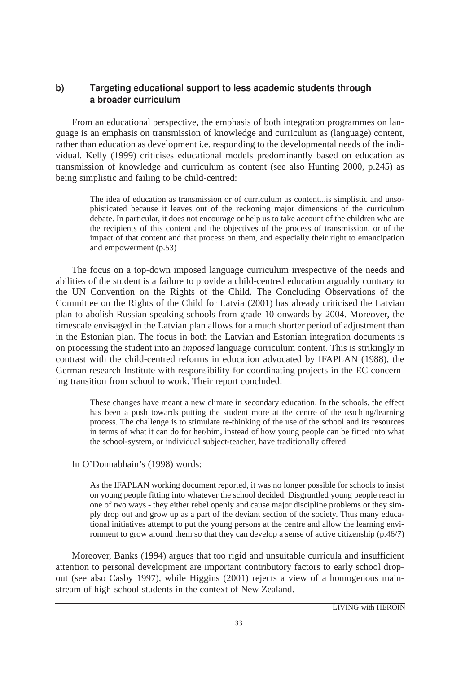## b) Targeting educational support to less academic students through a broader curriculum

From an educational perspective, the emphasis of both integration programmes on language is an emphasis on transmission of knowledge and curriculum as (language) content, rather than education as development i.e. responding to the developmental needs of the individual. Kelly (1999) criticises educational models predominantly based on education as transmission of knowledge and curriculum as content (see also Hunting 2000, p.245) as being simplistic and failing to be child-centred:

The idea of education as transmission or of curriculum as content...is simplistic and unsophisticated because it leaves out of the reckoning major dimensions of the curriculum debate. In particular, it does not encourage or help us to take account of the children who are the recipients of this content and the objectives of the process of transmission, or of the impact of that content and that process on them, and especially their right to emancipation and empowerment (p.53)

The focus on a top-down imposed language curriculum irrespective of the needs and abilities of the student is a failure to provide a child-centred education arguably contrary to the UN Convention on the Rights of the Child. The Concluding Observations of the Committee on the Rights of the Child for Latvia (2001) has already criticised the Latvian plan to abolish Russian-speaking schools from grade 10 onwards by 2004. Moreover, the timescale envisaged in the Latvian plan allows for a much shorter period of adjustment than in the Estonian plan. The focus in both the Latvian and Estonian integration documents is on processing the student into an *imposed* language curriculum content. This is strikingly in contrast with the child-centred reforms in education advocated by IFAPLAN (1988), the German research Institute with responsibility for coordinating projects in the EC concerning transition from school to work. Their report concluded:

These changes have meant a new climate in secondary education. In the schools, the effect has been a push towards putting the student more at the centre of the teaching/learning process. The challenge is to stimulate re-thinking of the use of the school and its resources in terms of what it can do for her/him, instead of how young people can be fitted into what the school-system, or individual subject-teacher, have traditionally offered

In O'Donnabhain's (1998) words:

As the IFAPLAN working document reported, it was no longer possible for schools to insist on young people fitting into whatever the school decided. Disgruntled young people react in one of two ways - they either rebel openly and cause major discipline problems or they simply drop out and grow up as a part of the deviant section of the society. Thus many educational initiatives attempt to put the young persons at the centre and allow the learning environment to grow around them so that they can develop a sense of active citizenship (p.46/7)

Moreover, Banks (1994) argues that too rigid and unsuitable curricula and insufficient attention to personal development are important contributory factors to early school dropout (see also Casby 1997), while Higgins (2001) rejects a view of a homogenous mainstream of high-school students in the context of New Zealand.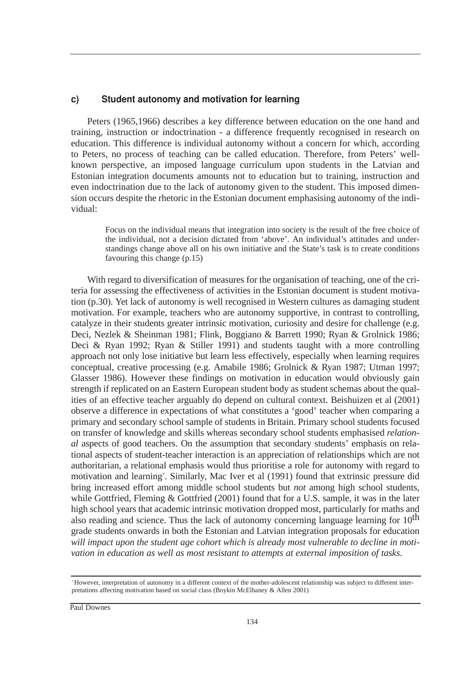#### c) Student autonomy and motivation for learning

Peters (1965,1966) describes a key difference between education on the one hand and training, instruction or indoctrination - a difference frequently recognised in research on education. This difference is individual autonomy without a concern for which, according to Peters, no process of teaching can be called education. Therefore, from Peters' wellknown perspective, an imposed language curriculum upon students in the Latvian and Estonian integration documents amounts not to education but to training, instruction and even indoctrination due to the lack of autonomy given to the student. This imposed dimension occurs despite the rhetoric in the Estonian document emphasising autonomy of the individual:

Focus on the individual means that integration into society is the result of the free choice of the individual, not a decision dictated from 'above'. An individual's attitudes and understandings change above all on his own initiative and the State's task is to create conditions favouring this change (p.15)

With regard to diversification of measures for the organisation of teaching, one of the criteria for assessing the effectiveness of activities in the Estonian document is student motivation (p.30). Yet lack of autonomy is well recognised in Western cultures as damaging student motivation. For example, teachers who are autonomy supportive, in contrast to controlling, catalyze in their students greater intrinsic motivation, curiosity and desire for challenge (e.g. Deci, Nezlek & Sheinman 1981; Flink, Boggiano & Barrett 1990; Ryan & Grolnick 1986; Deci & Ryan 1992; Ryan & Stiller 1991) and students taught with a more controlling approach not only lose initiative but learn less effectively, especially when learning requires conceptual, creative processing (e.g. Amabile 1986; Grolnick & Ryan 1987; Utman 1997; Glasser 1986). However these findings on motivation in education would obviously gain strength if replicated on an Eastern European student body as student schemas about the qualities of an effective teacher arguably do depend on cultural context. Beishuizen et al (2001) observe a difference in expectations of what constitutes a 'good' teacher when comparing a primary and secondary school sample of students in Britain. Primary school students focused on transfer of knowledge and skills whereas secondary school students emphasised *relational* aspects of good teachers. On the assumption that secondary students' emphasis on relational aspects of student-teacher interaction is an appreciation of relationships which are not authoritarian, a relational emphasis would thus prioritise a role for autonomy with regard to motivation and learning7 . Similarly, Mac Iver et al (1991) found that extrinsic pressure did bring increased effort among middle school students but *not* among high school students, while Gottfried, Fleming & Gottfried (2001) found that for a U.S. sample, it was in the later high school years that academic intrinsic motivation dropped most, particularly for maths and also reading and science. Thus the lack of autonomy concerning language learning for  $10<sup>th</sup>$ grade students onwards in both the Estonian and Latvian integration proposals for education *will impact upon the student age cohort which is already most vulnerable to decline in motivation in education as well as most resistant to attempts at external imposition of tasks.*

<sup>7</sup>However, interpretation of autonomy in a different context of the mother-adolescent relationship was subject to different interpretations affecting motivation based on social class (Boykin McElhaney & Allen 2001)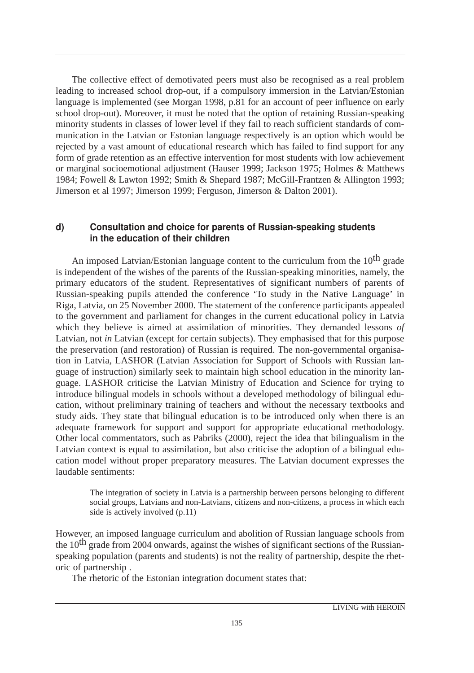The collective effect of demotivated peers must also be recognised as a real problem leading to increased school drop-out, if a compulsory immersion in the Latvian/Estonian language is implemented (see Morgan 1998, p.81 for an account of peer influence on early school drop-out). Moreover, it must be noted that the option of retaining Russian-speaking minority students in classes of lower level if they fail to reach sufficient standards of communication in the Latvian or Estonian language respectively is an option which would be rejected by a vast amount of educational research which has failed to find support for any form of grade retention as an effective intervention for most students with low achievement or marginal socioemotional adjustment (Hauser 1999; Jackson 1975; Holmes & Matthews 1984; Fowell & Lawton 1992; Smith & Shepard 1987; McGill-Frantzen & Allington 1993; Jimerson et al 1997; Jimerson 1999; Ferguson, Jimerson & Dalton 2001).

### d) Consultation and choice for parents of Russian-speaking students in the education of their children

An imposed Latvian/Estonian language content to the curriculum from the  $10^{th}$  grade is independent of the wishes of the parents of the Russian-speaking minorities, namely, the primary educators of the student. Representatives of significant numbers of parents of Russian-speaking pupils attended the conference 'To study in the Native Language' in Riga, Latvia, on 25 November 2000. The statement of the conference participants appealed to the government and parliament for changes in the current educational policy in Latvia which they believe is aimed at assimilation of minorities. They demanded lessons *of* Latvian, not *in* Latvian (except for certain subjects). They emphasised that for this purpose the preservation (and restoration) of Russian is required. The non-governmental organisation in Latvia, LASHOR (Latvian Association for Support of Schools with Russian language of instruction) similarly seek to maintain high school education in the minority language. LASHOR criticise the Latvian Ministry of Education and Science for trying to introduce bilingual models in schools without a developed methodology of bilingual education, without preliminary training of teachers and without the necessary textbooks and study aids. They state that bilingual education is to be introduced only when there is an adequate framework for support and support for appropriate educational methodology. Other local commentators, such as Pabriks (2000), reject the idea that bilingualism in the Latvian context is equal to assimilation, but also criticise the adoption of a bilingual education model without proper preparatory measures. The Latvian document expresses the laudable sentiments:

The integration of society in Latvia is a partnership between persons belonging to different social groups, Latvians and non-Latvians, citizens and non-citizens, a process in which each side is actively involved (p.11)

However, an imposed language curriculum and abolition of Russian language schools from the  $10<sup>th</sup>$  grade from 2004 onwards, against the wishes of significant sections of the Russianspeaking population (parents and students) is not the reality of partnership, despite the rhetoric of partnership .

The rhetoric of the Estonian integration document states that: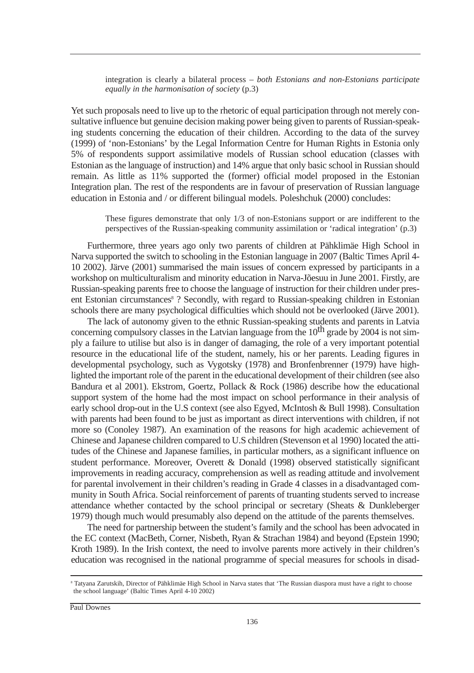integration is clearly a bilateral process – *both Estonians and non-Estonians participate equally in the harmonisation of society* (p.3)

Yet such proposals need to live up to the rhetoric of equal participation through not merely consultative influence but genuine decision making power being given to parents of Russian-speaking students concerning the education of their children. According to the data of the survey (1999) of 'non-Estonians' by the Legal Information Centre for Human Rights in Estonia only 5% of respondents support assimilative models of Russian school education (classes with Estonian as the language of instruction) and 14% argue that only basic school in Russian should remain. As little as 11% supported the (former) official model proposed in the Estonian Integration plan. The rest of the respondents are in favour of preservation of Russian language education in Estonia and / or different bilingual models. Poleshchuk (2000) concludes:

These figures demonstrate that only 1/3 of non-Estonians support or are indifferent to the perspectives of the Russian-speaking community assimilation or 'radical integration' (p.3)

Furthermore, three years ago only two parents of children at Pähklimäe High School in Narva supported the switch to schooling in the Estonian language in 2007 (Baltic Times April 4- 10 2002). Järve (2001) summarised the main issues of concern expressed by participants in a workshop on multiculturalism and minority education in Narva-Jõesuu in June 2001. Firstly, are Russian-speaking parents free to choose the language of instruction for their children under present Estonian circumstances<sup>8</sup>? Secondly, with regard to Russian-speaking children in Estonian schools there are many psychological difficulties which should not be overlooked (Järve 2001).

The lack of autonomy given to the ethnic Russian-speaking students and parents in Latvia concerning compulsory classes in the Latvian language from the  $10<sup>th</sup>$  grade by 2004 is not simply a failure to utilise but also is in danger of damaging, the role of a very important potential resource in the educational life of the student, namely, his or her parents. Leading figures in developmental psychology, such as Vygotsky (1978) and Bronfenbrenner (1979) have highlighted the important role of the parent in the educational development of their children (see also Bandura et al 2001). Ekstrom, Goertz, Pollack & Rock (1986) describe how the educational support system of the home had the most impact on school performance in their analysis of early school drop-out in the U.S context (see also Egyed, McIntosh & Bull 1998). Consultation with parents had been found to be just as important as direct interventions with children, if not more so (Conoley 1987). An examination of the reasons for high academic achievement of Chinese and Japanese children compared to U.S children (Stevenson et al 1990) located the attitudes of the Chinese and Japanese families, in particular mothers, as a significant influence on student performance. Moreover, Overett & Donald (1998) observed statistically significant improvements in reading accuracy, comprehension as well as reading attitude and involvement for parental involvement in their children's reading in Grade 4 classes in a disadvantaged community in South Africa. Social reinforcement of parents of truanting students served to increase attendance whether contacted by the school principal or secretary (Sheats & Dunkleberger 1979) though much would presumably also depend on the attitude of the parents themselves.

The need for partnership between the student's family and the school has been advocated in the EC context (MacBeth, Corner, Nisbeth, Ryan & Strachan 1984) and beyond (Epstein 1990; Kroth 1989). In the Irish context, the need to involve parents more actively in their children's education was recognised in the national programme of special measures for schools in disad-

<sup>8</sup> Tatyana Zarutskih, Director of Pähklimäe High School in Narva states that 'The Russian diaspora must have a right to choose the school language' (Baltic Times April 4-10 2002)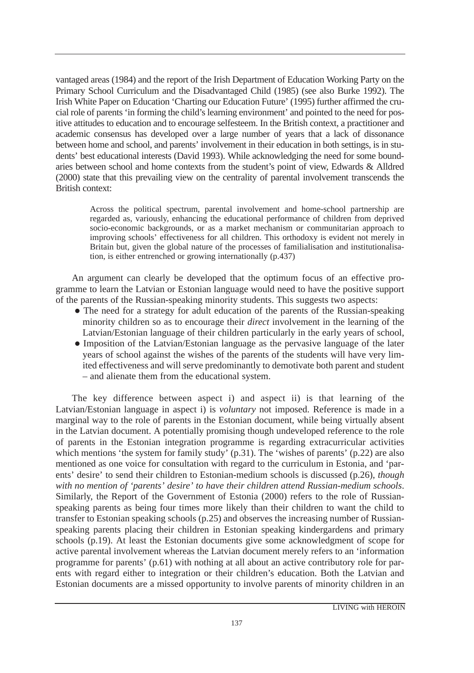vantaged areas (1984) and the report of the Irish Department of Education Working Party on the Primary School Curriculum and the Disadvantaged Child (1985) (see also Burke 1992). The Irish White Paper on Education 'Charting our Education Future' (1995) further affirmed the crucial role of parents 'in forming the child's learning environment' and pointed to the need for positive attitudes to education and to encourage selfesteem. In the British context, a practitioner and academic consensus has developed over a large number of years that a lack of dissonance between home and school, and parents' involvement in their education in both settings, is in students' best educational interests (David 1993). While acknowledging the need for some boundaries between school and home contexts from the student's point of view, Edwards & Alldred (2000) state that this prevailing view on the centrality of parental involvement transcends the British context:

Across the political spectrum, parental involvement and home-school partnership are regarded as, variously, enhancing the educational performance of children from deprived socio-economic backgrounds, or as a market mechanism or communitarian approach to improving schools' effectiveness for all children. This orthodoxy is evident not merely in Britain but, given the global nature of the processes of familialisation and institutionalisation, is either entrenched or growing internationally (p.437)

An argument can clearly be developed that the optimum focus of an effective programme to learn the Latvian or Estonian language would need to have the positive support of the parents of the Russian-speaking minority students. This suggests two aspects:

- The need for a strategy for adult education of the parents of the Russian-speaking minority children so as to encourage their *direct* involvement in the learning of the Latvian/Estonian language of their children particularly in the early years of school,
- Imposition of the Latvian/Estonian language as the pervasive language of the later years of school against the wishes of the parents of the students will have very limited effectiveness and will serve predominantly to demotivate both parent and student – and alienate them from the educational system.

The key difference between aspect i) and aspect ii) is that learning of the Latvian/Estonian language in aspect i) is *voluntary* not imposed. Reference is made in a marginal way to the role of parents in the Estonian document, while being virtually absent in the Latvian document. A potentially promising though undeveloped reference to the role of parents in the Estonian integration programme is regarding extracurricular activities which mentions 'the system for family study' (p.31). The 'wishes of parents' (p.22) are also mentioned as one voice for consultation with regard to the curriculum in Estonia, and 'parents' desire' to send their children to Estonian-medium schools is discussed (p.26), *though with no mention of 'parents' desire' to have their children attend Russian-medium schools*. Similarly, the Report of the Government of Estonia (2000) refers to the role of Russianspeaking parents as being four times more likely than their children to want the child to transfer to Estonian speaking schools (p.25) and observes the increasing number of Russianspeaking parents placing their children in Estonian speaking kindergardens and primary schools (p.19). At least the Estonian documents give some acknowledgment of scope for active parental involvement whereas the Latvian document merely refers to an 'information programme for parents' (p.61) with nothing at all about an active contributory role for parents with regard either to integration or their children's education. Both the Latvian and Estonian documents are a missed opportunity to involve parents of minority children in an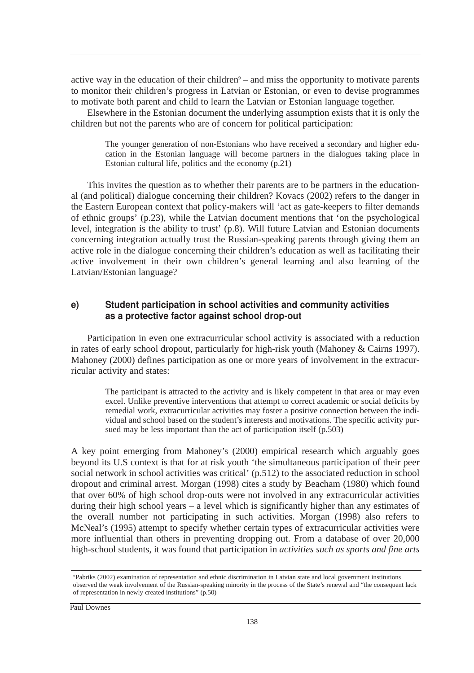active way in the education of their children $9 -$  and miss the opportunity to motivate parents to monitor their children's progress in Latvian or Estonian, or even to devise programmes to motivate both parent and child to learn the Latvian or Estonian language together.

Elsewhere in the Estonian document the underlying assumption exists that it is only the children but not the parents who are of concern for political participation:

The younger generation of non-Estonians who have received a secondary and higher education in the Estonian language will become partners in the dialogues taking place in Estonian cultural life, politics and the economy (p.21)

This invites the question as to whether their parents are to be partners in the educational (and political) dialogue concerning their children? Kovacs (2002) refers to the danger in the Eastern European context that policy-makers will 'act as gate-keepers to filter demands of ethnic groups' (p.23), while the Latvian document mentions that 'on the psychological level, integration is the ability to trust' (p.8). Will future Latvian and Estonian documents concerning integration actually trust the Russian-speaking parents through giving them an active role in the dialogue concerning their children's education as well as facilitating their active involvement in their own children's general learning and also learning of the Latvian/Estonian language?

### e) Student participation in school activities and community activities as a protective factor against school drop-out

Participation in even one extracurricular school activity is associated with a reduction in rates of early school dropout, particularly for high-risk youth (Mahoney & Cairns 1997). Mahoney (2000) defines participation as one or more years of involvement in the extracurricular activity and states:

The participant is attracted to the activity and is likely competent in that area or may even excel. Unlike preventive interventions that attempt to correct academic or social deficits by remedial work, extracurricular activities may foster a positive connection between the individual and school based on the student's interests and motivations. The specific activity pursued may be less important than the act of participation itself (p.503)

A key point emerging from Mahoney's (2000) empirical research which arguably goes beyond its U.S context is that for at risk youth 'the simultaneous participation of their peer social network in school activities was critical' (p.512) to the associated reduction in school dropout and criminal arrest. Morgan (1998) cites a study by Beacham (1980) which found that over 60% of high school drop-outs were not involved in any extracurricular activities during their high school years – a level which is significantly higher than any estimates of the overall number not participating in such activities. Morgan (1998) also refers to McNeal's (1995) attempt to specify whether certain types of extracurricular activities were more influential than others in preventing dropping out. From a database of over 20,000 high-school students, it was found that participation in *activities such as sports and fine arts*

<sup>9</sup>Pabriks (2002) examination of representation and ethnic discrimination in Latvian state and local government institutions observed the weak involvement of the Russian-speaking minority in the process of the State's renewal and "the consequent lack of representation in newly created institutions" (p.50)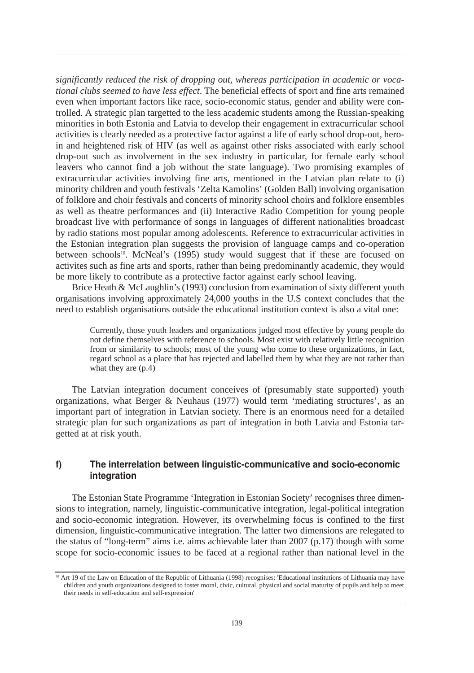*significantly reduced the risk of dropping out, whereas participation in academic or vocational clubs seemed to have less effect*. The beneficial effects of sport and fine arts remained even when important factors like race, socio-economic status, gender and ability were controlled. A strategic plan targetted to the less academic students among the Russian-speaking minorities in both Estonia and Latvia to develop their engagement in extracurricular school activities is clearly needed as a protective factor against a life of early school drop-out, heroin and heightened risk of HIV (as well as against other risks associated with early school drop-out such as involvement in the sex industry in particular, for female early school leavers who cannot find a job without the state language). Two promising examples of extracurricular activities involving fine arts, mentioned in the Latvian plan relate to (i) minority children and youth festivals 'Zelta Kamolins' (Golden Ball) involving organisation of folklore and choir festivals and concerts of minority school choirs and folklore ensembles as well as theatre performances and (ii) Interactive Radio Competition for young people broadcast live with performance of songs in languages of different nationalities broadcast by radio stations most popular among adolescents. Reference to extracurricular activities in the Estonian integration plan suggests the provision of language camps and co-operation between schools<sup>10</sup>. McNeal's  $(1995)$  study would suggest that if these are focused on activites such as fine arts and sports, rather than being predominantly academic, they would be more likely to contribute as a protective factor against early school leaving.

Brice Heath & McLaughlin's (1993) conclusion from examination of sixty different youth organisations involving approximately 24,000 youths in the U.S context concludes that the need to establish organisations outside the educational institution context is also a vital one:

Currently, those youth leaders and organizations judged most effective by young people do not define themselves with reference to schools. Most exist with relatively little recognition from or similarity to schools; most of the young who come to these organizations, in fact, regard school as a place that has rejected and labelled them by what they are not rather than what they are (p.4)

The Latvian integration document conceives of (presumably state supported) youth organizations, what Berger & Neuhaus (1977) would term 'mediating structures', as an important part of integration in Latvian society. There is an enormous need for a detailed strategic plan for such organizations as part of integration in both Latvia and Estonia targetted at at risk youth.

#### f) The interrelation between linguistic-communicative and socio-economic integration

The Estonian State Programme 'Integration in Estonian Society' recognises three dimensions to integration, namely, linguistic-communicative integration, legal-political integration and socio-economic integration. However, its overwhelming focus is confined to the first dimension, linguistic-communicative integration. The latter two dimensions are relegated to the status of "long-term" aims i.e. aims achievable later than 2007 (p.17) though with some scope for socio-economic issues to be faced at a regional rather than national level in the

<sup>&</sup>lt;sup>0</sup> Art 19 of the Law on Education of the Republic of Lithuania (1998) recognises: 'Educational institutions of Lithuania may have children and youth organizations designed to foster moral, civic, cultural, physical and social maturity of pupils and help to meet their needs in self-education and self-expression'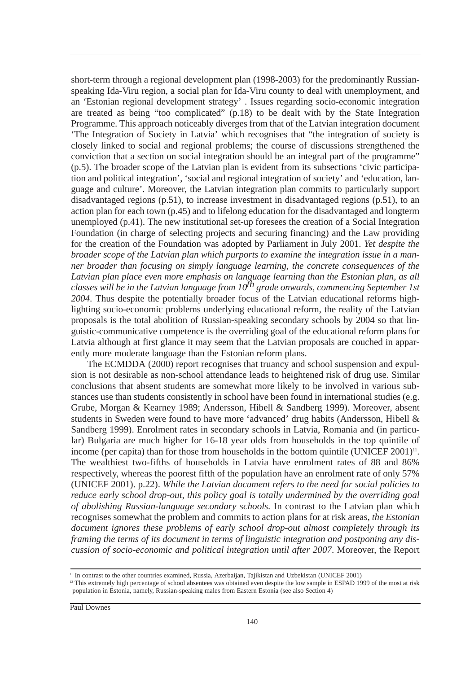short-term through a regional development plan (1998-2003) for the predominantly Russianspeaking Ida-Viru region, a social plan for Ida-Viru county to deal with unemployment, and an 'Estonian regional development strategy' . Issues regarding socio-economic integration are treated as being "too complicated" (p.18) to be dealt with by the State Integration Programme. This approach noticeably diverges from that of the Latvian integration document 'The Integration of Society in Latvia' which recognises that "the integration of society is closely linked to social and regional problems; the course of discussions strengthened the conviction that a section on social integration should be an integral part of the programme" (p.5). The broader scope of the Latvian plan is evident from its subsections 'civic participation and political integration', 'social and regional integration of society' and 'education, language and culture'. Moreover, the Latvian integration plan commits to particularly support disadvantaged regions (p.51), to increase investment in disadvantaged regions (p.51), to an action plan for each town (p.45) and to lifelong education for the disadvantaged and longterm unemployed (p.41). The new institutional set-up foresees the creation of a Social Integration Foundation (in charge of selecting projects and securing financing) and the Law providing for the creation of the Foundation was adopted by Parliament in July 2001. *Yet despite the broader scope of the Latvian plan which purports to examine the integration issue in a manner broader than focusing on simply language learning, the concrete consequences of the Latvian plan place even more emphasis on language learning than the Estonian plan, as all classes will be in the Latvian language from 10th grade onwards, commencing September 1st 2004*. Thus despite the potentially broader focus of the Latvian educational reforms highlighting socio-economic problems underlying educational reform, the reality of the Latvian proposals is the total abolition of Russian-speaking secondary schools by 2004 so that linguistic-communicative competence is the overriding goal of the educational reform plans for Latvia although at first glance it may seem that the Latvian proposals are couched in apparently more moderate language than the Estonian reform plans.

The ECMDDA (2000) report recognises that truancy and school suspension and expulsion is not desirable as non-school attendance leads to heightened risk of drug use. Similar conclusions that absent students are somewhat more likely to be involved in various substances use than students consistently in school have been found in international studies (e.g. Grube, Morgan & Kearney 1989; Andersson, Hibell & Sandberg 1999). Moreover, absent students in Sweden were found to have more 'advanced' drug habits (Andersson, Hibell & Sandberg 1999). Enrolment rates in secondary schools in Latvia, Romania and (in particular) Bulgaria are much higher for 16-18 year olds from households in the top quintile of income (per capita) than for those from households in the bottom quintile (UNICEF 2001)<sup>11</sup>. The wealthiest two-fifths of households in Latvia have enrolment rates of 88 and 86% respectively, whereas the poorest fifth of the population have an enrolment rate of only 57% (UNICEF 2001). p.22). *While the Latvian document refers to the need for social policies to reduce early school drop-out, this policy goal is totally undermined by the overriding goal of abolishing Russian-language secondary schools.* In contrast to the Latvian plan which recognises somewhat the problem and commits to action plans for at risk areas, *the Estonian document ignores these problems of early school drop-out almost completely through its framing the terms of its document in terms of linguistic integration and postponing any discussion of socio-economic and political integration until after 2007*. Moreover, the Report

<sup>&</sup>lt;sup>11</sup> In contrast to the other countries examined, Russia, Azerbaijan, Tajikistan and Uzbekistan (UNICEF 2001)

<sup>&</sup>lt;sup>12</sup> This extremely high percentage of school absentees was obtained even despite the low sample in ESPAD 1999 of the most at risk population in Estonia, namely, Russian-speaking males from Eastern Estonia (see also Section 4)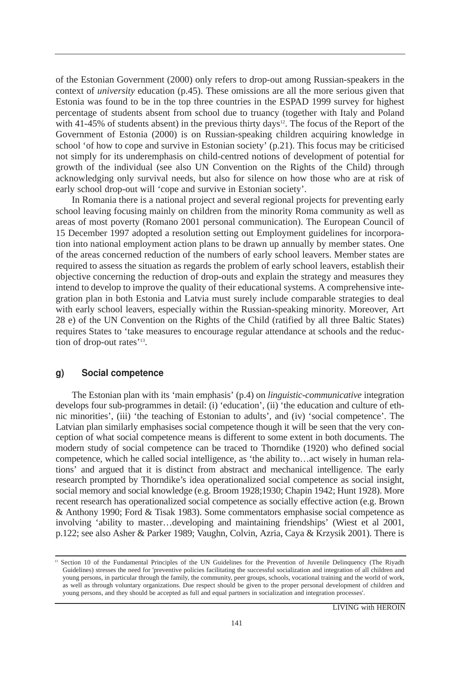of the Estonian Government (2000) only refers to drop-out among Russian-speakers in the context of *university* education (p.45). These omissions are all the more serious given that Estonia was found to be in the top three countries in the ESPAD 1999 survey for highest percentage of students absent from school due to truancy (together with Italy and Poland with 41-45% of students absent) in the previous thirty days<sup>12</sup>. The focus of the Report of the Government of Estonia (2000) is on Russian-speaking children acquiring knowledge in school 'of how to cope and survive in Estonian society' (p.21). This focus may be criticised not simply for its underemphasis on child-centred notions of development of potential for growth of the individual (see also UN Convention on the Rights of the Child) through acknowledging only survival needs, but also for silence on how those who are at risk of early school drop-out will 'cope and survive in Estonian society'.

In Romania there is a national project and several regional projects for preventing early school leaving focusing mainly on children from the minority Roma community as well as areas of most poverty (Romano 2001 personal communication). The European Council of 15 December 1997 adopted a resolution setting out Employment guidelines for incorporation into national employment action plans to be drawn up annually by member states. One of the areas concerned reduction of the numbers of early school leavers. Member states are required to assess the situation as regards the problem of early school leavers, establish their objective concerning the reduction of drop-outs and explain the strategy and measures they intend to develop to improve the quality of their educational systems. A comprehensive integration plan in both Estonia and Latvia must surely include comparable strategies to deal with early school leavers, especially within the Russian-speaking minority. Moreover, Art 28 e) of the UN Convention on the Rights of the Child (ratified by all three Baltic States) requires States to 'take measures to encourage regular attendance at schools and the reduction of drop-out rates'<sup>13</sup>.

#### q) Social competence

The Estonian plan with its 'main emphasis' (p.4) on *linguistic-communicative* integration develops four sub-programmes in detail: (i) 'education', (ii) 'the education and culture of ethnic minorities', (iii) 'the teaching of Estonian to adults', and (iv) 'social competence'. The Latvian plan similarly emphasises social competence though it will be seen that the very conception of what social competence means is different to some extent in both documents. The modern study of social competence can be traced to Thorndike (1920) who defined social competence, which he called social intelligence, as 'the ability to…act wisely in human relations' and argued that it is distinct from abstract and mechanical intelligence. The early research prompted by Thorndike's idea operationalized social competence as social insight, social memory and social knowledge (e.g. Broom 1928;1930; Chapin 1942; Hunt 1928). More recent research has operationalized social competence as socially effective action (e.g. Brown & Anthony 1990; Ford & Tisak 1983). Some commentators emphasise social competence as involving 'ability to master…developing and maintaining friendships' (Wiest et al 2001, p.122; see also Asher & Parker 1989; Vaughn, Colvin, Azria, Caya & Krzysik 2001). There is

<sup>&</sup>lt;sup>13</sup> Section 10 of the Fundamental Principles of the UN Guidelines for the Prevention of Juvenile Delinquency (The Riyadh Guidelines) stresses the need for 'preventive policies facilitating the successful socialization and integration of all children and young persons, in particular through the family, the community, peer groups, schools, vocational training and the world of work, as well as through voluntary organizations. Due respect should be given to the proper personal development of children and young persons, and they should be accepted as full and equal partners in socialization and integration processes'.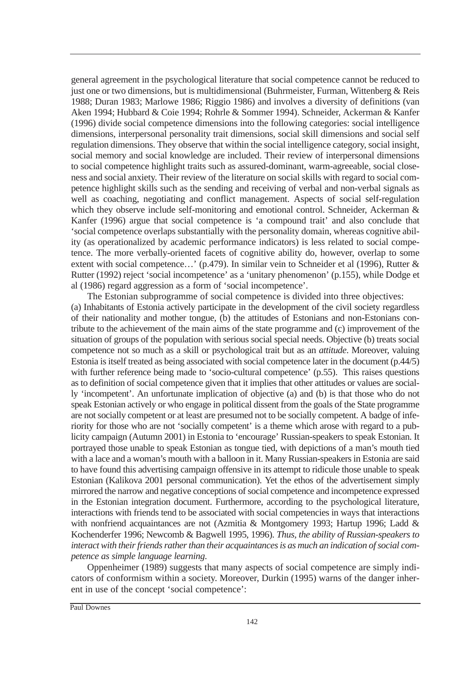general agreement in the psychological literature that social competence cannot be reduced to just one or two dimensions, but is multidimensional (Buhrmeister, Furman, Wittenberg & Reis 1988; Duran 1983; Marlowe 1986; Riggio 1986) and involves a diversity of definitions (van Aken 1994; Hubbard & Coie 1994; Rohrle & Sommer 1994). Schneider, Ackerman & Kanfer (1996) divide social competence dimensions into the following categories: social intelligence dimensions, interpersonal personality trait dimensions, social skill dimensions and social self regulation dimensions. They observe that within the social intelligence category, social insight, social memory and social knowledge are included. Their review of interpersonal dimensions to social competence highlight traits such as assured-dominant, warm-agreeable, social closeness and social anxiety. Their review of the literature on social skills with regard to social competence highlight skills such as the sending and receiving of verbal and non-verbal signals as well as coaching, negotiating and conflict management. Aspects of social self-regulation which they observe include self-monitoring and emotional control. Schneider, Ackerman & Kanfer (1996) argue that social competence is 'a compound trait' and also conclude that 'social competence overlaps substantially with the personality domain, whereas cognitive ability (as operationalized by academic performance indicators) is less related to social competence. The more verbally-oriented facets of cognitive ability do, however, overlap to some extent with social competence…' (p.479). In similar vein to Schneider et al (1996), Rutter & Rutter (1992) reject 'social incompetence' as a 'unitary phenomenon' (p.155), while Dodge et al (1986) regard aggression as a form of 'social incompetence'.

The Estonian subprogramme of social competence is divided into three objectives: (a) Inhabitants of Estonia actively participate in the development of the civil society regardless of their nationality and mother tongue, (b) the attitudes of Estonians and non-Estonians contribute to the achievement of the main aims of the state programme and (c) improvement of the situation of groups of the population with serious social special needs. Objective (b) treats social competence not so much as a skill or psychological trait but as an *attitude*. Moreover, valuing Estonia is itself treated as being associated with social competence later in the document (p.44/5) with further reference being made to 'socio-cultural competence' (p.55). This raises questions as to definition of social competence given that it implies that other attitudes or values are socially 'incompetent'. An unfortunate implication of objective (a) and (b) is that those who do not speak Estonian actively or who engage in political dissent from the goals of the State programme are not socially competent or at least are presumed not to be socially competent. A badge of inferiority for those who are not 'socially competent' is a theme which arose with regard to a publicity campaign (Autumn 2001) in Estonia to 'encourage' Russian-speakers to speak Estonian. It portrayed those unable to speak Estonian as tongue tied, with depictions of a man's mouth tied with a lace and a woman's mouth with a balloon in it. Many Russian-speakers in Estonia are said to have found this advertising campaign offensive in its attempt to ridicule those unable to speak Estonian (Kalikova 2001 personal communication). Yet the ethos of the advertisement simply mirrored the narrow and negative conceptions of social competence and incompetence expressed in the Estonian integration document. Furthermore, according to the psychological literature, interactions with friends tend to be associated with social competencies in ways that interactions with nonfriend acquaintances are not (Azmitia & Montgomery 1993; Hartup 1996; Ladd & Kochenderfer 1996; Newcomb & Bagwell 1995, 1996). *Thus, the ability of Russian-speakers to interact with their friends rather than their acquaintances is as much an indication of social competence as simple language learning*.

Oppenheimer (1989) suggests that many aspects of social competence are simply indicators of conformism within a society. Moreover, Durkin (1995) warns of the danger inherent in use of the concept 'social competence':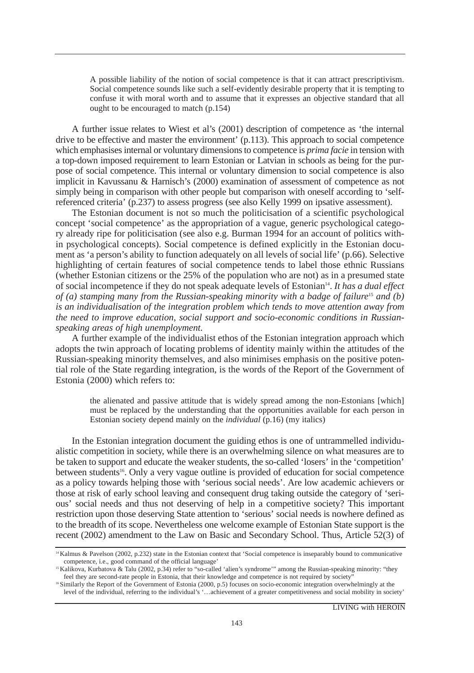A possible liability of the notion of social competence is that it can attract prescriptivism. Social competence sounds like such a self-evidently desirable property that it is tempting to confuse it with moral worth and to assume that it expresses an objective standard that all ought to be encouraged to match (p.154)

A further issue relates to Wiest et al's (2001) description of competence as 'the internal drive to be effective and master the environment' (p.113). This approach to social competence which emphasises internal or voluntary dimensions to competence is *prima facie* in tension with a top-down imposed requirement to learn Estonian or Latvian in schools as being for the purpose of social competence. This internal or voluntary dimension to social competence is also implicit in Kavussanu & Harnisch's (2000) examination of assessment of competence as not simply being in comparison with other people but comparison with oneself according to 'selfreferenced criteria' (p.237) to assess progress (see also Kelly 1999 on ipsative assessment).

The Estonian document is not so much the politicisation of a scientific psychological concept 'social competence' as the appropriation of a vague, generic psychological category already ripe for politicisation (see also e.g. Burman 1994 for an account of politics within psychological concepts). Social competence is defined explicitly in the Estonian document as 'a person's ability to function adequately on all levels of social life' (p.66). Selective highlighting of certain features of social competence tends to label those ethnic Russians (whether Estonian citizens or the 25% of the population who are not) as in a presumed state of social incompetence if they do not speak adequate levels of Estonian14. *It has a dual effect of (a) stamping many from the Russian-speaking minority with a badge of failure*<sup>15</sup> *and (b) is an individualisation of the integration problem which tends to move attention away from the need to improve education, social support and socio-economic conditions in Russianspeaking areas of high unemployment.*

A further example of the individualist ethos of the Estonian integration approach which adopts the twin approach of locating problems of identity mainly within the attitudes of the Russian-speaking minority themselves, and also minimises emphasis on the positive potential role of the State regarding integration, is the words of the Report of the Government of Estonia (2000) which refers to:

the alienated and passive attitude that is widely spread among the non-Estonians [which] must be replaced by the understanding that the opportunities available for each person in Estonian society depend mainly on the *individual* (p.16) (my italics)

In the Estonian integration document the guiding ethos is one of untrammelled individualistic competition in society, while there is an overwhelming silence on what measures are to be taken to support and educate the weaker students, the so-called 'losers' in the 'competition' between students<sup>16</sup>. Only a very vague outline is provided of education for social competence as a policy towards helping those with 'serious social needs'. Are low academic achievers or those at risk of early school leaving and consequent drug taking outside the category of 'serious' social needs and thus not deserving of help in a competitive society? This important restriction upon those deserving State attention to 'serious' social needs is nowhere defined as to the breadth of its scope. Nevertheless one welcome example of Estonian State support is the recent (2002) amendment to the Law on Basic and Secondary School. Thus, Article 52(3) of

<sup>&</sup>lt;sup>14</sup>Kalmus & Pavelson (2002, p.232) state in the Estonian context that 'Social competence is inseparably bound to communicative competence, i.e., good command of the official language'

<sup>&</sup>lt;sup>15</sup>Kalikova, Kurbatova & Talu (2002, p.34) refer to "so-called 'alien's syndrome" among the Russian-speaking minority: "they feel they are second-rate people in Estonia, that their knowledge and competence is not required by society"

<sup>16</sup>Similarly the Report of the Government of Estonia (2000, p.5) focuses on socio-economic integration overwhelmingly at the level of the individual, referring to the individual's '…achievement of a greater competitiveness and social mobility in society'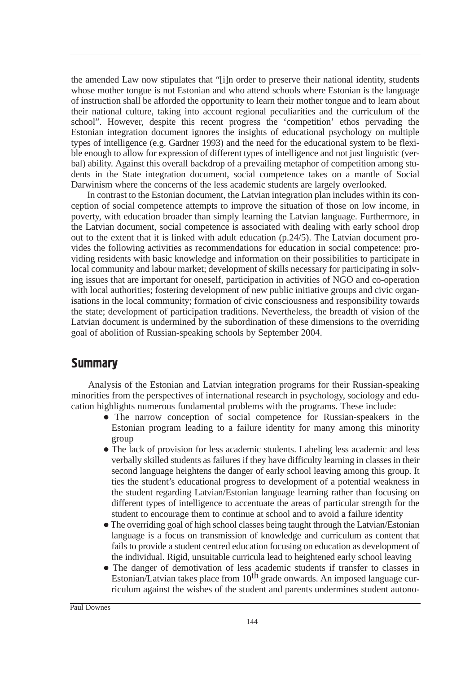the amended Law now stipulates that "[i]n order to preserve their national identity, students whose mother tongue is not Estonian and who attend schools where Estonian is the language of instruction shall be afforded the opportunity to learn their mother tongue and to learn about their national culture, taking into account regional peculiarities and the curriculum of the school". However, despite this recent progress the 'competition' ethos pervading the Estonian integration document ignores the insights of educational psychology on multiple types of intelligence (e.g. Gardner 1993) and the need for the educational system to be flexible enough to allow for expression of different types of intelligence and not just linguistic (verbal) ability. Against this overall backdrop of a prevailing metaphor of competition among students in the State integration document, social competence takes on a mantle of Social Darwinism where the concerns of the less academic students are largely overlooked.

In contrast to the Estonian document, the Latvian integration plan includes within its conception of social competence attempts to improve the situation of those on low income, in poverty, with education broader than simply learning the Latvian language. Furthermore, in the Latvian document, social competence is associated with dealing with early school drop out to the extent that it is linked with adult education (p.24/5). The Latvian document provides the following activities as recommendations for education in social competence: providing residents with basic knowledge and information on their possibilities to participate in local community and labour market; development of skills necessary for participating in solving issues that are important for oneself, participation in activities of NGO and co-operation with local authorities; fostering development of new public initiative groups and civic organisations in the local community; formation of civic consciousness and responsibility towards the state; development of participation traditions. Nevertheless, the breadth of vision of the Latvian document is undermined by the subordination of these dimensions to the overriding goal of abolition of Russian-speaking schools by September 2004.

## **Summary**

Analysis of the Estonian and Latvian integration programs for their Russian-speaking minorities from the perspectives of international research in psychology, sociology and education highlights numerous fundamental problems with the programs. These include:

- The narrow conception of social competence for Russian-speakers in the Estonian program leading to a failure identity for many among this minority group
- The lack of provision for less academic students. Labeling less academic and less verbally skilled students as failures if they have difficulty learning in classes in their second language heightens the danger of early school leaving among this group. It ties the student's educational progress to development of a potential weakness in the student regarding Latvian/Estonian language learning rather than focusing on different types of intelligence to accentuate the areas of particular strength for the student to encourage them to continue at school and to avoid a failure identity
- The overriding goal of high school classes being taught through the Latvian/Estonian language is a focus on transmission of knowledge and curriculum as content that fails to provide a student centred education focusing on education as development of the individual. Rigid, unsuitable curricula lead to heightened early school leaving
- The danger of demotivation of less academic students if transfer to classes in Estonian/Latvian takes place from  $10^{th}$  grade onwards. An imposed language curriculum against the wishes of the student and parents undermines student autono-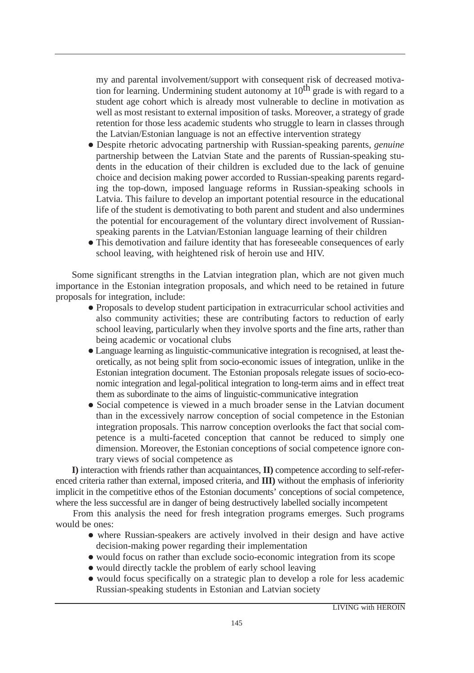my and parental involvement/support with consequent risk of decreased motivation for learning. Undermining student autonomy at  $10<sup>th</sup>$  grade is with regard to a student age cohort which is already most vulnerable to decline in motivation as well as most resistant to external imposition of tasks. Moreover, a strategy of grade retention for those less academic students who struggle to learn in classes through the Latvian/Estonian language is not an effective intervention strategy

- Despite rhetoric advocating partnership with Russian-speaking parents, *genuine* partnership between the Latvian State and the parents of Russian-speaking students in the education of their children is excluded due to the lack of genuine choice and decision making power accorded to Russian-speaking parents regarding the top-down, imposed language reforms in Russian-speaking schools in Latvia. This failure to develop an important potential resource in the educational life of the student is demotivating to both parent and student and also undermines the potential for encouragement of the voluntary direct involvement of Russianspeaking parents in the Latvian/Estonian language learning of their children
- This demotivation and failure identity that has foreseeable consequences of early school leaving, with heightened risk of heroin use and HIV.

Some significant strengths in the Latvian integration plan, which are not given much importance in the Estonian integration proposals, and which need to be retained in future proposals for integration, include:

- Proposals to develop student participation in extracurricular school activities and also community activities; these are contributing factors to reduction of early school leaving, particularly when they involve sports and the fine arts, rather than being academic or vocational clubs
- Language learning as linguistic-communicative integration is recognised, at least theoretically, as not being split from socio-economic issues of integration, unlike in the Estonian integration document. The Estonian proposals relegate issues of socio-economic integration and legal-political integration to long-term aims and in effect treat them as subordinate to the aims of linguistic-communicative integration
- Social competence is viewed in a much broader sense in the Latvian document than in the excessively narrow conception of social competence in the Estonian integration proposals. This narrow conception overlooks the fact that social competence is a multi-faceted conception that cannot be reduced to simply one dimension. Moreover, the Estonian conceptions of social competence ignore contrary views of social competence as

**I)** interaction with friends rather than acquaintances, **II)** competence according to self-referenced criteria rather than external, imposed criteria, and **III)** without the emphasis of inferiority implicit in the competitive ethos of the Estonian documents' conceptions of social competence, where the less successful are in danger of being destructively labelled socially incompetent

From this analysis the need for fresh integration programs emerges. Such programs would be ones:

- where Russian-speakers are actively involved in their design and have active decision-making power regarding their implementation
- would focus on rather than exclude socio-economic integration from its scope
- would directly tackle the problem of early school leaving
- would focus specifically on a strategic plan to develop a role for less academic Russian-speaking students in Estonian and Latvian society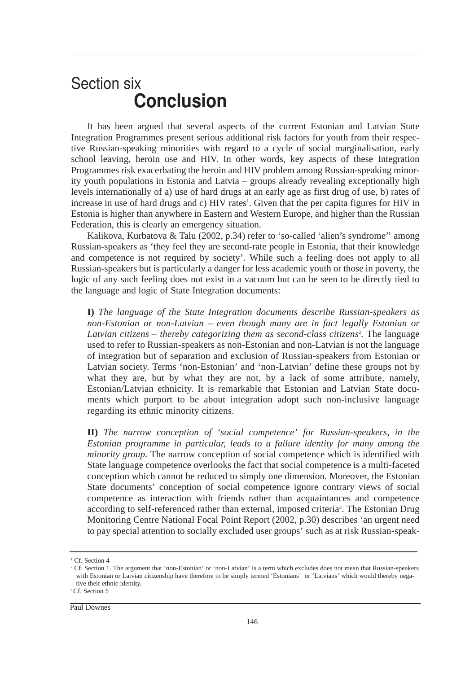# **Section six Conclusion**

It has been argued that several aspects of the current Estonian and Latvian State Integration Programmes present serious additional risk factors for youth from their respective Russian-speaking minorities with regard to a cycle of social marginalisation, early school leaving, heroin use and HIV. In other words, key aspects of these Integration Programmes risk exacerbating the heroin and HIV problem among Russian-speaking minority youth populations in Estonia and Latvia – groups already revealing exceptionally high levels internationally of a) use of hard drugs at an early age as first drug of use, b) rates of increase in use of hard drugs and c) HIV rates<sup>1</sup>. Given that the per capita figures for HIV in Estonia is higher than anywhere in Eastern and Western Europe, and higher than the Russian Federation, this is clearly an emergency situation.

Kalikova, Kurbatova & Talu (2002, p.34) refer to 'so-called 'alien's syndrome'' among Russian-speakers as 'they feel they are second-rate people in Estonia, that their knowledge and competence is not required by society'. While such a feeling does not apply to all Russian-speakers but is particularly a danger for less academic youth or those in poverty, the logic of any such feeling does not exist in a vacuum but can be seen to be directly tied to the language and logic of State Integration documents:

**I)** *The language of the State Integration documents describe Russian-speakers as non-Estonian or non-Latvian – even though many are in fact legally Estonian or* Latvian citizens – thereby categorizing them as second-class citizens<sup>2</sup>. The language used to refer to Russian-speakers as non-Estonian and non-Latvian is not the language of integration but of separation and exclusion of Russian-speakers from Estonian or Latvian society. Terms 'non-Estonian' and 'non-Latvian' define these groups not by what they are, but by what they are not, by a lack of some attribute, namely, Estonian/Latvian ethnicity. It is remarkable that Estonian and Latvian State documents which purport to be about integration adopt such non-inclusive language regarding its ethnic minority citizens.

**II)** *The narrow conception of 'social competence' for Russian-speakers, in the Estonian programme in particular, leads to a failure identity for many among the minority group.* The narrow conception of social competence which is identified with State language competence overlooks the fact that social competence is a multi-faceted conception which cannot be reduced to simply one dimension. Moreover, the Estonian State documents' conception of social competence ignore contrary views of social competence as interaction with friends rather than acquaintances and competence according to self-referenced rather than external, imposed criteria<sup>3</sup>. The Estonian Drug Monitoring Centre National Focal Point Report (2002, p.30) describes 'an urgent need to pay special attention to socially excluded user groups' such as at risk Russian-speak-

<sup>&</sup>lt;sup>1</sup> Cf. Section 4

<sup>&</sup>lt;sup>2</sup> Cf. Section 1. The argument that 'non-Estonian' or 'non-Latvian' is a term which excludes does not mean that Russian-speakers with Estonian or Latvian citizenship have therefore to be simply termed 'Estonians' or 'Latvians' which would thereby negative their ethnic identity.

<sup>&</sup>lt;sup>3</sup>Cf. Section 5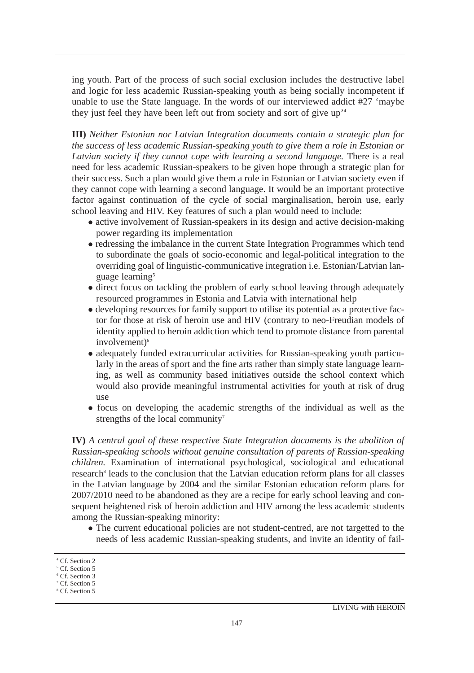ing youth. Part of the process of such social exclusion includes the destructive label and logic for less academic Russian-speaking youth as being socially incompetent if unable to use the State language. In the words of our interviewed addict #27 'maybe they just feel they have been left out from society and sort of give up'4

**III)** *Neither Estonian nor Latvian Integration documents contain a strategic plan for the success of less academic Russian-speaking youth to give them a role in Estonian or* Latvian society if they cannot cope with learning a second language. There is a real need for less academic Russian-speakers to be given hope through a strategic plan for their success. Such a plan would give them a role in Estonian or Latvian society even if they cannot cope with learning a second language. It would be an important protective factor against continuation of the cycle of social marginalisation, heroin use, early school leaving and HIV. Key features of such a plan would need to include:

- active involvement of Russian-speakers in its design and active decision-making power regarding its implementation
- redressing the imbalance in the current State Integration Programmes which tend to subordinate the goals of socio-economic and legal-political integration to the overriding goal of linguistic-communicative integration i.e. Estonian/Latvian language learning<sup>5</sup>
- direct focus on tackling the problem of early school leaving through adequately resourced programmes in Estonia and Latvia with international help
- developing resources for family support to utilise its potential as a protective factor for those at risk of heroin use and HIV (contrary to neo-Freudian models of identity applied to heroin addiction which tend to promote distance from parental involvement)<sup>6</sup>
- adequately funded extracurricular activities for Russian-speaking youth particularly in the areas of sport and the fine arts rather than simply state language learning, as well as community based initiatives outside the school context which would also provide meaningful instrumental activities for youth at risk of drug use
- focus on developing the academic strengths of the individual as well as the strengths of the local community<sup>7</sup>

**IV)** *A central goal of these respective State Integration documents is the abolition of Russian-speaking schools without genuine consultation of parents of Russian-speaking children.* Examination of international psychological, sociological and educational research<sup>8</sup> leads to the conclusion that the Latvian education reform plans for all classes in the Latvian language by 2004 and the similar Estonian education reform plans for 2007/2010 need to be abandoned as they are a recipe for early school leaving and consequent heightened risk of heroin addiction and HIV among the less academic students among the Russian-speaking minority:

 The current educational policies are not student-centred, are not targetted to the needs of less academic Russian-speaking students, and invite an identity of fail-

<sup>4</sup> Cf. Section 2

<sup>&</sup>lt;sup>5</sup> Cf. Section 5

<sup>6</sup> Cf. Section 3

<sup>&</sup>lt;sup>7</sup> Cf. Section 5

<sup>8</sup> Cf. Section 5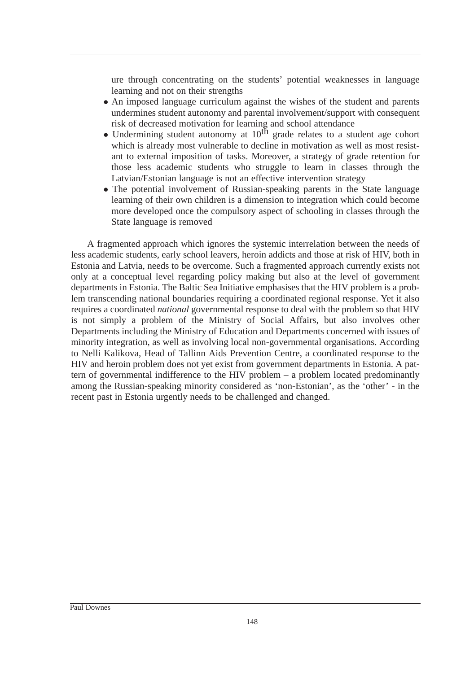ure through concentrating on the students' potential weaknesses in language learning and not on their strengths

- An imposed language curriculum against the wishes of the student and parents undermines student autonomy and parental involvement/support with consequent risk of decreased motivation for learning and school attendance
- Undermining student autonomy at  $10^{th}$  grade relates to a student age cohort which is already most vulnerable to decline in motivation as well as most resistant to external imposition of tasks. Moreover, a strategy of grade retention for those less academic students who struggle to learn in classes through the Latvian/Estonian language is not an effective intervention strategy
- The potential involvement of Russian-speaking parents in the State language learning of their own children is a dimension to integration which could become more developed once the compulsory aspect of schooling in classes through the State language is removed

A fragmented approach which ignores the systemic interrelation between the needs of less academic students, early school leavers, heroin addicts and those at risk of HIV, both in Estonia and Latvia, needs to be overcome. Such a fragmented approach currently exists not only at a conceptual level regarding policy making but also at the level of government departments in Estonia. The Baltic Sea Initiative emphasises that the HIV problem is a problem transcending national boundaries requiring a coordinated regional response. Yet it also requires a coordinated *national* governmental response to deal with the problem so that HIV is not simply a problem of the Ministry of Social Affairs, but also involves other Departments including the Ministry of Education and Departments concerned with issues of minority integration, as well as involving local non-governmental organisations. According to Nelli Kalikova, Head of Tallinn Aids Prevention Centre, a coordinated response to the HIV and heroin problem does not yet exist from government departments in Estonia. A pattern of governmental indifference to the HIV problem – a problem located predominantly among the Russian-speaking minority considered as 'non-Estonian', as the 'other' - in the recent past in Estonia urgently needs to be challenged and changed.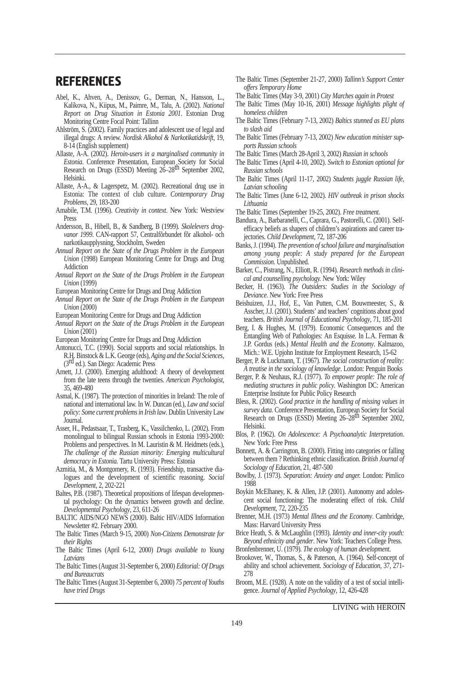## **REFERENCES**

- Abel, K., Ahven, A., Denissov, G., Derman, N., Hansson, L., Kalikova, N., Kiipus, M., Paimre, M., Talu, A. (2002). *National Report on Drug Situation in Estonia 2001*. Estonian Drug Monitoring Centre Focal Point: Tallinn
- Ahlström, S. (2002). Family practices and adolescent use of legal and illegal drugs: A review. *Nordisk Alkohol & Narkotikatidskrift*, 19, 8-14 (English supplement)
- Allaste, A-A. (2002). *Heroin-users in a marginalised community in Estonia*. Conference Presentation, European Society for Social Research on Drugs (ESSD) Meeting 26–28<sup>th</sup> September 2002, Helsinki.
- Allaste, A-A., & Lagerspetz, M. (2002). Recreational drug use in Estonia: The context of club culture. *Contemporary Drug Problems*, 29, 183-200
- Amabile, T.M. (1996). *Creativity in context*. New York: Westview Press
- Andersson, B., Hibell, B., & Sandberg, B (1999). *Skolelevers drogvanor 1999*. CAN-rapport 57, Centralfõrbundet fõr alkohol- och narkotikaupplysning, Stockholm, Sweden
- *Annual Report on the State of the Drugs Problem in the European Union* (1998) European Monitoring Centre for Drugs and Drug Addiction
- *Annual Report on the State of the Drugs Problem in the European Union* (1999)
- European Monitoring Centre for Drugs and Drug Addiction
- *Annual Report on the State of the Drugs Problem in the European Union* (2000)
- European Monitoring Centre for Drugs and Drug Addiction
- *Annual Report on the State of the Drugs Problem in the European Union* (2001)
- European Monitoring Centre for Drugs and Drug Addiction
- Antonucci, T.C. (1990). Social supports and social relationships. In R.H. Binstock & L.K. George (eds), *Aging and the Social Sciences*, (3rd ed.). San Diego: Academic Press
- Arnett, J.J. (2000). Emerging adulthood: A theory of development from the late teens through the twenties. *American Psychologist*, 35, 469-480
- Asmal, K. (1987). The protection of minorities in Ireland: The role of national and international law. In W. Duncan (ed.), *Law and social policy: Some current problems in Irish law*. Dublin University Law Journal.
- Asser, H., Pedastsaar, T., Trasberg, K., Vassilchenko, L. (2002). From monolingual to bilingual Russian schools in Estonia 1993-2000: Problems and perspectives. In M. Lauristin & M. Heidmets (eds.), *The challenge of the Russian minority: Emerging multicultural democracy in Estonia.* Tartu University Press: Estonia
- Azmitia, M., & Montgomery, R. (1993). Friendship, transactive dialogues and the development of scientific reasoning. *Social Development*, 2, 202-221
- Baltes, P.B. (1987). Theoretical propositions of lifespan developmental psychology: On the dynamics between growth and decline. *Developmental Psychology*, 23, 611-26
- BALTIC AIDS/NGO NEWS (2000). Baltic HIV/AIDS Information Newsletter #2. February 2000.
- The Baltic Times (March 9-15, 2000) *Non-Citizens Demonstrate for their Rights*
- The Baltic Times (April 6-12, 2000) *Drugs available to Young Latvians*
- The Baltic Times (August 31-September 6, 2000) *Editorial: Of Drugs and Bureaucrats*
- The Baltic Times (August 31-September 6, 2000) *75 percent of Youths have tried Drugs*
- The Baltic Times (September 21-27, 2000) *Tallinn's Support Center offers Temporary Home*
- The Baltic Times (May 3-9, 2001) *City Marches again in Protest*
- The Baltic Times (May 10-16, 2001) *Message highlights plight of homeless children*
- The Baltic Times (February 7-13, 2002) *Baltics stunned as EU plans to slash aid*
- The Baltic Times (February 7-13, 2002) *New education minister supports Russian schools*
- The Baltic Times (March 28-April 3, 2002) *Russian in schools*
- The Baltic Times (April 4-10, 2002). *Switch to Estonian optional for Russian schools*
- The Baltic Times (April 11-17, 2002) *Students juggle Russian life, Latvian schooling*
- The Baltic Times (June 6-12, 2002). *HIV outbreak in prison shocks Lithuania*
- The Baltic Times (September 19-25, 2002). *Free treatment*.
- Bandura, A., Barbaranelli, C., Caprara, G., Pastorelli, C. (2001). Selfefficacy beliefs as shapers of children's aspirations and career trajectories. *Child Development*, 72, 187-206
- Banks, J. (1994). *The prevention of school failure and marginalisation among young people: A study prepared for the European Commission*. Unpublished.
- Barker, C., Pistrang, N., Elliott, R. (1994). *Research methods in clinical and counselling psychology.* New York: Wiley
- Becker, H. (1963). *The Outsiders: Studies in the Sociology of Deviance*. New York: Free Press
- Beishuizen, J.J., Hof, E., Van Putten, C.M. Bouwmeester, S., & Asscher, J.J. (2001). Students' and teachers' cognitions about good teachers. *British Journal of Educational Psychology*, 71, 185-201
- Berg, I. & Hughes, M. (1979). Economic Consequences and the Entangling Web of Pathologies: An Esquisse. In L.A. Ferman & J.P. Gordus (eds.) *Mental Health and the Economy*. Kalmazoo, Mich.: W.E. Upjohn Institute for Employment Research, 15-62
- Berger, P. & Luckmann, T. (1967). *The social construction of reality: A treatise in the sociology of knowledge*. London: Penguin Books
- Berger, P. & Neuhaus, R.J. (1977). *To empower people: The role of mediating structures in public policy*. Washington DC: American Enterprise Institute for Public Policy Research
- Bless, R. (2002). *Good practice in the handling of missing values in survey data.* Conference Presentation, European Society for Social Research on Drugs (ESSD) Meeting 26–28th September 2002, Helsinki.
- Blos, P. (1962). *On Adolescence: A Psychoanalytic Interpretation*. New York: Free Press
- Bonnett, A. & Carrington, B. (2000). Fitting into categories or falling between them ? Rethinking ethnic classification. *British Journal of Sociology of Education*, 21, 487-500
- Bowlby, J. (1973). *Separation: Anxiety and anger.* London: Pimlico 1988
- Boykin McElhaney, K. & Allen, J.P. (2001). Autonomy and adolescent social functioning: The moderating effect of risk. *Child Development*, 72, 220-235
- Brenner, M.H. (1973) *Mental Illness and the Economy*. Cambridge, Mass: Harvard University Press
- Brice Heath, S. & McLaughlin (1993). *Identity and inner-city youth: Beyond ethnicity and gender*. New York: Teachers College Press.
- Bronfenbrenner, U. (1979). *The ecology of human development*.
- Brookover, W., Thomas, S., & Paterson, A. (1964). Self-concept of ability and school achievement. *Sociology of Education*, 37, 271- 278
- Broom, M.E. (1928). A note on the validity of a test of social intelligence. *Journal of Applied Psychology*, 12, 426-428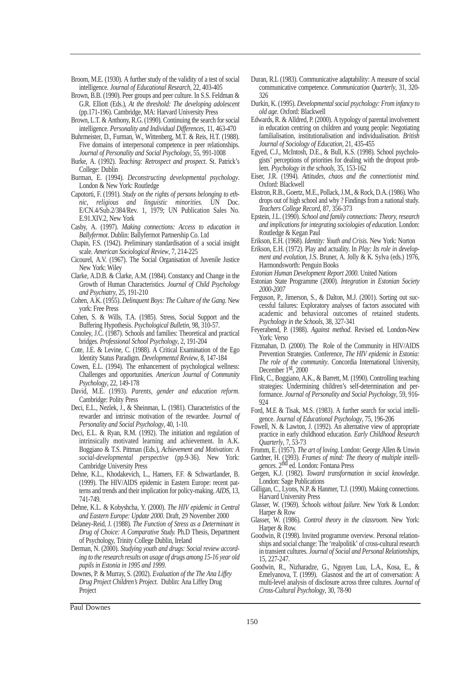Broom, M.E. (1930). A further study of the validity of a test of social intelligence. *Journal of Educational Research*, 22, 403-405

- Brown, B.B. (1990). Peer groups and peer culture. In S.S. Feldman & G.R. Elliott (Eds.), *At the threshold: The developing adolescent* (pp.171-196). Cambridge, MA: Harvard University Press
- Brown, L.T. & Anthony, R.G. (1990). Continuing the search for social intelligence. *Personality and Individual Differences*, 11, 463-470
- Buhrmeister, D., Furman, W., Wittenberg, M.T. & Reis, H.T. (1988). Five domains of interpersonal competence in peer relationships. *Journal of Personality and Social Psychology*, 55, 991-1008
- Burke, A. (1992). *Teaching: Retrospect and prospect*. St. Patrick's College: Dublin
- Burman, E. (1994). *Deconstructing developmental psychology*. London & New York: Routledge
- Capotorti, F. (1991). *Study on the rights of persons belonging to ethnic, religious and linguistic minorities.* UN Doc. E/CN.4/Sub.2/384/Rev. 1, 1979; UN Publication Sales No. E.91.XIV.2, New York
- Casby, A. (1997). *Making connections: Access to education in Ballyfermot*. Dublin: Ballyfermot Partnership Co. Ltd
- Chapin, F.S. (1942). Preliminary standardisation of a social insight scale. *American Sociological Review*, 7, 214-225
- Cicourel, A.V. (1967). The Social Organisation of Juvenile Justice New York: Wiley
- Clarke, A.D.B. & Clarke, A.M. (1984). Constancy and Change in the Growth of Human Characteristics. *Journal of Child Psychology and Psychiatry*, 25, 191-210
- Cohen, A.K. (1955). *Delinquent Boys: The Culture of the Gang*. New york: Free Press
- Cohen, S. & Wills, T.A. (1985). Stress, Social Support and the Buffering Hypothesis. *Psychological Bulletin*, 98, 310-57.
- Conoley, J.C. (1987). Schools and families: Theoretical and practical bridges. *Professional School Psychology*, 2, 191-204
- Cote, J.E. & Levine, C. (1988). A Critical Examination of the Ego Identity Status Paradigm. *Developmental Review*, 8, 147-184
- Cowen, E.L. (1994). The enhancement of psychological wellness: Challenges and opportunities. *American Journal of Community Psychology*, 22, 149-178
- David, M.E. (1993). *Parents, gender and education reform.* Cambridge: Polity Press
- Deci, E.L., Nezlek, J., & Sheinman, L. (1981). Characteristics of the rewarder and intrinsic motivation of the rewardee. *Journal of Personality and Social Psychology*, 40, 1-10.
- Deci, E.L. & Ryan, R.M. (1992). The initiation and regulation of intrinsically motivated learning and achievement. In A.K. Boggiano & T.S. Pittman (Eds.), *Achievement and Motivation: A social-developmental perspective* (pp.9-36). New York: Cambridge University Press
- Dehne, K.L., Khodakevich, L., Hamers, F.F. & Schwartlander, B. (1999). The HIV/AIDS epidemic in Eastern Europe: recent patterns and trends and their implication for policy-making. *AIDS*, 13, 741-749.
- Dehne, K.L. & Kobyshcha, Y. (2000). *The HIV epidemic in Central and Eastern Europe: Update 2000*. Draft, 29 November 2000
- Delaney-Reid, J. (1988). *The Function of Stress as a Determinant in Drug of Choice: A Comparative Study.* Ph.D Thesis, Department of Psychology, Trinity College Dublin, Ireland
- Derman, N. (2000). *Studying youth and drugs: Social review according to the research results on usage of drugs among 15-16 year old pupils in Estonia in 1995 and 1999.*
- Downes, P. & Murray, S. (2002). *Evaluation of the The Ana Liffey Drug Project Children's Project.* Dublin: Ana Liffey Drug Project
- Durkin, K. (1995). *Developmental social psychology: From infancy to old age.* Oxford: Blackwell
- Edwards, R. & Alldred, P. (2000). A typology of parental involvement in education centring on children and young people: Negotiating familialisation, institutionalisation and individualisation. *British Journal of Sociology of Education*, 21, 435-455
- Egyed, C.J., McIntosh, D.E., & Bull, K.S. (1998). School psychologists' perceptions of priorities for dealing with the dropout problem. *Psychology in the schools*, 35, 153-162
- Eiser, J.R. (1994). *Attitudes, chaos and the connectionist mind*. Oxford: Blackwell
- Ekstron, R.B., Goertz, M.E., Pollack, J.M., & Rock, D.A. (1986). Who drops out of high school and why ? Findings from a national study. *Teachers College Record*, 87, 356-373
- Epstein, J.L. (1990). *School and family connections: Theory, research and implications for integrating sociologies of education*. London: Routledge & Kegan Paul
- Erikson, E.H. (1968). *Identity: Youth and Crisis.* New York: Norton
- Erikson, E.H. (1972). Play and actuality. In *Play: Its role in development and evolution*, J.S. Bruner, A. Jolly & K. Sylva (eds.) 1976, Harmondsworth: Penguin Books
- *Estonian Human Development Report 2000.* United Nations
- Estonian State Programme (2000). *Integration in Estonian Society 2000-2007*
- Ferguson, P., Jimerson, S., & Dalton, M.J. (2001). Sorting out successful failures: Exploratory analyses of factors associated with academic and behavioral outcomes of retained students. *Psychology in the Schools*, 38, 327-341
- Feyerabend, P. (1988). *Against method*. Revised ed. London-New York: Verso
- Fitzmahan, D. (2000). The Role of the Community in HIV/AIDS Prevention Strategies. Conference, *The HIV epidemic in Estonia: The role of the community*. Concordia International University, December 1<sup>st</sup>, 2000
- Flink, C., Boggiano, A.K., & Barrett, M. (1990). Controlling teaching strategies: Undermining children's self-determination and performance. *Journal of Personality and Social Psychology*, 59, 916- 924
- Ford, M.E & Tisak, M.S. (1983). A further search for social intelligence. *Journal of Educational Psychology*, 75, 196-206
- Fowell, N. & Lawton, J. (1992). An alternative view of appropriate practice in early childhood education. *Early Childhood Research Quarterly*, 7, 53-73

Fromm, E. (1957). *The art of loving*. London: George Allen & Unwin

- Gardner, H. (1993). *Frames of mind: The theory of multiple intelligences*. 2nd ed. London: Fontana Press
- Gergen, K.J. (1982). *Toward transformation in social knowledge*. London: Sage Publications
- Gilligan, C., Lyons, N.P. & Hanmer, T.J. (1990). Making connections. Harvard University Press
- Glasser, W. (1969). *Schools without failure*. New York & London: Harper & Row
- Glasser, W. (1986). *Control theory in the classroom*. New York: Harper & Row.
- Goodwin, R (1998). Invited programme overview*.* Personal relationships and social change: The 'realpolitik' of cross-cultural research in transient cultures. *Journal of Social and Personal Relationships,* 15*,* 227-247.
- Goodwin, R., Nizharadze, G., Nguyen Luu, L.A., Kosa, E., & Emelyanova, T. (1999). Glasnost and the art of conversation: A multi-level analysis of disclosure across three cultures. *Journal of Cross-Cultural Psychology*, 30*,* 78-90

Duran, R.L (1983). Communicative adaptability: A measure of social communicative competence. *Communication Quarterly*, 31, 320- 326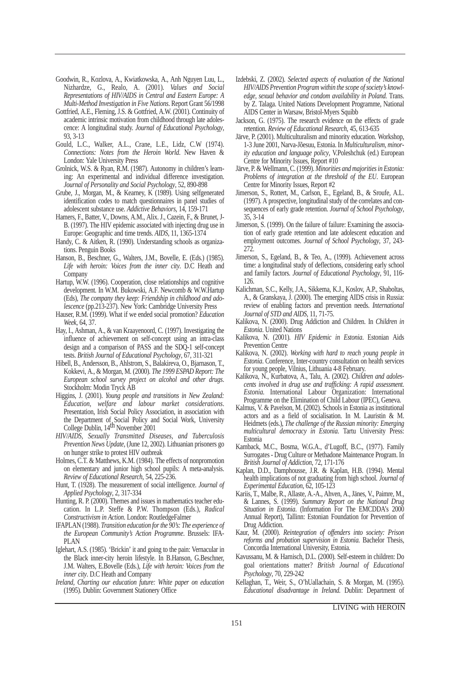- Goodwin, R., Kozlova, A., Kwiatkowska, A., Anh Nguyen Luu, L., Nizhardze, G., Realo, A. (2001). *Values and Social Representations of HIV/AIDS in Central and Eastern Europe: A Multi-Method Investigation in Five Nations*. Report Grant 56/1998
- Gottfried, A.E., Fleming, J.S. & Gottfried, A.W. (2001). Continuity of academic intrinsic motivation from childhood through late adolescence: A longitudinal study. *Journal of Educational Psychology*, 93, 3-13
- Gould, L.C., Walker, A.L., Crane, L.E., Lidz, C.W (1974). *Connections: Notes from the Heroin World*. New Haven & London: Yale University Press
- Grolnick, W.S. & Ryan, R.M. (1987). Autonomy in children's learning: An experimental and individual difference investigation. *Journal of Personality and Social Psychology*, 52, 890-898
- Grube, J., Morgan, M., & Kearney, K (1989). Using selfgenerated identification codes to match questionnaires in panel studies of adolescent substance use. *Addictive Behaviors*, 14, 159-171
- Hamers, F., Batter, V., Downs, A.M., Alix. J., Cazein, F., & Brunet, J-B. (1997). The HIV epidemic associated with injecting drug use in Europe: Geographic and time trends. *AIDS*, 11, 1365-1374
- Handy, C. & Aitken, R. (1990). Understanding schools as organizations. Penguin Books
- Hanson, B., Beschner, G., Walters, J.M., Bovelle, E. (Eds.) (1985). *Life with heroin: Voices from the inner city*. D.C Heath and Company
- Hartup, W.W. (1996). Cooperation, close relationships and cognitive development. In W.M. Bukowski, A.F. Newcomb & W.W.Hartup (Eds), *The company they keep: Friendship in childhood and adolescence* (pp.213-237). New York: Cambridge University Press
- Hauser, R.M. (1999). What if we ended social promotion? *Education Week*, 64, 37.
- Hay, I., Ashman, A., & van Kraayenoord, C. (1997). Investigating the influence of achievement on self-concept using an intra-class design and a comparison of PASS and the SDQ-1 self-concept tests. *British Journal of Educational Psychology*, 67, 311-321
- Hibell, B., Andersson, B., Ahlstrom, S., Balakireva, O., Bjarnason, T., Kokkevi, A., & Morgan, M. (2000). *The 1999 ESPAD Report: The European school survey project on alcohol and other drugs*. Stockholm: Modin Tryck AB
- Higgins, J. (2001). *Young people and transitions in New Zealand: Education, welfare and labour market considerations*. Presentation, Irish Social Policy Association, in association with the Department of Social Policy and Social Work, University College Dublin, 14th November 2001
- *HIV/AIDS, Sexually Transmitted Diseases, and Tuberculosis Prevention News Update*, (June 12, 2002). Lithuanian prisoners go on hunger strike to protest HIV outbreak
- Holmes, C.T. & Matthews, K.M. (1984). The effects of nonpromotion on elementary and junior high school pupils: A meta-analysis. *Review of Educational Research*, 54, 225-236.
- Hunt, T. (1928). The measurement of social intelligence. *Journal of Applied Psychology*, 2, 317-334
- Hunting, R. P. (2000). Themes and issues in mathematics teacher education. In L.P. Steffe & P.W. Thompson (Eds.), *Radical Constructivism in Action*. London: RoutledgeFalmer
- IFAPLAN (1988). *Transition education for the 90's: The experience of the European Community's Action Programme*. Brussels: IFA-PLAN
- Iglehart, A.S. (1985). 'Brickin' it and going to the pain: Vernacular in the Black inner-city heroin lifestyle. In B.Hanson, G.Beschner, J.M. Walters, E.Bovelle (Eds.), *Life with heroin: Voices from the inner city*. D.C Heath and Company
- *Ireland, Charting our education future: White paper on education* (1995). Dublin: Government Stationery Office
- Izdebski, Z. (2002). *Selected aspects of evaluation of the National HIV/AIDS Prevention Program within the scope of society's knowledge, sexual behavior and condom availability in Poland.* Trans. by Z. Talaga. United Nations Development Programme, National AIDS Center in Warsaw, Bristol-Myers Squibb
- Jackson, G. (1975). The research evidence on the effects of grade retention. *Review of Educational Research*, 45, 613-635
- Järve, P. (2001). Multiculturalism and minority education. Workshop, 1-3 June 2001, Narva-Jõesuu, Estonia. In *Multiculturalism, minority education and language policy*, V.Poleshchuk (ed.) European Centre for Minority Issues, Report #10
- Järve, P. & Wellmann, C. (1999). *Minorities and majorities in Estonia: Problems of integration at the threshold of the EU*. European Centre for Minority Issues, Report #2
- Jimerson, S., Rottert, M., Carlson, E., Egeland, B., & Sroufe, A.L. (1997). A prospective, longitudinal study of the correlates and consequences of early grade retention. *Journal of School Psychology*, 35, 3-14
- Jimerson, S. (1999). On the failure of failure: Examining the association of early grade retention and late adolescent education and employment outcomes. *Journal of School Psychology*, 37, 243- 272.
- Jimerson, S., Egeland, B., & Teo, A., (1999). Achievement across time: a longitudinal study of deflections, considering early school and family factors. *Journal of Educational Psychology*, 91, 116- 126.
- Kalichman, S.C., Kelly, J.A., Sikkema, K.J., Koslov, A.P., Shaboltas, A., & Granskaya, J. (2000). The emerging AIDS crisis in Russia: review of enabling factors and prevention needs. *International Journal of STD and AIDS*, 11, 71-75.
- Kalikova, N. (2000). Drug Addiction and Children. In *Children in Estonia*. United Nations
- Kalikova, N. (2001). *HIV Epidemic in Estonia*. Estonian Aids Prevention Centre
- Kalikova, N. (2002). *Working with hard to reach young people in Estonia*. Conference, Inter-country consultation on health services for young people, Vilnius, Lithuania 4-8 February.
- Kalikova, N., Kurbatova, A., Talu, A. (2002). *Children and adolescents involved in drug use and trafficking: A rapid assessment. Estonia.* International Labour Organization: International Programme on the Elimination of Child Labour (IPEC), Geneva.
- Kalmus, V. & Pavelson, M. (2002). Schools in Estonia as institutional actors and as a field of socialisation. In M. Lauristin & M. Heidmets (eds.), *The challenge of the Russian minority: Emerging multicultural democracy in Estonia.* Tartu University Press: Estonia
- Kamback, M.C., Bosma, W.G.A., d'Lugoff, B.C., (1977). Family Surrogates - Drug Culture or Methadone Maintenance Program. In *British Journal of Addiction*, 72, 171-176
- Kaplan, D.D., Damphousse, J.R. & Kaplan, H.B. (1994). Mental health implications of not graduating from high school. *Journal of Experimental Education*, 62, 105-123
- Kariis, T., Malbe, R., Allaste, A.-A., Ahven, A., Jänes, V., Paimre, M., & Lannes, S. (1999). *Summary Report on the National Drug Situation in Estonia*. (Information For The EMCDDA's 2000 Annual Report), Tallinn: Estonian Foundation for Prevention of Drug Addiction.
- Kaur, M. (2000). *Reintegration of offenders into society: Prison reforms and probation supervision in Estonia.* Bachelor Thesis, Concordia International University, Estonia.
- Kavussanu, M. & Harnisch, D.L. (2000). Self-esteem in children: Do goal orientations matter? *British Journal of Educational Psychology*, 70, 229-242
- Kellaghan, T., Weir, S., O'hUallachain, S. & Morgan, M. (1995). *Educational disadvantage in Ireland.* Dublin: Department of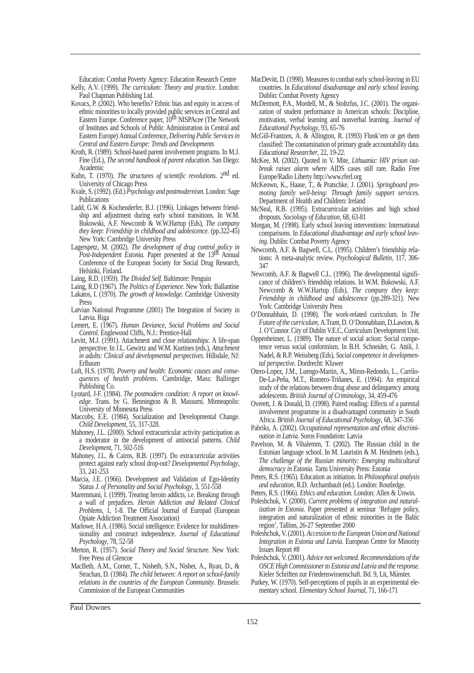Education: Combat Poverty Agency: Education Research Centre Kelly, A.V. (1999). *The curriculum: Theory and practice*. London: Paul Chapman Publishing Ltd.

- Kovacs, P. (2002). Who benefits? Ethnic bias and equity in access of ethnic minorities to locally provided public services in Central and Eastern Europe. Conference paper, 10<sup>th</sup> NISPAcee (The Network of Institutes and Schools of Public Administration in Central and Eastern Europe) Annual Conference, *Delivering Public Services in Central and Eastern Europe: Trends and Developments*
- Kroth, R. (1989). School-based parent involvement programs. In M.J. Fine (Ed.), *The second handbook of parent education*. San Diego: Academic
- Kuhn, T. (1970). *The structures of scientific revolutions.* 2nd ed. University of Chicago Press
- Kvale, S. (1992). (Ed.) *Psychology and postmodernism*. London: Sage Publications
- Ladd, G.W. & Kochenderfer, B.J. (1996). Linkages between friendship and adjustment during early school transitions. In W.M. Bukowski, A.F. Newcomb & W.W.Hartup (Eds), *The company they keep: Friendship in childhood and adolescence.* (pp.322-45) New York: Cambridge University Press
- Lagerspetz, M. (2002). *The development of drug control policy in Post-Independent Estonia.* Paper presented at the 13th Annual Conference of the European Society for Social Drug Research, Helsinki, Finland.
- Laing, R.D. (1959). *The Divided Self.* Baltimore: Penguin
- Laing, R.D (1967). *The Politics of Experience*. New York: Ballantine Lakatos, I. (1970). *The growth of knowledge*. Cambridge University Press
- Latvian National Programme (2001) The Integration of Society in Latvia. Riga
- Lemert, E. (1967). *Human Deviance, Social Problems and Social Control*. Englewood Cliffs, N.J.: Prentice-Hall
- Levitt, M.J. (1991). Attachment and close relationships: A life-span perspective. In J.L. Gewirtz and W.M. Kurtines (eds.), *Attachment in adults: Clinical and developmental perspectives.* Hillsdale, NJ: Erlbaum
- Luft, H.S. (1978). *Poverty and health: Economic causes and consequences of health problems*. Cambridge, Mass: Ballinger Publishing Co.
- Lyotard, J-F. (1984). *The postmodern condition: A report on knowledge*. Trans. by G. Bennington & B. Massumi. Minneapolis: University of Minnesota Press
- Maccoby, E.E. (1984). Socialization and Developmental Change. *Child Development*, 55, 317-328.
- Mahoney, J.L. (2000). School extracurricular activity participation as a moderator in the development of antisocial patterns. *Child Development*, 71, 502-516
- Mahoney, J.L. & Cairns, R.B. (1997). Do extracurricular activities protect against early school drop-out? *Developmental Psychology*, 33, 241-253
- Marcia, J.E. (1966). Development and Validation of Ego-Identity Status *J. of Personality and Social Psychology*, 3, 551-558
- Maremmani, I. (1999). Treating heroin addicts, i.e. Breaking through a wall of prejudices. *Heroin Addiction and Related Clinical Problems*, 1, 1-8. The Official Journal of Europad (European Opiate Addiction Treatment Association)
- Marlowe, H.A. (1986). Social intelligence: Evidence for multidimensionality and construct independence. *Journal of Educational Psychology*, 78, 52-58
- Merton, R. (1957). *Social Theory and Social Structure*. New York: Free Press of Glencoe
- MacBeth, A.M., Corner, T., Nisbeth, S.N., Nisbet, A., Ryan, D., & Strachan, D. (1984). *The child between: A report on school-family relations in the countries of the European Community*. Brussels: Commission of the European Communities
- MacDevitt, D. (1998). Measures to combat early school-leaving in EU countries. In *Educational disadvantage and early school leaving*. Dublin: Combat Poverty Agency
- McDermott, P.A., Mordell, M., & Stoltzfus, J.C. (2001). The organization of student performance in American schools: Discipline, motivation, verbal learning and nonverbal learning. *Journal of Educational Psychology*, 93, 65-76
- McGill-Frantzen, A. & Allington, R. (1993) Flunk'em or get them classified: The contamination of primary grade accountability data. *Educational Researcher*, 22, 19-22.
- McKee, M. (2002). Quoted in V. Mite, *Lithuania: HIV prison outbreak raises alarm where* AIDS cases still rare. Radio Free Europe/Radio Liberty http://www.rferl.org
- McKeown, K., Haase, T., & Pratschke, J. (2001). *Springboard promoting family well-being: Through family support services.* Department of Health and Children: Ireland
- McNeal, R.B. (1995). Extracurricular activities and high school dropouts. *Sociology of Education*, 68, 63-81
- Morgan, M. (1998). Early school leaving interventions: International comparisons. In *Educational disadvantage and early school leaving*. Dublin: Combat Poverty Agency
- Newcomb, A.F. & Bagwell, C.L. (1995). Children's friendship relations: A meta-analytic review. *Psychological Bulletin*, 117, 306- 347
- Newcomb, A.F. & Bagwell C.L. (1996). The developmental significance of children's friendship relations. In W.M. Bukowski, A.F. Newcomb & W.W.Hartup (Eds), *The company they keep: Friendship in childhood and adolescence* (pp.289-321). New York: Cambridge University Press
- O'Donnabhain, D. (1998). The work-related curriculum. In *The Future of the curriculum*, A.Trant, D. O'Donnabhain, D.Lawton, & J. O'Connor. City of Dublin V.E.C, Curriculum Development Unit.
- Oppenheimer, L. (1989). The nature of social action: Social competence versus social conformism. In B.H. Schneider, G. Attili, J. Nadel, & R.P. Weissberg (Eds), *Social competence in developmental perspective.* Dordrecht: Kluwer
- Otero-Lopez, J.M., Luengo-Martin, A., Miron-Redondo, L., Carrilo-De-La-Peña, M.T., Romero-Triñanes, E. (1994). An empirical study of the relations between drug abuse and delinquency among adolescents. *British Journal of Criminology*, 34, 459-476
- Overett, J. & Donald, D. (1998). Paired reading: Effects of a parental involvement programme in a disadvantaged community in South Africa. *British Journal of Educational Psychology*, 68, 347-356
- Pabriks, A. (2002). *Occupational representation and ethnic discrimination in Latvia.* Soros Foundation: Latvia
- Pavelson, M. & Vihalemm, T. (2002). The Russian child in the Estonian language school. In M. Lauristin & M. Heidmets (eds.), *The challenge of the Russian minority: Emerging multicultural democracy in Estonia.* Tartu University Press: Estonia
- Peters, R.S. (1965). Education as initiation. In *Philosophical analysis and education*, R.D. Archambault (ed.). London: Routledge.
- Peters, R.S. (1966). *Ethics and education*. London: Allen & Unwin.
- Poleshchuk, V. (2000). *Current problems of integration and naturalization in Estonia*. Paper presented at seminar 'Refugee policy, integration and naturalization of ethnic minorities in the Baltic region', Tallinn, 26-27 September 2000
- Poleshchuk, V. (2001). *Accession to the European Union and National Integration in Estonia and Latvia.* European Centre for Minority Issues Report #8
- Poleshchuk, V. (2001). *Advice not welcomed. Recommendations of the OSCE High Commissioner to Estonia and Latvia and the response*. Kieler Schriften zur Friedenswissenschaft. Bd. 9, Lit, Munster. ..
- Purkey, W. (1970). Self-perceptions of pupils in an experimental elementary school*. Elementary School Journal*, 71, 166-171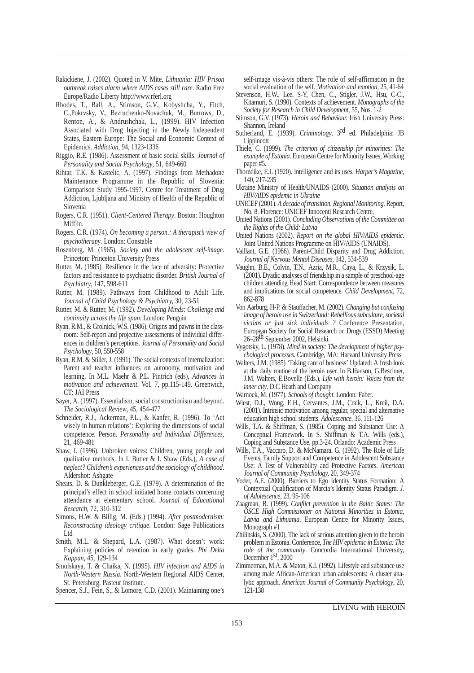- Rakickiene, J. (2002). Quoted in V. Mite, *Lithuania: HIV Prison outbreak raises alarm where AIDS cases still rare*. Radio Free Europe/Radio Liberty http://www.rferl.org
- Rhodes, T., Ball, A., Stimson, G.V., Kobyshcha, Y., Fitch, C.,Pokrvsky, V., Bezruchenko-Novachuk, M., Burrows, D., Renton, A., & Andrushchak, L., (1999). HIV Infection Associated with Drug Injecting in the Newly Independent States, Eastern Europe: The Social and Economic Context of Epidemics. *Addiction*, 94, 1323-1336
- Riggio, R.E. (1986). Assessment of basic social skills. *Journal of Personality and Social Psychology*, 51, 649-660
- Rihtar, T.K. & Kastelic, A. (1997). Findings from Methadone Maintenance Programme in the Republic of Slovenia: Comparison Study 1995-1997. Centre for Treatment of Drug Addiction, Ljubljana and Ministry of Health of the Republic of Slovenia
- Rogers, C.R. (1951). *Client-Centered Therapy*. Boston: Houghton Mifflin.
- Rogers. C.R. (1974). *On becoming a person.: A therapist's view of psychotherapy*. London: Constable
- Rosenberg, M. (1965). *Society and the adolescent self-image*. Princeton: Princeton University Press
- Rutter, M. (1985). Resilience in the face of adversity: Protective factors and resistance to psychiatric disorder. *British Journal of Psychiatry*, 147, 598-611
- Rutter, M. (1989). Pathways from Childhood to Adult Life. *Journal of Child Psychology & Psychiatry,* 30, 23-51
- Rutter, M. & Rutter, M. (1992). *Developing Minds: Challenge and continuity across the life span*. London: Penguin
- Ryan, R.M., & Grolnick, W.S. (1986). Origins and pawns in the classroom: Self-report and projective assessments of individual differences in children's perceptions. *Journal of Personality and Social Psychology*, 50, 550-558
- Ryan, R.M. & Stiller, J. (1991). The social contexts of internalization: Parent and teacher influences on autonomy, motivation and learning. In M.L. Maehr & P.L. Pintrich (eds), *Advances in motivation and achievement*. Vol. 7, pp.115-149. Greenwich, CT: JAI Press
- Sayer, A. (1997). Essentialism, social constructionism and beyond. *The Sociological Review*, 45, 454-477
- Schneider, R.J., Ackerman, P.L., & Kanfer, R. (1996). To 'Act wisely in human relations': Exploring the dimensions of social competence. Person. *Personality and Individual Differences*, 21, 469-481
- Shaw, I. (1996). Unbroken voices: Children, young people and qualitative methods. In I. Butler & I. Shaw (Eds.), *A case of neglect? Children's experiences and the sociology of childhood*. Aldershot: Ashgate
- Sheats, D. & Dunkleberger, G.E. (1979). A determination of the principal's effect in school initiated home contacts concerning attendance at elementary school. *Journal of Educational Research*, 72, 310-312
- Simons, H.W. & Billig, M. (Eds.) (1994). *After postmodernism: Reconstructing ideology critique*. London: Sage Publications Ltd
- Smith, M.L. & Shepard, L.A. (1987). What doesn't work: Explaining policies of retention in early grades. *Phi Delta Kappan*, 45, 129-134
- Smolskaya, T. & Chaika, N. (1995). *HIV infection and AIDS in North-Western Russia*. North-Western Regional AIDS Center, St. Petersburg, Pasteur Institute.
- Spencer, S.J., Fein, S., & Lomore, C.D. (2001). Maintaining one's

self-image vis-à-vis others: The role of self-affirmation in the social evaluation of the self. *Motivation and emotion*, 25, 41-64

- Stevenson, H.W., Lee, S-Y, Chen, C., Stigler, J.W., Hsu, C-C., Kitamuri, S. (1990). Contexts of achievement. *Monographs of the Society for Research in Child Development*, 55, Nos. 1-2
- Stimson, G.V. (1973). *Heroin and Behaviour.* Irish University Press: Shannon, Ireland
- Sutherland, E. (1939). *Criminology*. 3rd ed. Philadelphia: JB Lippincott
- Thiele, C. (1999). *The criterion of citizenship for minorities: The example of Estonia*. European Centre for Minority Issues, Working paper #5.
- Thorndike, E.L (1920). Intelligence and its uses. *Harper's Magazine*, 140, 217-235
- Ukraine Ministry of Health/UNAIDS (2000). *Situation analysis on HIV/AIDS epidemic in Ukraine*
- UNICEF (2001). *A decade of transition. Regional Monitoring*. Report, No. 8. Florence: UNICEF Innocenti Research Centre.
- United Nations (2001). *Concluding Observations of the Committee on the Rights of the Child: Latvia*
- United Nations (2002). *Report on the global HIV/AIDS epidemic*. Joint United Nations Programme on HIV/AIDS (UNAIDS).
- Vaillant, G.E. (1966). Parent-Child Disparity and Drug Addiction. *Journal of Nervous Mental Diseases,* 142, 534-539
- Vaughn, B.E., Colvin, T.N., Azria, M.R., Caya, L., & Krzysik, L. (2001). Dyadic analyses of friendship in a sample of preschool-age children attending Head Start: Correspondence between measures and implications for social competence. *Child Development*, 72, 862-878
- Von Aarburg, H-P. & Stauffacher, M. (2002). *Changing but confusing image of heroin use in Switzerland: Rebellious subculture, societal victims or just sick individuals ?* Conference Presentation, European Society for Social Research on Drugs (ESSD) Meeting 26–28th September 2002, Helsinki.
- Vygotsky, L. (1978). *Mind in society: The development of higher psychological processes.* Cambridge, MA: Harvard University Press
- Walters, J.M. (1985) 'Taking care of business' Updated: A fresh look at the daily routine of the heroin user. In B.Hanson, G.Beschner, J.M. Walters, E.Bovelle (Eds.), *Life with heroin: Voices from the inner city*. D.C Heath and Company
- Warnock, M. (1977). *Schools of thought*. London: Faber.
- Wiest, D.J., Wong, E.H., Cervantes, J.M., Craik, L., Kreil, D.A. (2001). Intrinsic motivation among regular, special and alternative education high school students. *Adolescence*, 36, 111-126
- Wills, T.A. & Shiffman, S. (1985). Coping and Substance Use: A Conceptual Framework. In S. Shiffman & T.A. Wills (eds.), Coping and Substance Use, pp.3-24. Orlando: Academic Press
- Wills, T.A., Vaccaro, D. & McNamara, G. (1992). The Role of Life Events, Family Support and Competence in Adolescent Substance Use: A Test of Vulnerability and Protective Factors. *American Journal of Community Psychology,* 20, 349-374
- Yoder, A.E. (2000). Barriers to Ego Identity Status Formation: A Contextual Qualification of Marcia's Identity Status Paradigm. *J. of Adolescence*, 23, 95-106
- Zaagman, R. (1999). *Conflict prevention in the Baltic States: The OSCE High Commissioner on National Minorities in Estonia, Latvia and Lithuania*. European Centre for Minority Issues, Monograph #1
- Zhilinskis, S. (2000). The lack of serious attention given to the heroin problem in Estonia. Conference, *The HIV epidemic in Estonia: The role of the community*. Concordia International University, December 1st, 2000
- Zimmerman, M.A. & Maton, K.I. (1992). Lifestyle and substance use among male African-American urban adolescents: A cluster analytic approach. *American Journal of Community Psychology*, 20, 121-138